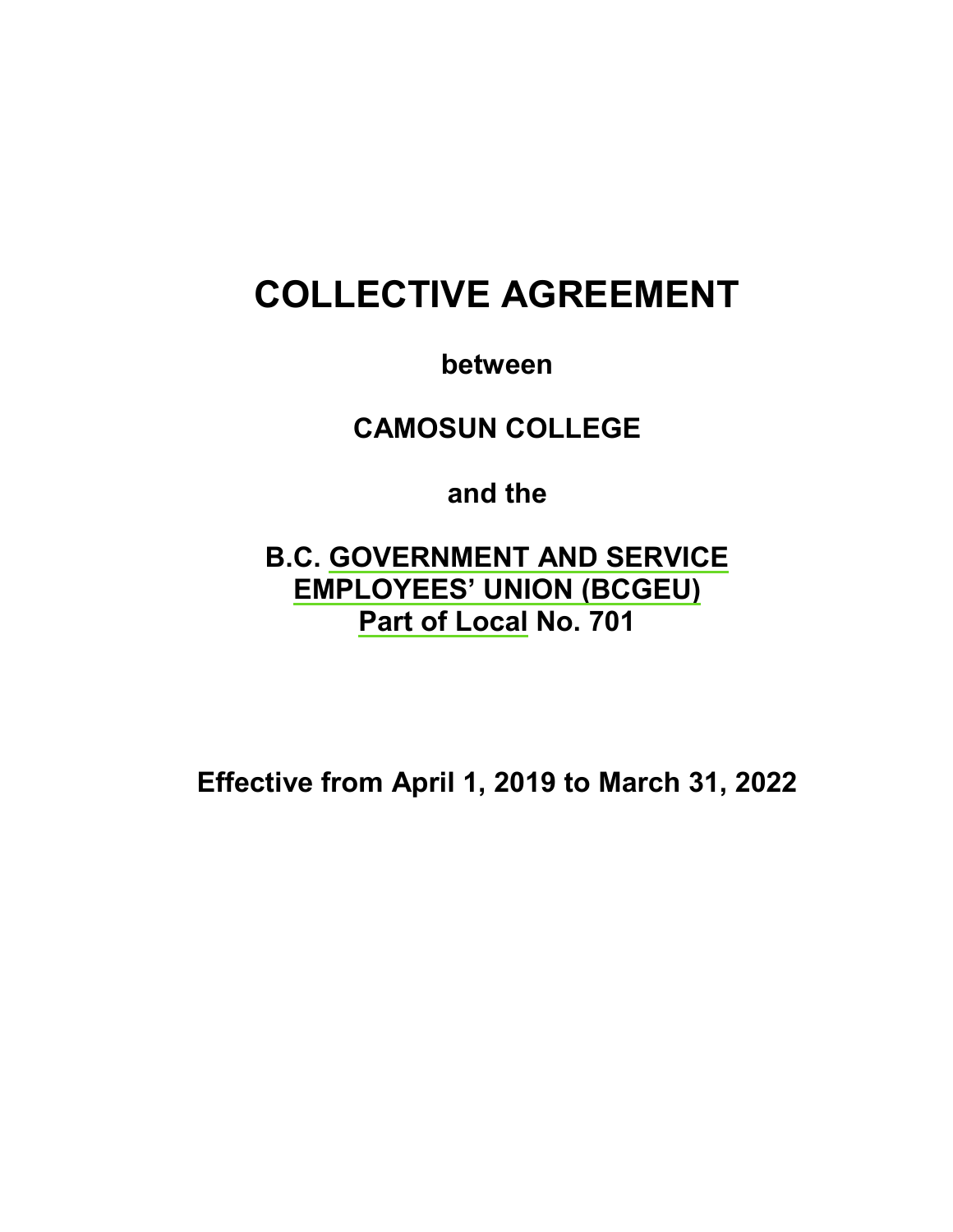# **COLLECTIVE AGREEMENT**

**between**

**CAMOSUN COLLEGE**

**and the**

**B.C. GOVERNMENT AND SERVICE EMPLOYEES' UNION (BCGEU) Part of Local No. 701**

**Effective from April 1, 2019 to March 31, 2022**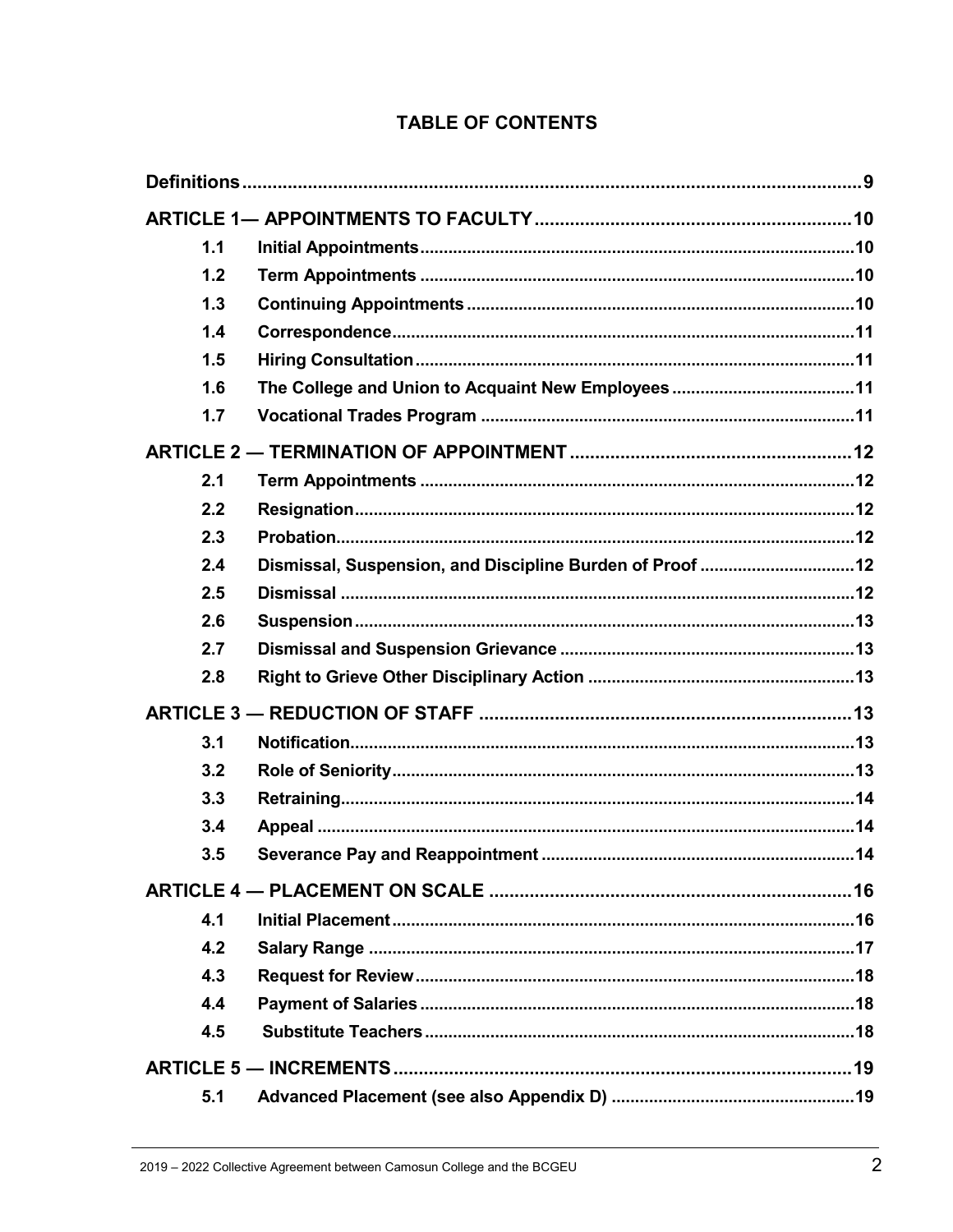| 1.1 |                                                           |  |
|-----|-----------------------------------------------------------|--|
| 1.2 |                                                           |  |
| 1.3 |                                                           |  |
| 1.4 |                                                           |  |
| 1.5 |                                                           |  |
| 1.6 |                                                           |  |
| 1.7 |                                                           |  |
|     |                                                           |  |
| 2.1 |                                                           |  |
| 2.2 |                                                           |  |
| 2.3 |                                                           |  |
| 2.4 | Dismissal, Suspension, and Discipline Burden of Proof  12 |  |
| 2.5 |                                                           |  |
| 2.6 |                                                           |  |
| 2.7 |                                                           |  |
| 2.8 |                                                           |  |
|     |                                                           |  |
| 3.1 |                                                           |  |
| 3.2 |                                                           |  |
| 3.3 |                                                           |  |
| 3.4 |                                                           |  |
| 3.5 |                                                           |  |
|     |                                                           |  |
| 4.1 |                                                           |  |
| 4.2 |                                                           |  |
| 4.3 |                                                           |  |
| 4.4 |                                                           |  |
| 4.5 |                                                           |  |
|     |                                                           |  |
| 5.1 |                                                           |  |

### **TABLE OF CONTENTS**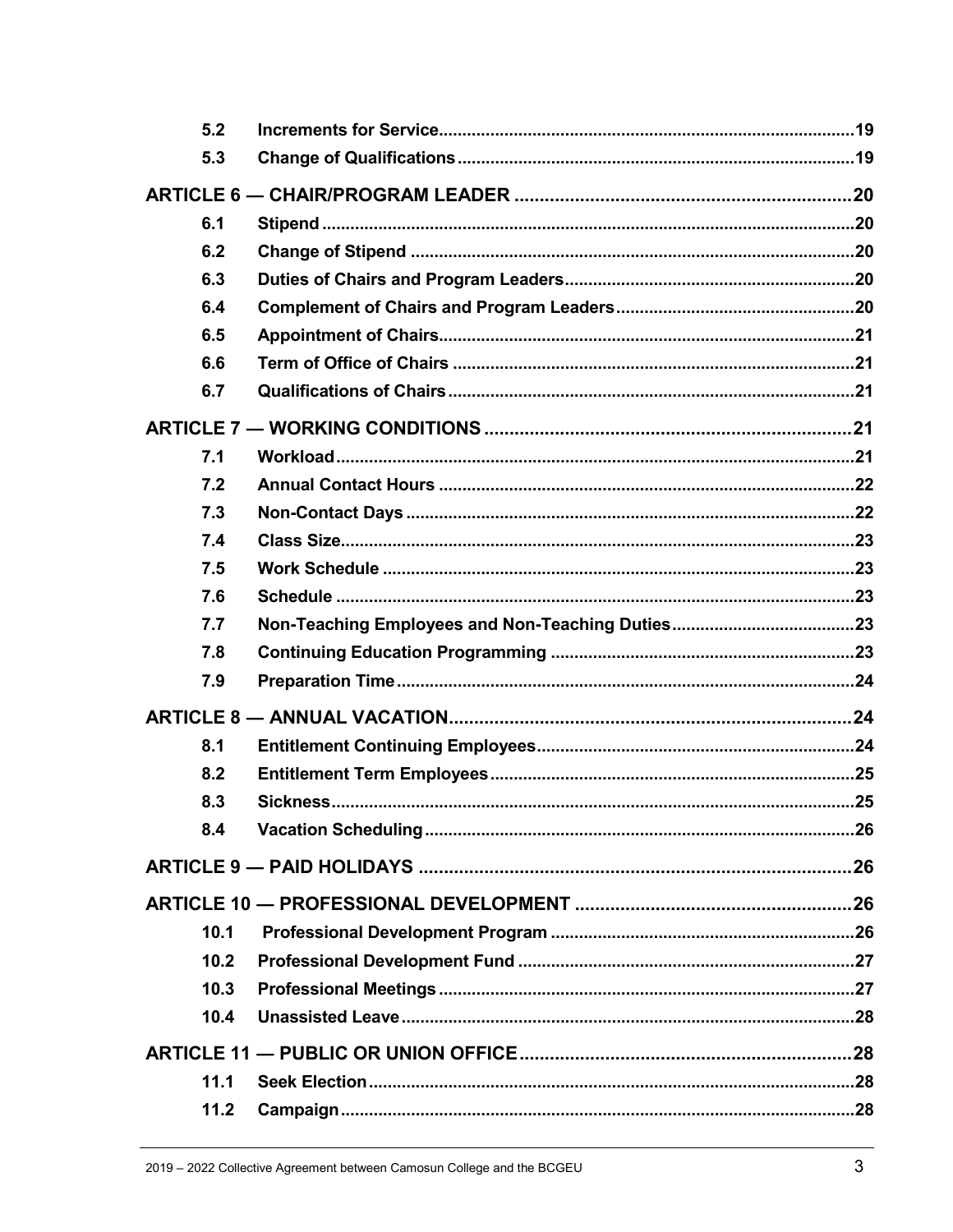| 5.2  |     |
|------|-----|
| 5.3  |     |
|      |     |
| 6.1  |     |
| 6.2  |     |
| 6.3  |     |
| 6.4  |     |
| 6.5  |     |
| 6.6  |     |
| 6.7  |     |
|      |     |
| 7.1  |     |
| 7.2  |     |
| 7.3  |     |
| 7.4  |     |
| 7.5  |     |
| 7.6  |     |
| 7.7  |     |
| 7.8  |     |
| 7.9  |     |
|      |     |
| 8.1  |     |
| 8.2  |     |
| 8.3  |     |
| 8.4  | .26 |
|      |     |
|      |     |
| 10.1 |     |
| 10.2 |     |
| 10.3 |     |
| 10.4 |     |
|      |     |
| 11.1 |     |
| 11.2 |     |
|      |     |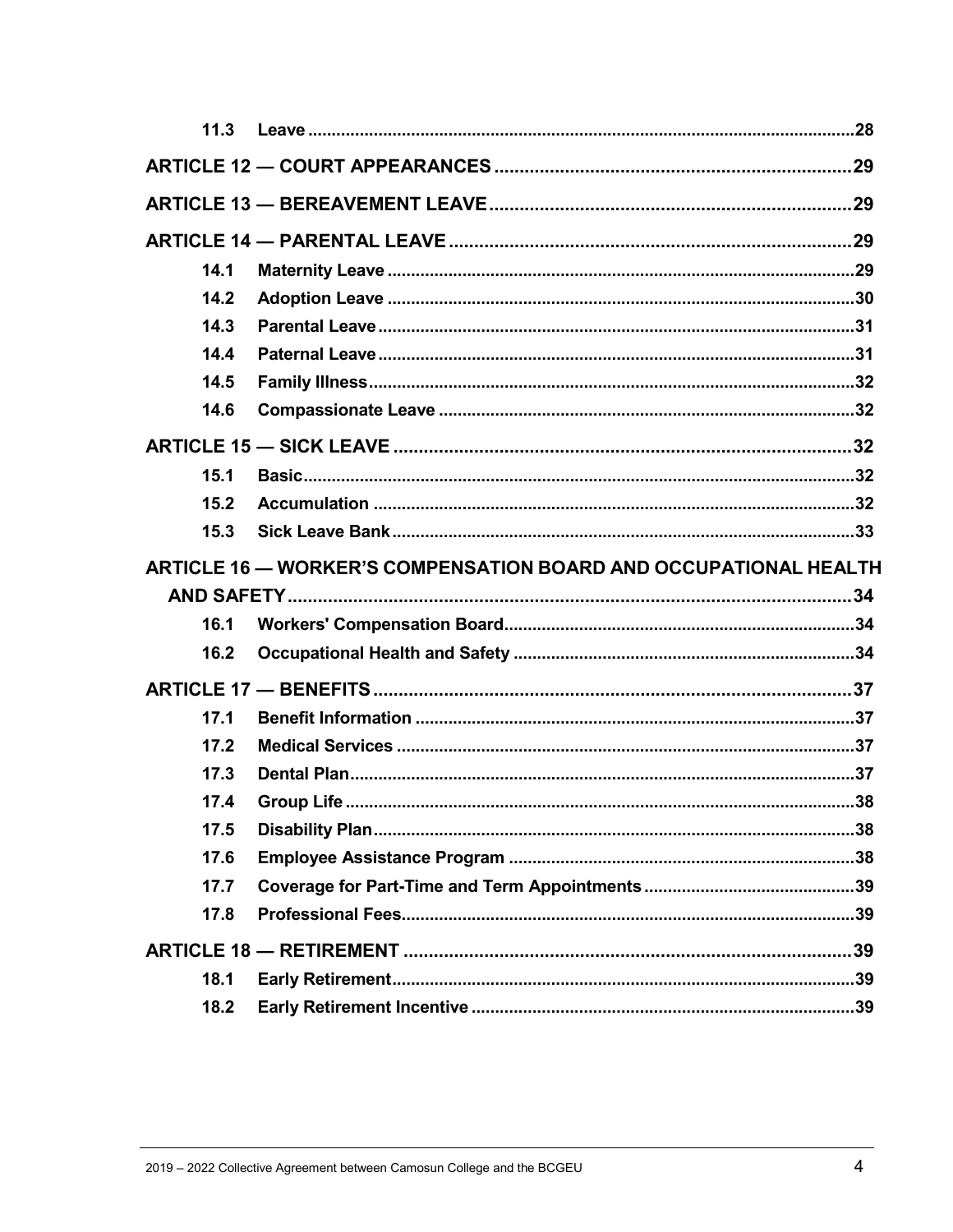| 11.3 |                                                                  |  |
|------|------------------------------------------------------------------|--|
|      |                                                                  |  |
|      |                                                                  |  |
|      |                                                                  |  |
| 14.1 |                                                                  |  |
| 14.2 |                                                                  |  |
| 14.3 |                                                                  |  |
| 14.4 |                                                                  |  |
| 14.5 |                                                                  |  |
| 14.6 |                                                                  |  |
|      |                                                                  |  |
| 15.1 |                                                                  |  |
| 15.2 |                                                                  |  |
| 15.3 |                                                                  |  |
|      | ARTICLE 16 - WORKER'S COMPENSATION BOARD AND OCCUPATIONAL HEALTH |  |
|      |                                                                  |  |
|      |                                                                  |  |
| 16.1 |                                                                  |  |
| 16.2 |                                                                  |  |
|      |                                                                  |  |
| 17.1 |                                                                  |  |
| 17.2 |                                                                  |  |
| 17.3 |                                                                  |  |
| 17.4 |                                                                  |  |
| 17.5 |                                                                  |  |
| 17.6 |                                                                  |  |
| 17.7 |                                                                  |  |
| 17.8 |                                                                  |  |
|      |                                                                  |  |
| 18.1 |                                                                  |  |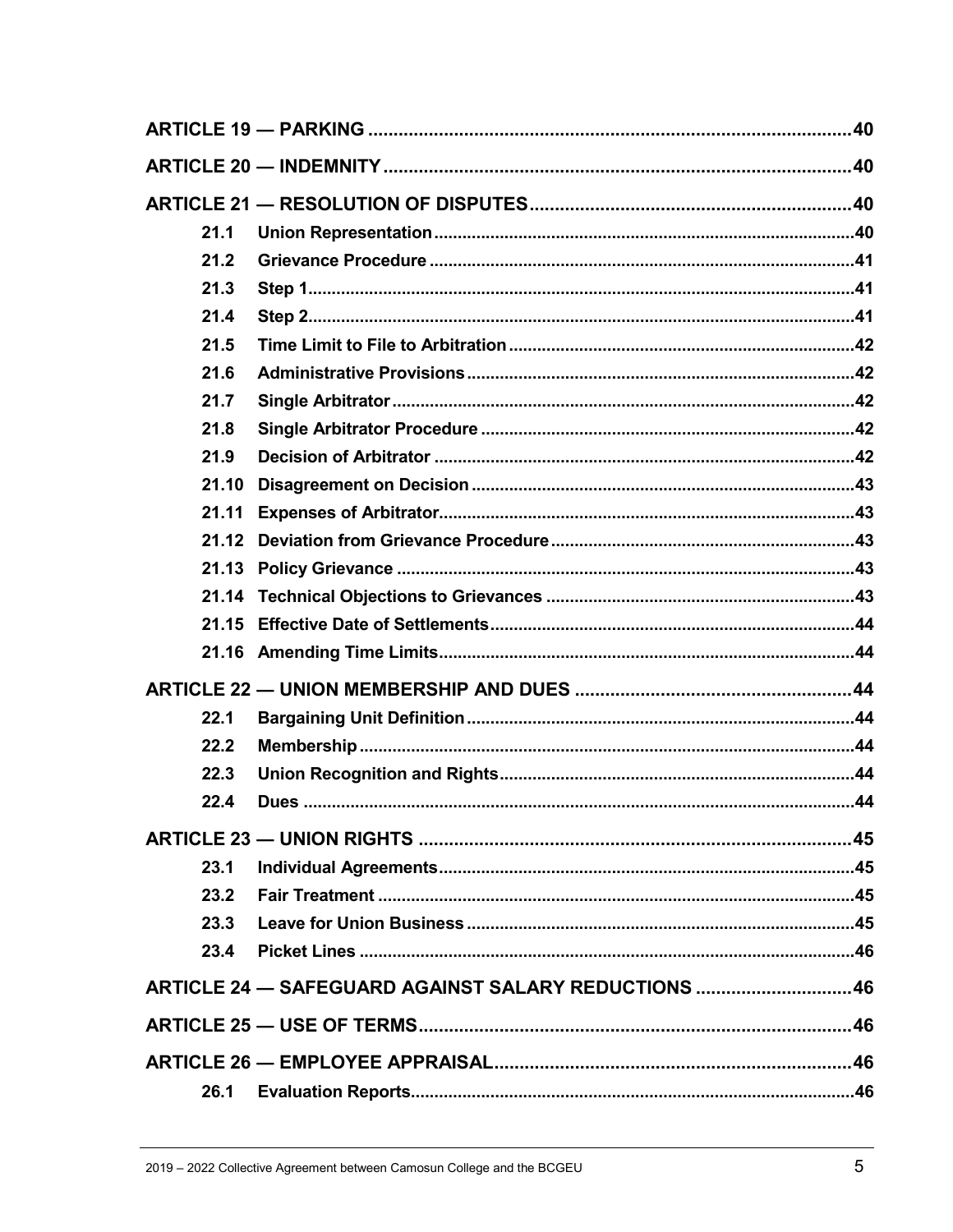| 21.1                                                |  |
|-----------------------------------------------------|--|
| 21.2                                                |  |
| 21.3                                                |  |
| 21.4                                                |  |
| 21.5                                                |  |
| 21.6                                                |  |
| 21.7                                                |  |
| 21.8                                                |  |
| 21.9                                                |  |
| 21.10                                               |  |
| 21.11                                               |  |
| 21.12                                               |  |
|                                                     |  |
|                                                     |  |
| 21.15                                               |  |
|                                                     |  |
|                                                     |  |
| 22.1                                                |  |
| 22.2                                                |  |
| 22.3                                                |  |
| 22.4                                                |  |
|                                                     |  |
| 23.1                                                |  |
| 23.2                                                |  |
| 23.3                                                |  |
| 23.4                                                |  |
|                                                     |  |
| ARTICLE 24 - SAFEGUARD AGAINST SALARY REDUCTIONS 46 |  |
|                                                     |  |
|                                                     |  |
| 26.1                                                |  |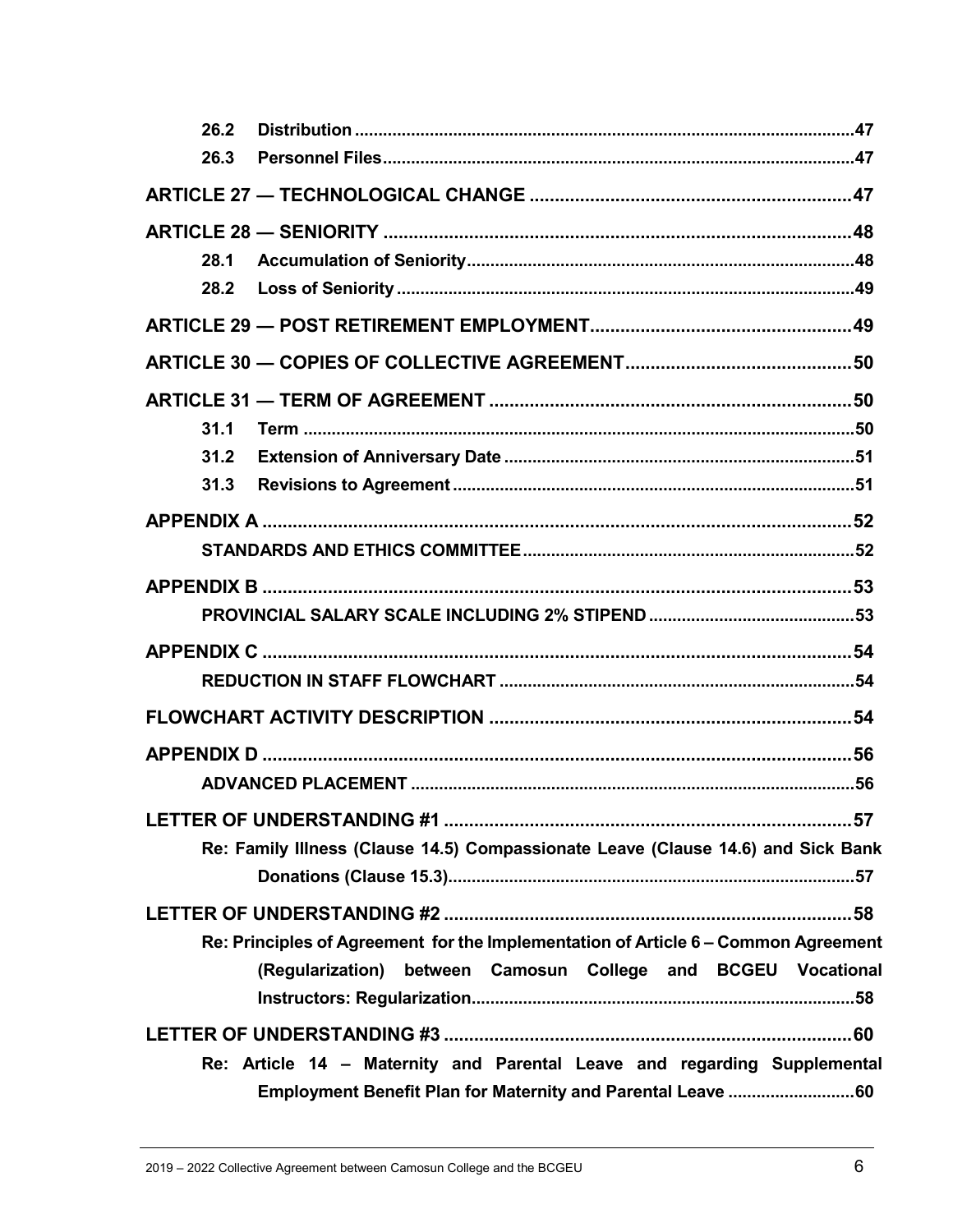| 26.2                                                                               |  |
|------------------------------------------------------------------------------------|--|
| 26.3                                                                               |  |
|                                                                                    |  |
|                                                                                    |  |
| 28.1                                                                               |  |
| 28.2                                                                               |  |
|                                                                                    |  |
|                                                                                    |  |
|                                                                                    |  |
| 31.1                                                                               |  |
| 31.2                                                                               |  |
| 31.3                                                                               |  |
|                                                                                    |  |
|                                                                                    |  |
|                                                                                    |  |
|                                                                                    |  |
|                                                                                    |  |
|                                                                                    |  |
|                                                                                    |  |
|                                                                                    |  |
|                                                                                    |  |
|                                                                                    |  |
| Re: Family Illness (Clause 14.5) Compassionate Leave (Clause 14.6) and Sick Bank   |  |
|                                                                                    |  |
|                                                                                    |  |
| Re: Principles of Agreement for the Implementation of Article 6 - Common Agreement |  |
| (Regularization) between Camosun College and BCGEU Vocational                      |  |
|                                                                                    |  |
|                                                                                    |  |
| Re: Article 14 - Maternity and Parental Leave and regarding Supplemental           |  |
| Employment Benefit Plan for Maternity and Parental Leave 60                        |  |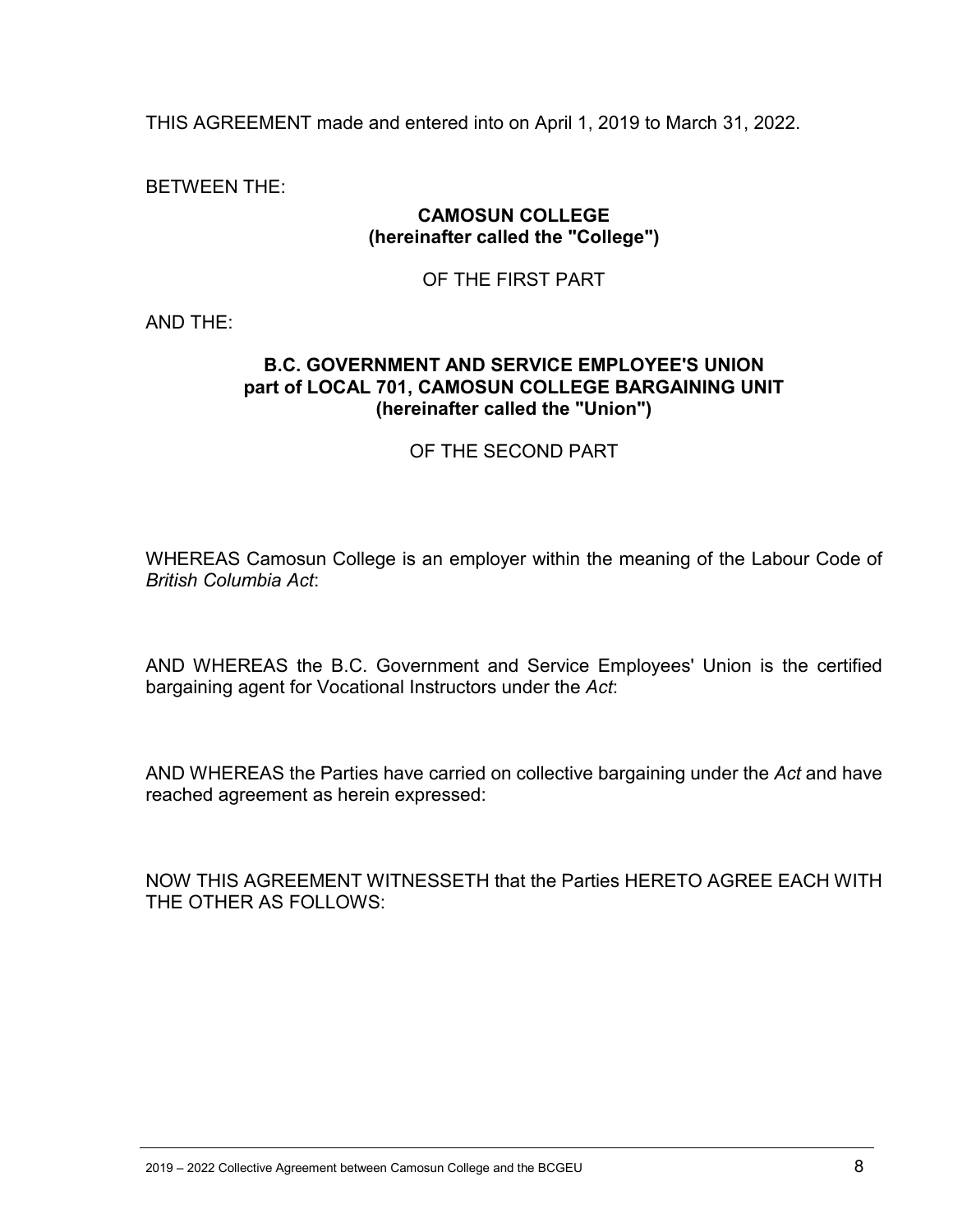THIS AGREEMENT made and entered into on April 1, 2019 to March 31, 2022.

BETWEEN THE:

#### **CAMOSUN COLLEGE (hereinafter called the "College")**

#### OF THE FIRST PART

AND THE:

#### **B.C. GOVERNMENT AND SERVICE EMPLOYEE'S UNION part of LOCAL 701, CAMOSUN COLLEGE BARGAINING UNIT (hereinafter called the "Union")**

#### OF THE SECOND PART

WHEREAS Camosun College is an employer within the meaning of the Labour Code of *British Columbia Act*:

AND WHEREAS the B.C. Government and Service Employees' Union is the certified bargaining agent for Vocational Instructors under the *Act*:

AND WHEREAS the Parties have carried on collective bargaining under the *Act* and have reached agreement as herein expressed:

NOW THIS AGREEMENT WITNESSETH that the Parties HERETO AGREE EACH WITH THE OTHER AS FOLLOWS: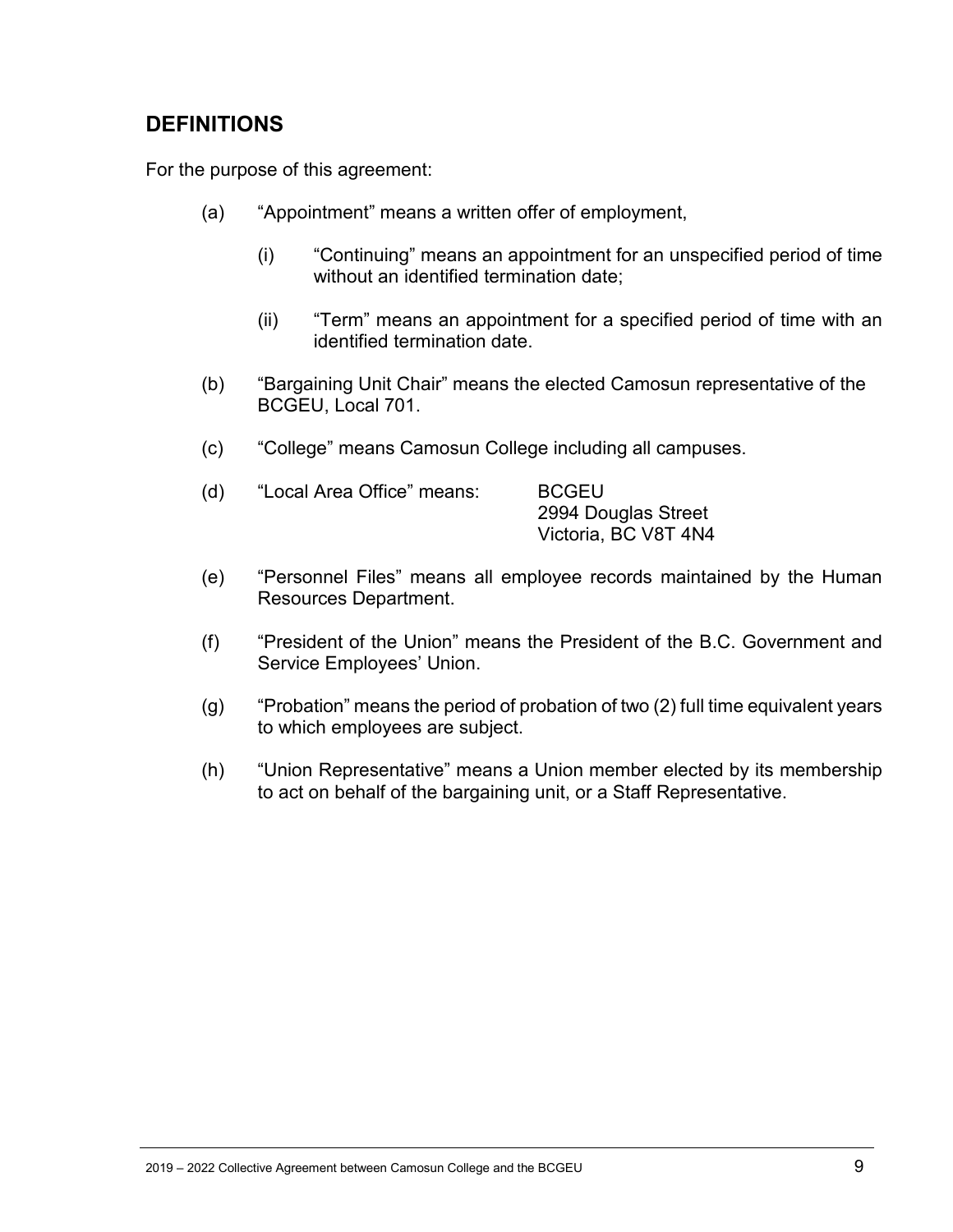# <span id="page-8-0"></span>**DEFINITIONS**

For the purpose of this agreement:

- (a) "Appointment" means a written offer of employment,
	- (i) "Continuing" means an appointment for an unspecified period of time without an identified termination date;
	- (ii) "Term" means an appointment for a specified period of time with an identified termination date.
- (b) "Bargaining Unit Chair" means the elected Camosun representative of the BCGEU, Local 701.
- (c) "College" means Camosun College including all campuses.

| (d) | "Local Area Office" means: | <b>BCGEU</b>         |
|-----|----------------------------|----------------------|
|     |                            | 2994 Douglas Street  |
|     |                            | Victoria, BC V8T 4N4 |

- (e) "Personnel Files" means all employee records maintained by the Human Resources Department.
- (f) "President of the Union" means the President of the B.C. Government and Service Employees' Union.
- (g) "Probation" means the period of probation of two (2) full time equivalent years to which employees are subject.
- (h) "Union Representative" means a Union member elected by its membership to act on behalf of the bargaining unit, or a Staff Representative.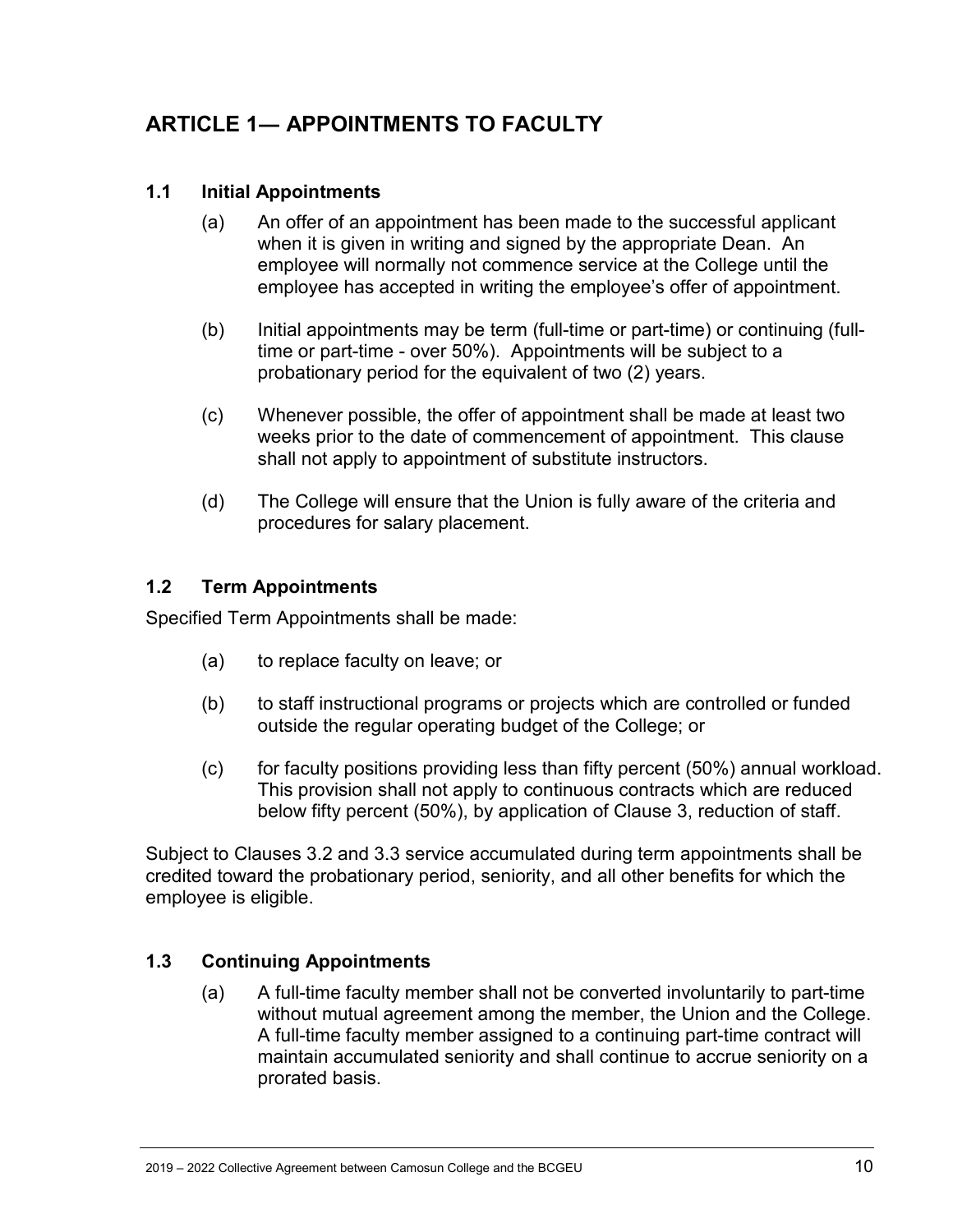# <span id="page-9-0"></span>**ARTICLE 1― APPOINTMENTS TO FACULTY**

#### <span id="page-9-1"></span>**1.1 Initial Appointments**

- (a) An offer of an appointment has been made to the successful applicant when it is given in writing and signed by the appropriate Dean. An employee will normally not commence service at the College until the employee has accepted in writing the employee's offer of appointment.
- (b) Initial appointments may be term (full-time or part-time) or continuing (fulltime or part-time - over 50%). Appointments will be subject to a probationary period for the equivalent of two (2) years.
- (c) Whenever possible, the offer of appointment shall be made at least two weeks prior to the date of commencement of appointment. This clause shall not apply to appointment of substitute instructors.
- (d) The College will ensure that the Union is fully aware of the criteria and procedures for salary placement.

#### <span id="page-9-2"></span>**1.2 Term Appointments**

Specified Term Appointments shall be made:

- (a) to replace faculty on leave; or
- (b) to staff instructional programs or projects which are controlled or funded outside the regular operating budget of the College; or
- (c) for faculty positions providing less than fifty percent (50%) annual workload. This provision shall not apply to continuous contracts which are reduced below fifty percent (50%), by application of Clause 3, reduction of staff.

Subject to Clauses 3.2 and 3.3 service accumulated during term appointments shall be credited toward the probationary period, seniority, and all other benefits for which the employee is eligible.

#### <span id="page-9-3"></span>**1.3 Continuing Appointments**

(a) A full-time faculty member shall not be converted involuntarily to part-time without mutual agreement among the member, the Union and the College. A full-time faculty member assigned to a continuing part-time contract will maintain accumulated seniority and shall continue to accrue seniority on a prorated basis.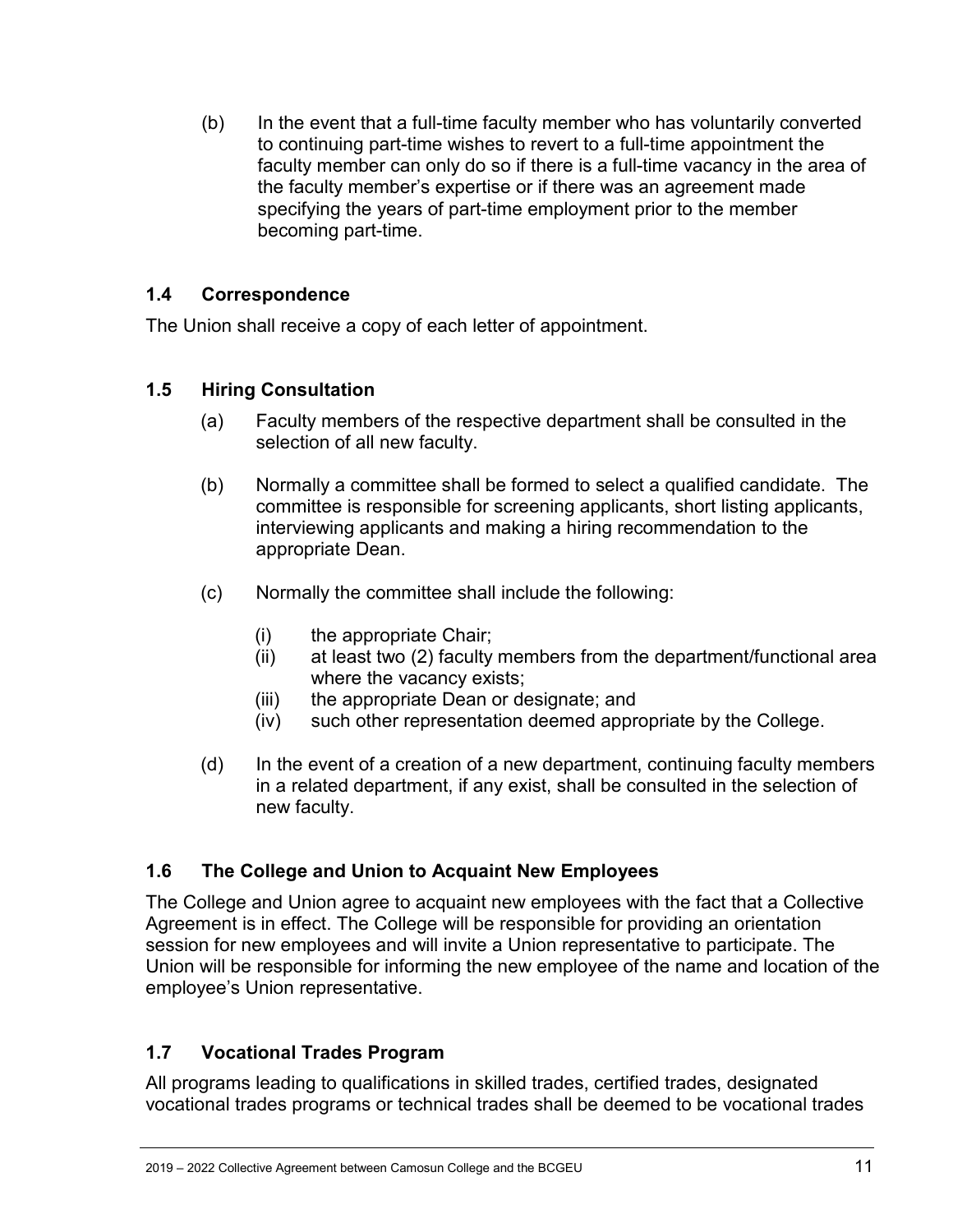(b) In the event that a full-time faculty member who has voluntarily converted to continuing part-time wishes to revert to a full-time appointment the faculty member can only do so if there is a full-time vacancy in the area of the faculty member's expertise or if there was an agreement made specifying the years of part-time employment prior to the member becoming part-time.

#### <span id="page-10-0"></span>**1.4 Correspondence**

The Union shall receive a copy of each letter of appointment.

### <span id="page-10-1"></span>**1.5 Hiring Consultation**

- (a) Faculty members of the respective department shall be consulted in the selection of all new faculty.
- (b) Normally a committee shall be formed to select a qualified candidate. The committee is responsible for screening applicants, short listing applicants, interviewing applicants and making a hiring recommendation to the appropriate Dean.
- (c) Normally the committee shall include the following:
	- (i) the appropriate Chair;
	- (ii) at least two (2) faculty members from the department/functional area where the vacancy exists;
	- (iii) the appropriate Dean or designate; and
	- (iv) such other representation deemed appropriate by the College.
- (d) In the event of a creation of a new department, continuing faculty members in a related department, if any exist, shall be consulted in the selection of new faculty.

### <span id="page-10-2"></span>**1.6 The College and Union to Acquaint New Employees**

The College and Union agree to acquaint new employees with the fact that a Collective Agreement is in effect. The College will be responsible for providing an orientation session for new employees and will invite a Union representative to participate. The Union will be responsible for informing the new employee of the name and location of the employee's Union representative.

### <span id="page-10-3"></span>**1.7 Vocational Trades Program**

All programs leading to qualifications in skilled trades, certified trades, designated vocational trades programs or technical trades shall be deemed to be vocational trades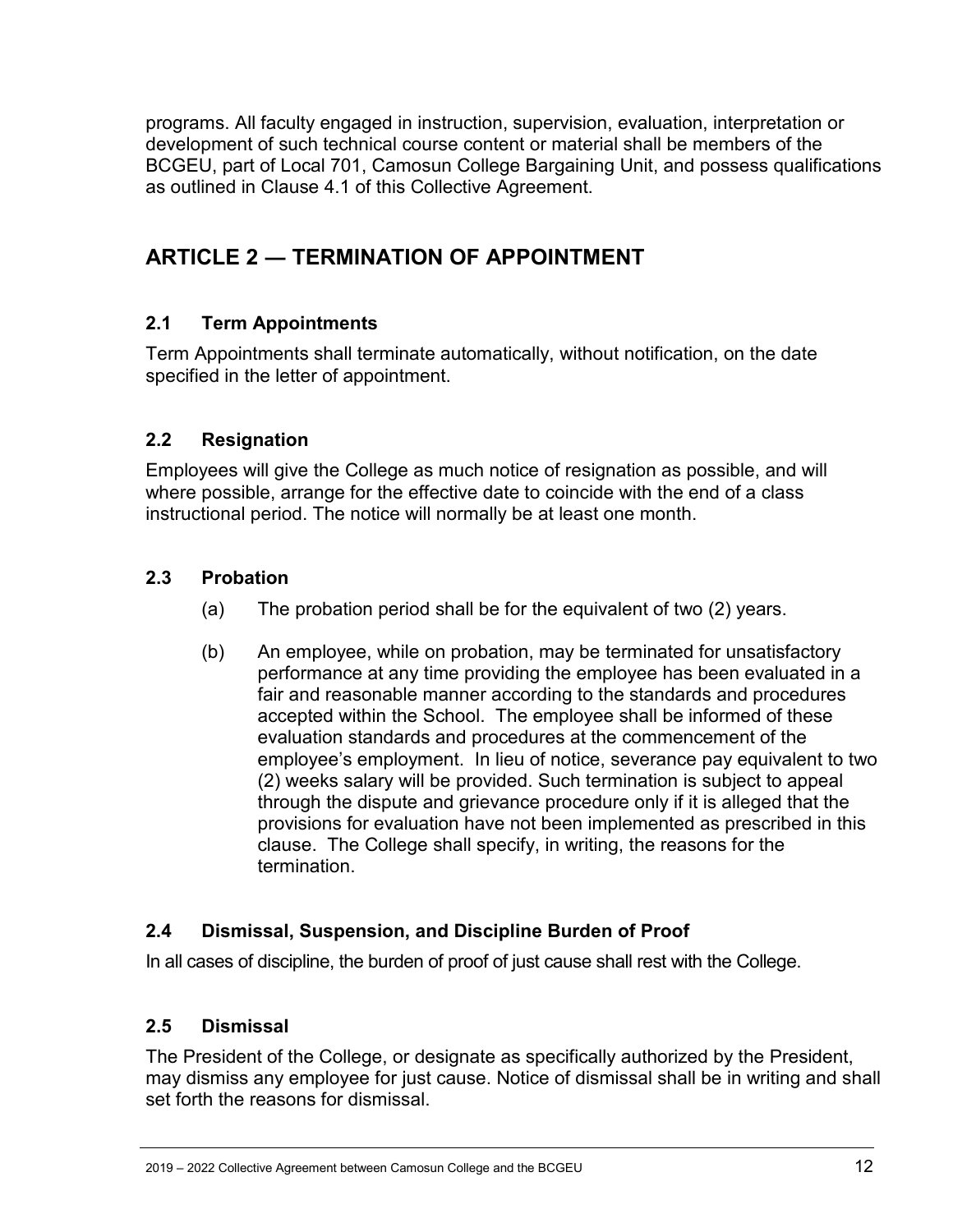programs. All faculty engaged in instruction, supervision, evaluation, interpretation or development of such technical course content or material shall be members of the BCGEU, part of Local 701, Camosun College Bargaining Unit, and possess qualifications as outlined in Clause 4.1 of this Collective Agreement.

# <span id="page-11-0"></span>**ARTICLE 2 ― TERMINATION OF APPOINTMENT**

### <span id="page-11-1"></span>**2.1 Term Appointments**

Term Appointments shall terminate automatically, without notification, on the date specified in the letter of appointment.

### <span id="page-11-2"></span>**2.2 Resignation**

Employees will give the College as much notice of resignation as possible, and will where possible, arrange for the effective date to coincide with the end of a class instructional period. The notice will normally be at least one month.

### <span id="page-11-3"></span>**2.3 Probation**

- (a) The probation period shall be for the equivalent of two (2) years.
- (b) An employee, while on probation, may be terminated for unsatisfactory performance at any time providing the employee has been evaluated in a fair and reasonable manner according to the standards and procedures accepted within the School. The employee shall be informed of these evaluation standards and procedures at the commencement of the employee's employment. In lieu of notice, severance pay equivalent to two (2) weeks salary will be provided. Such termination is subject to appeal through the dispute and grievance procedure only if it is alleged that the provisions for evaluation have not been implemented as prescribed in this clause. The College shall specify, in writing, the reasons for the termination.

### <span id="page-11-4"></span>**2.4 Dismissal, Suspension, and Discipline Burden of Proof**

In all cases of discipline, the burden of proof of just cause shall rest with the College.

### <span id="page-11-5"></span>**2.5 Dismissal**

The President of the College, or designate as specifically authorized by the President, may dismiss any employee for just cause. Notice of dismissal shall be in writing and shall set forth the reasons for dismissal.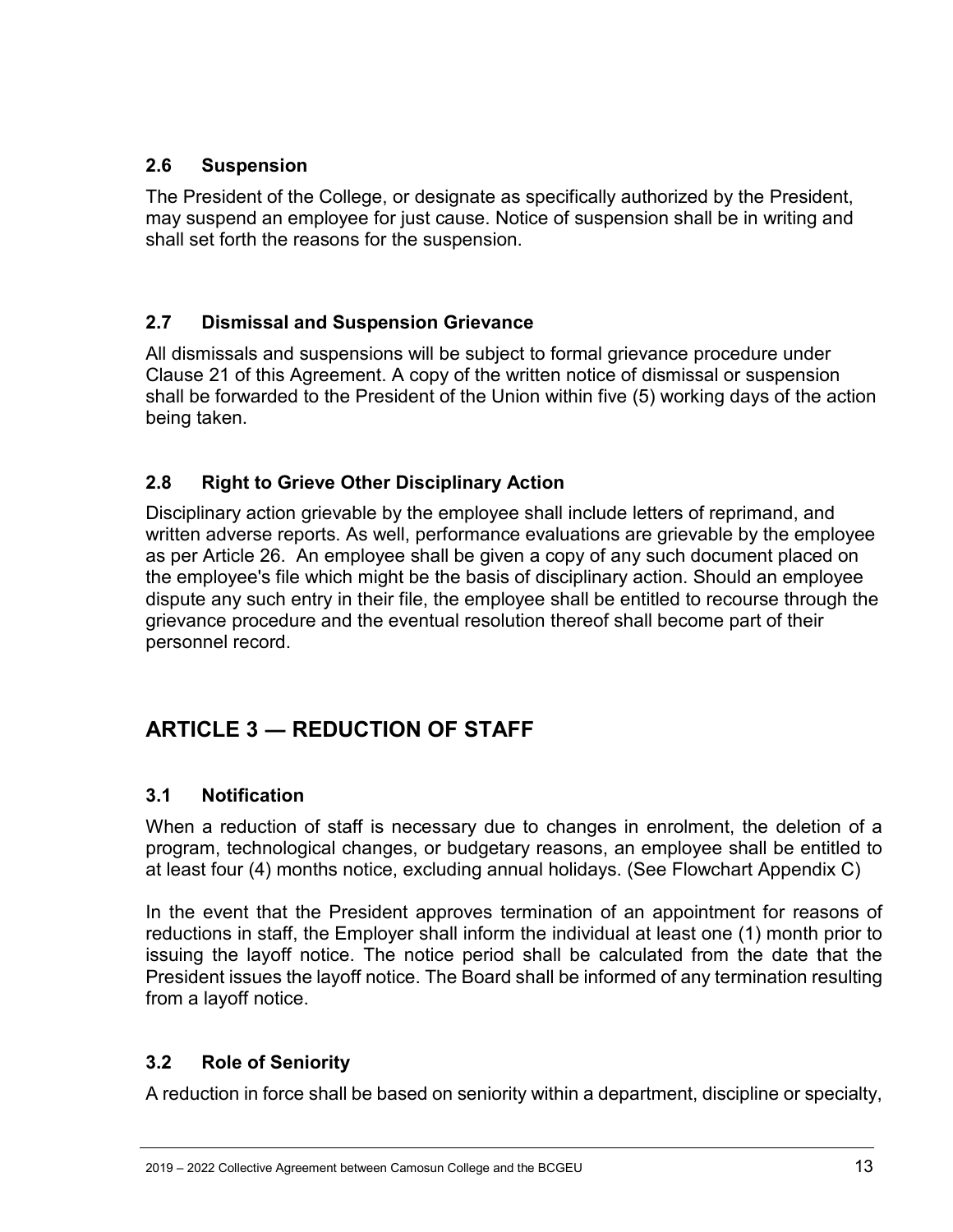### <span id="page-12-0"></span>**2.6 Suspension**

The President of the College, or designate as specifically authorized by the President, may suspend an employee for just cause. Notice of suspension shall be in writing and shall set forth the reasons for the suspension.

### <span id="page-12-1"></span>**2.7 Dismissal and Suspension Grievance**

All dismissals and suspensions will be subject to formal grievance procedure under Clause 21 of this Agreement. A copy of the written notice of dismissal or suspension shall be forwarded to the President of the Union within five (5) working days of the action being taken.

#### <span id="page-12-2"></span>**2.8 Right to Grieve Other Disciplinary Action**

Disciplinary action grievable by the employee shall include letters of reprimand, and written adverse reports. As well, performance evaluations are grievable by the employee as per Article 26. An employee shall be given a copy of any such document placed on the employee's file which might be the basis of disciplinary action. Should an employee dispute any such entry in their file, the employee shall be entitled to recourse through the grievance procedure and the eventual resolution thereof shall become part of their personnel record.

# <span id="page-12-3"></span>**ARTICLE 3 ― REDUCTION OF STAFF**

#### <span id="page-12-4"></span>**3.1 Notification**

When a reduction of staff is necessary due to changes in enrolment, the deletion of a program, technological changes, or budgetary reasons, an employee shall be entitled to at least four (4) months notice, excluding annual holidays. (See Flowchart Appendix C)

In the event that the President approves termination of an appointment for reasons of reductions in staff, the Employer shall inform the individual at least one (1) month prior to issuing the layoff notice. The notice period shall be calculated from the date that the President issues the layoff notice. The Board shall be informed of any termination resulting from a layoff notice.

### <span id="page-12-5"></span>**3.2 Role of Seniority**

A reduction in force shall be based on seniority within a department, discipline or specialty,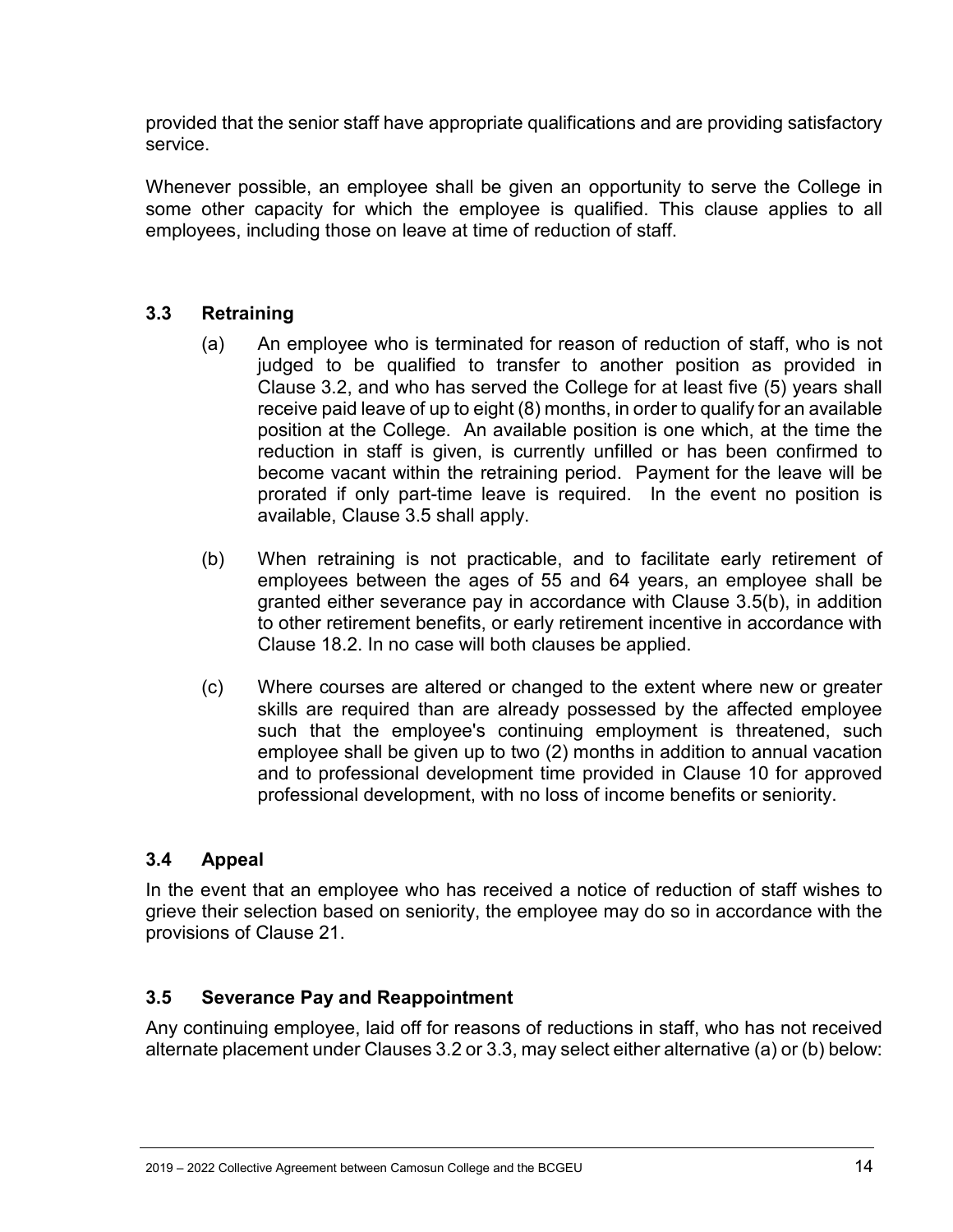provided that the senior staff have appropriate qualifications and are providing satisfactory service.

Whenever possible, an employee shall be given an opportunity to serve the College in some other capacity for which the employee is qualified. This clause applies to all employees, including those on leave at time of reduction of staff.

#### <span id="page-13-0"></span>**3.3 Retraining**

- (a) An employee who is terminated for reason of reduction of staff, who is not judged to be qualified to transfer to another position as provided in Clause 3.2, and who has served the College for at least five (5) years shall receive paid leave of up to eight (8) months, in order to qualify for an available position at the College. An available position is one which, at the time the reduction in staff is given, is currently unfilled or has been confirmed to become vacant within the retraining period. Payment for the leave will be prorated if only part-time leave is required. In the event no position is available, Clause 3.5 shall apply.
- (b) When retraining is not practicable, and to facilitate early retirement of employees between the ages of 55 and 64 years, an employee shall be granted either severance pay in accordance with Clause 3.5(b), in addition to other retirement benefits, or early retirement incentive in accordance with Clause 18.2. In no case will both clauses be applied.
- (c) Where courses are altered or changed to the extent where new or greater skills are required than are already possessed by the affected employee such that the employee's continuing employment is threatened, such employee shall be given up to two (2) months in addition to annual vacation and to professional development time provided in Clause 10 for approved professional development, with no loss of income benefits or seniority.

#### <span id="page-13-1"></span>**3.4 Appeal**

In the event that an employee who has received a notice of reduction of staff wishes to grieve their selection based on seniority, the employee may do so in accordance with the provisions of Clause 21.

#### <span id="page-13-2"></span>**3.5 Severance Pay and Reappointment**

Any continuing employee, laid off for reasons of reductions in staff, who has not received alternate placement under Clauses 3.2 or 3.3, may select either alternative (a) or (b) below: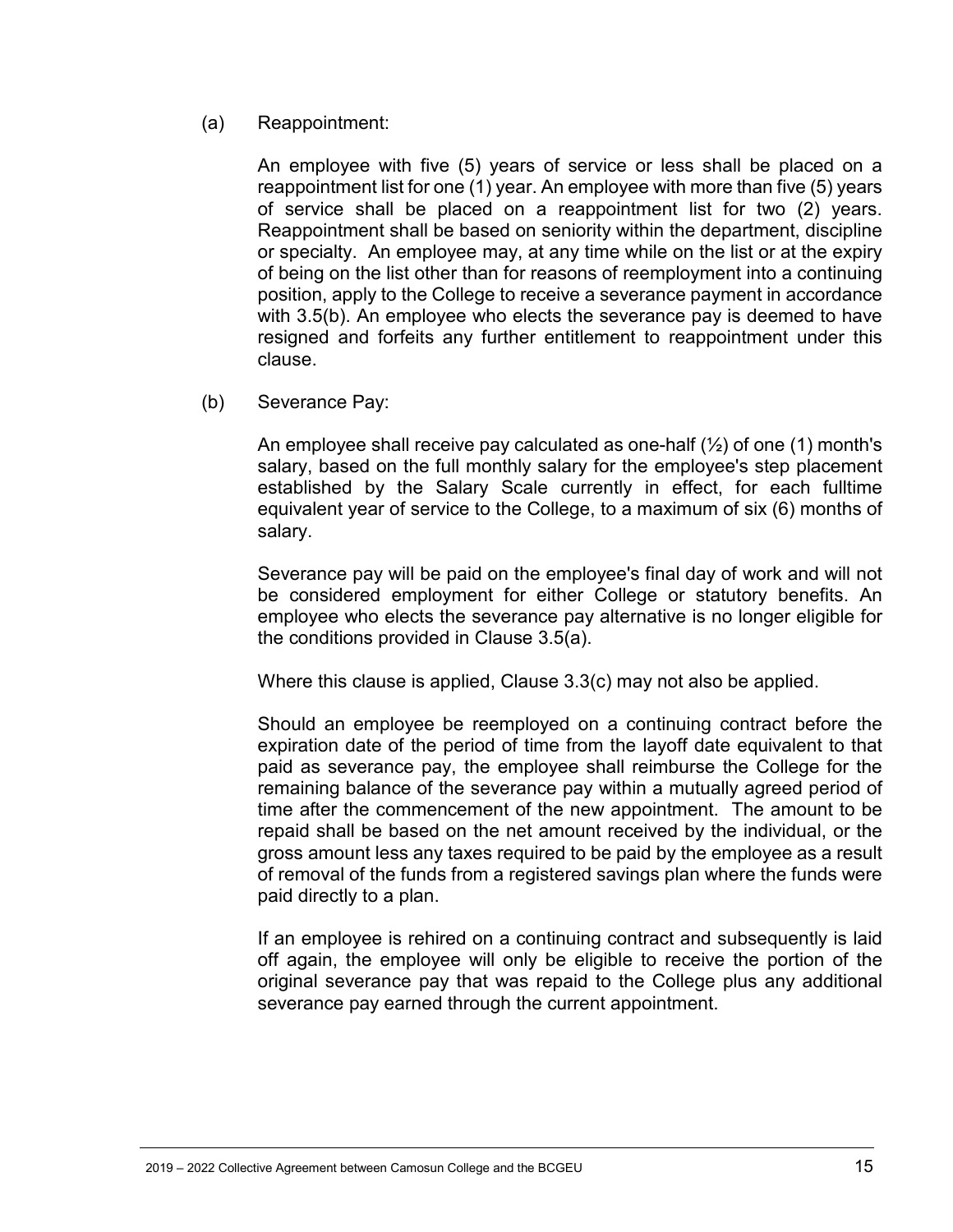#### (a) Reappointment:

An employee with five (5) years of service or less shall be placed on a reappointment list for one (1) year. An employee with more than five (5) years of service shall be placed on a reappointment list for two (2) years. Reappointment shall be based on seniority within the department, discipline or specialty. An employee may, at any time while on the list or at the expiry of being on the list other than for reasons of reemployment into a continuing position, apply to the College to receive a severance payment in accordance with 3.5(b). An employee who elects the severance pay is deemed to have resigned and forfeits any further entitlement to reappointment under this clause.

(b) Severance Pay:

An employee shall receive pay calculated as one-half  $(\frac{1}{2})$  of one (1) month's salary, based on the full monthly salary for the employee's step placement established by the Salary Scale currently in effect, for each fulltime equivalent year of service to the College, to a maximum of six (6) months of salary.

Severance pay will be paid on the employee's final day of work and will not be considered employment for either College or statutory benefits. An employee who elects the severance pay alternative is no longer eligible for the conditions provided in Clause 3.5(a).

Where this clause is applied, Clause 3.3(c) may not also be applied.

Should an employee be reemployed on a continuing contract before the expiration date of the period of time from the layoff date equivalent to that paid as severance pay, the employee shall reimburse the College for the remaining balance of the severance pay within a mutually agreed period of time after the commencement of the new appointment. The amount to be repaid shall be based on the net amount received by the individual, or the gross amount less any taxes required to be paid by the employee as a result of removal of the funds from a registered savings plan where the funds were paid directly to a plan.

If an employee is rehired on a continuing contract and subsequently is laid off again, the employee will only be eligible to receive the portion of the original severance pay that was repaid to the College plus any additional severance pay earned through the current appointment.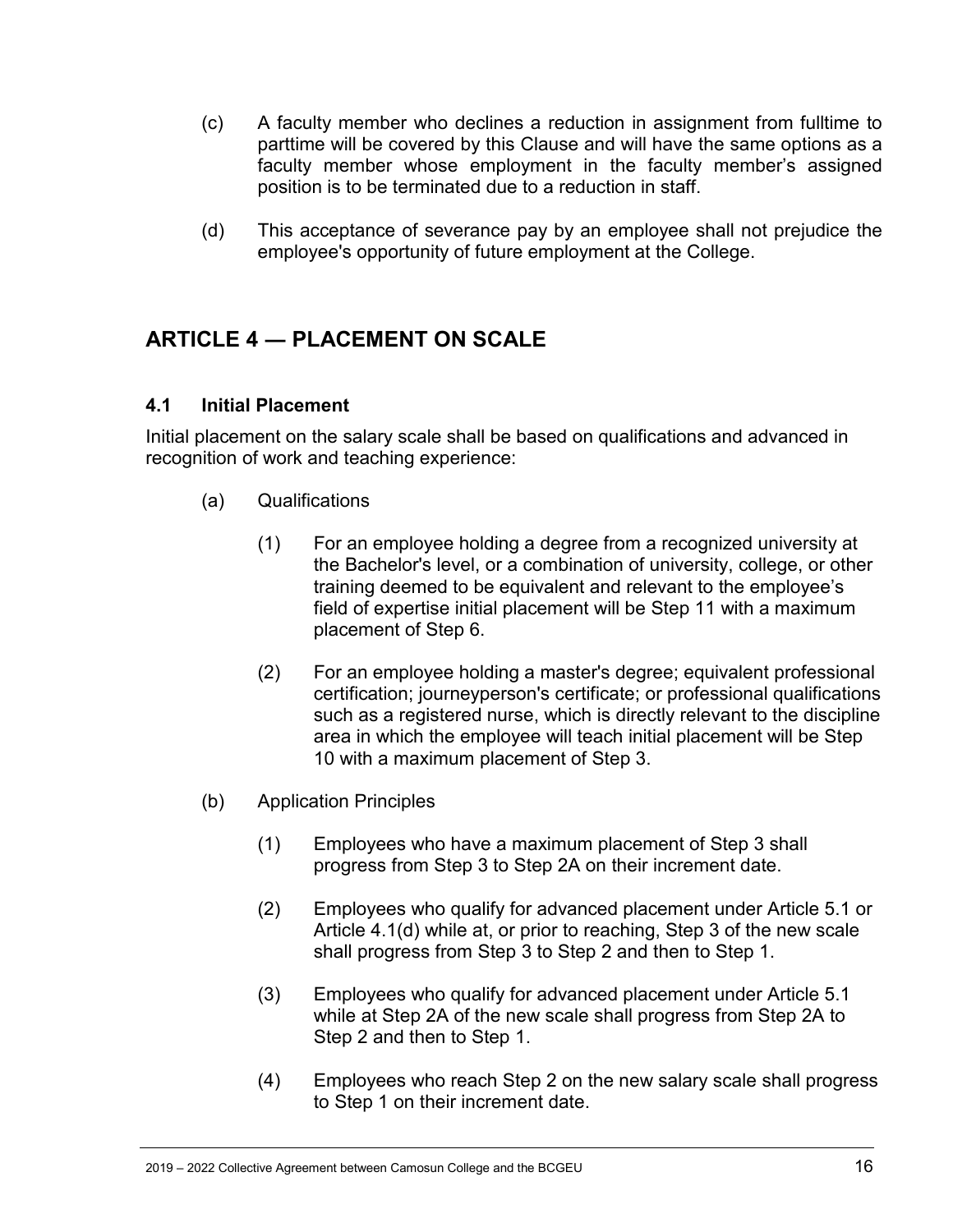- (c) A faculty member who declines a reduction in assignment from fulltime to parttime will be covered by this Clause and will have the same options as a faculty member whose employment in the faculty member's assigned position is to be terminated due to a reduction in staff.
- (d) This acceptance of severance pay by an employee shall not prejudice the employee's opportunity of future employment at the College.

# <span id="page-15-0"></span>**ARTICLE 4 ― PLACEMENT ON SCALE**

#### <span id="page-15-1"></span>**4.1 Initial Placement**

Initial placement on the salary scale shall be based on qualifications and advanced in recognition of work and teaching experience:

- (a) Qualifications
	- (1) For an employee holding a degree from a recognized university at the Bachelor's level, or a combination of university, college, or other training deemed to be equivalent and relevant to the employee's field of expertise initial placement will be Step 11 with a maximum placement of Step 6.
	- (2) For an employee holding a master's degree; equivalent professional certification; journeyperson's certificate; or professional qualifications such as a registered nurse, which is directly relevant to the discipline area in which the employee will teach initial placement will be Step 10 with a maximum placement of Step 3.
- (b) Application Principles
	- (1) Employees who have a maximum placement of Step 3 shall progress from Step 3 to Step 2A on their increment date.
	- (2) Employees who qualify for advanced placement under Article 5.1 or Article 4.1(d) while at, or prior to reaching, Step 3 of the new scale shall progress from Step 3 to Step 2 and then to Step 1.
	- (3) Employees who qualify for advanced placement under Article 5.1 while at Step 2A of the new scale shall progress from Step 2A to Step 2 and then to Step 1.
	- (4) Employees who reach Step 2 on the new salary scale shall progress to Step 1 on their increment date.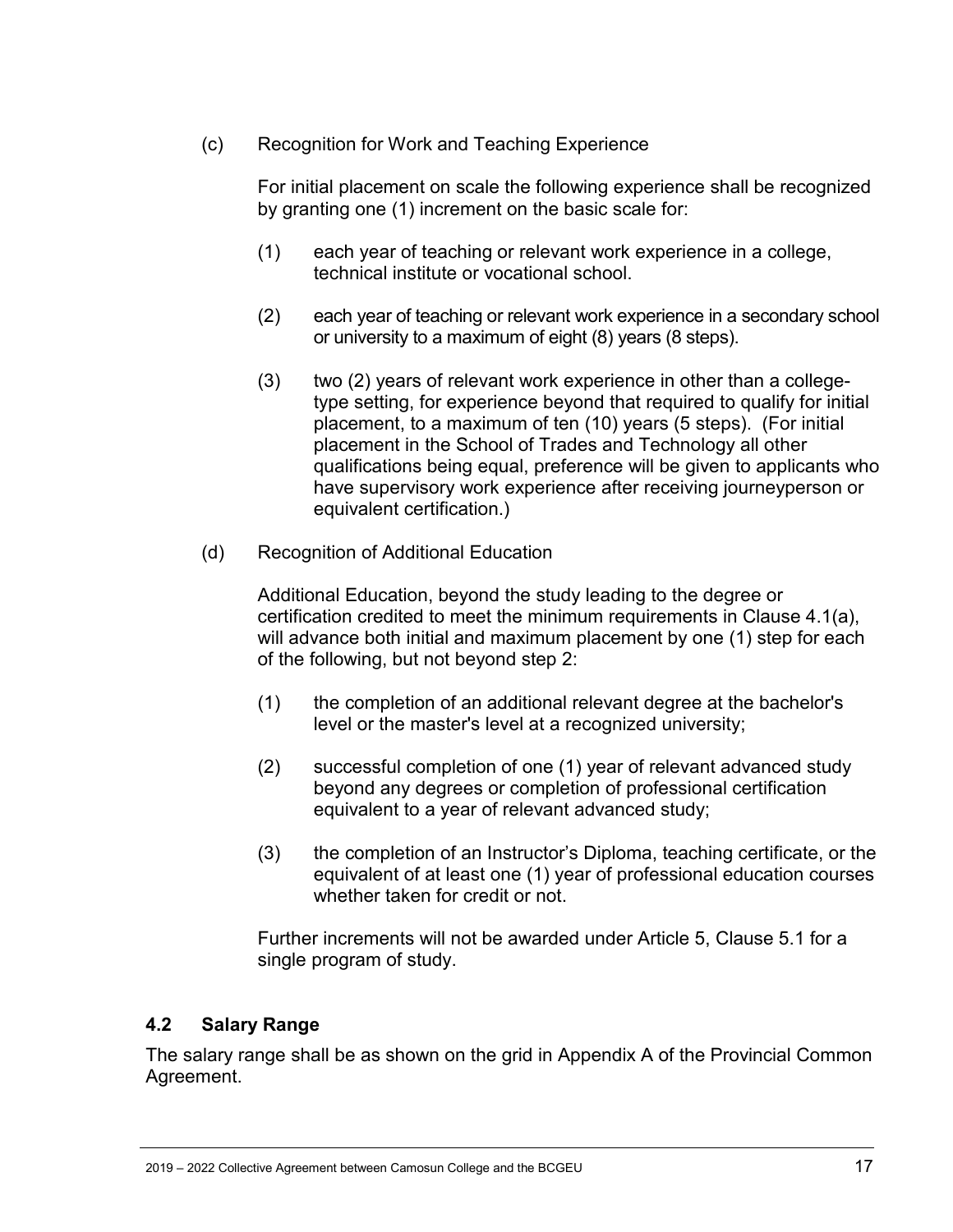(c) Recognition for Work and Teaching Experience

For initial placement on scale the following experience shall be recognized by granting one (1) increment on the basic scale for:

- (1) each year of teaching or relevant work experience in a college, technical institute or vocational school.
- (2) each year of teaching or relevant work experience in a secondary school or university to a maximum of eight (8) years (8 steps).
- (3) two (2) years of relevant work experience in other than a collegetype setting, for experience beyond that required to qualify for initial placement, to a maximum of ten (10) years (5 steps). (For initial placement in the School of Trades and Technology all other qualifications being equal, preference will be given to applicants who have supervisory work experience after receiving journeyperson or equivalent certification.)
- (d) Recognition of Additional Education

Additional Education, beyond the study leading to the degree or certification credited to meet the minimum requirements in Clause 4.1(a), will advance both initial and maximum placement by one (1) step for each of the following, but not beyond step 2:

- (1) the completion of an additional relevant degree at the bachelor's level or the master's level at a recognized university;
- (2) successful completion of one (1) year of relevant advanced study beyond any degrees or completion of professional certification equivalent to a year of relevant advanced study;
- (3) the completion of an Instructor's Diploma, teaching certificate, or the equivalent of at least one (1) year of professional education courses whether taken for credit or not.

Further increments will not be awarded under Article 5, Clause 5.1 for a single program of study.

#### <span id="page-16-0"></span>**4.2 Salary Range**

The salary range shall be as shown on the grid in Appendix A of the Provincial Common Agreement.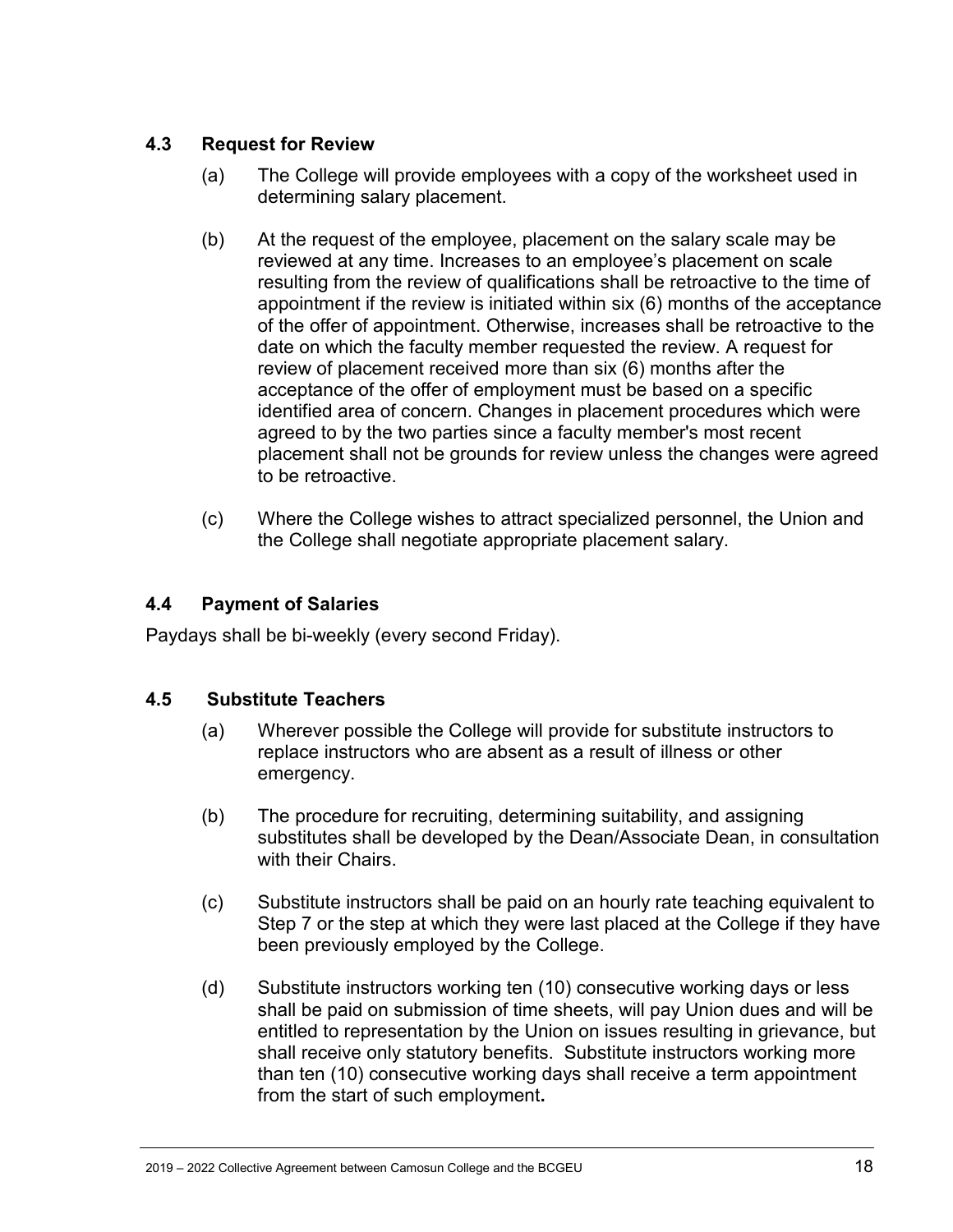### <span id="page-17-0"></span>**4.3 Request for Review**

- (a) The College will provide employees with a copy of the worksheet used in determining salary placement.
- (b) At the request of the employee, placement on the salary scale may be reviewed at any time. Increases to an employee's placement on scale resulting from the review of qualifications shall be retroactive to the time of appointment if the review is initiated within six (6) months of the acceptance of the offer of appointment. Otherwise, increases shall be retroactive to the date on which the faculty member requested the review. A request for review of placement received more than six (6) months after the acceptance of the offer of employment must be based on a specific identified area of concern. Changes in placement procedures which were agreed to by the two parties since a faculty member's most recent placement shall not be grounds for review unless the changes were agreed to be retroactive.
- (c) Where the College wishes to attract specialized personnel, the Union and the College shall negotiate appropriate placement salary.

#### <span id="page-17-1"></span>**4.4 Payment of Salaries**

Paydays shall be bi-weekly (every second Friday).

#### <span id="page-17-2"></span>**4.5 Substitute Teachers**

- (a) Wherever possible the College will provide for substitute instructors to replace instructors who are absent as a result of illness or other emergency.
- (b) The procedure for recruiting, determining suitability, and assigning substitutes shall be developed by the Dean/Associate Dean, in consultation with their Chairs.
- (c) Substitute instructors shall be paid on an hourly rate teaching equivalent to Step 7 or the step at which they were last placed at the College if they have been previously employed by the College.
- (d) Substitute instructors working ten (10) consecutive working days or less shall be paid on submission of time sheets, will pay Union dues and will be entitled to representation by the Union on issues resulting in grievance, but shall receive only statutory benefits. Substitute instructors working more than ten (10) consecutive working days shall receive a term appointment from the start of such employment**.**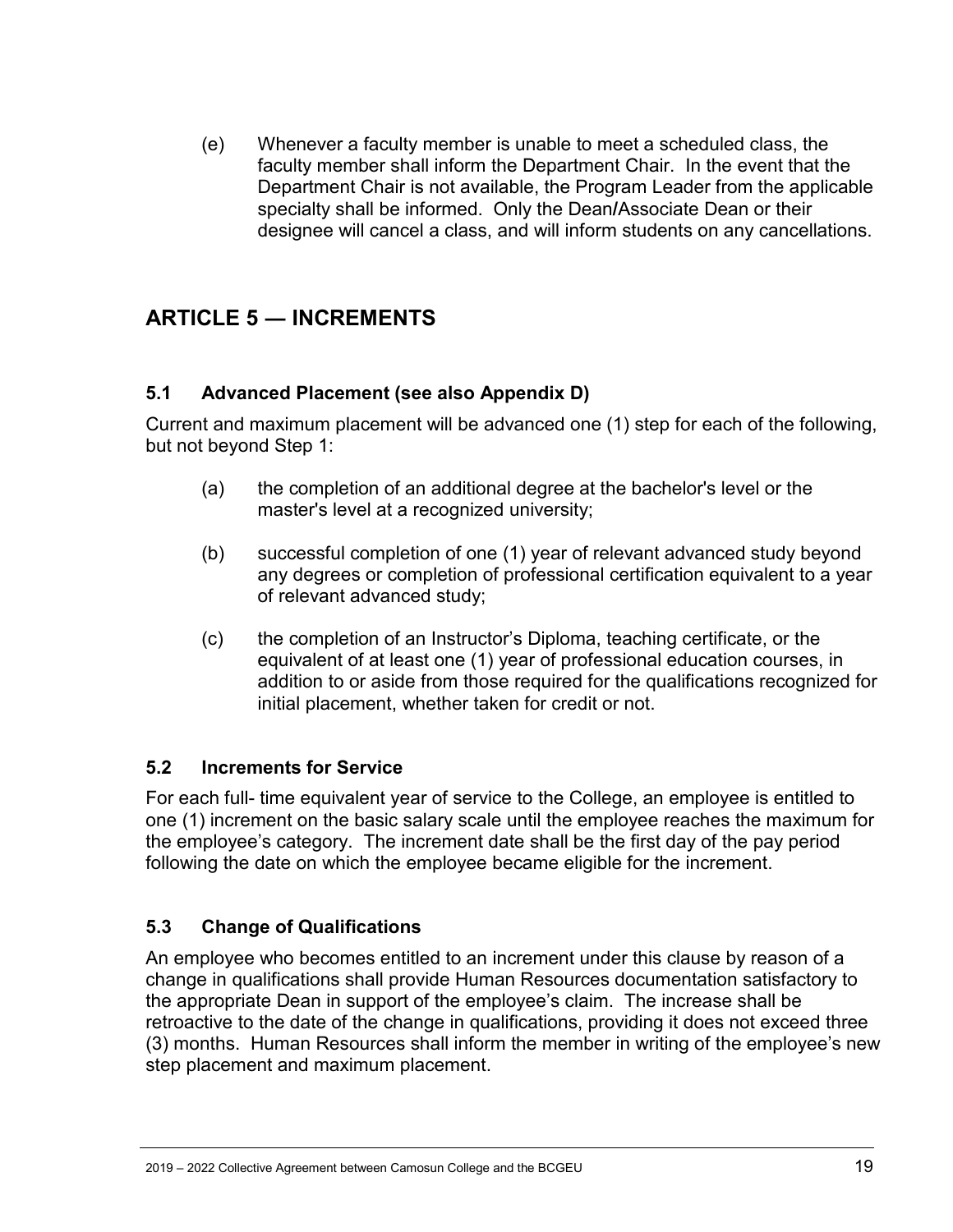(e) Whenever a faculty member is unable to meet a scheduled class, the faculty member shall inform the Department Chair. In the event that the Department Chair is not available, the Program Leader from the applicable specialty shall be informed.Only the Dean**/**Associate Dean or their designee will cancel a class, and will inform students on any cancellations.

# <span id="page-18-0"></span>**ARTICLE 5 ― INCREMENTS**

#### <span id="page-18-1"></span>**5.1 Advanced Placement (see also Appendix D)**

Current and maximum placement will be advanced one (1) step for each of the following, but not beyond Step 1:

- (a) the completion of an additional degree at the bachelor's level or the master's level at a recognized university;
- (b) successful completion of one (1) year of relevant advanced study beyond any degrees or completion of professional certification equivalent to a year of relevant advanced study;
- (c) the completion of an Instructor's Diploma, teaching certificate, or the equivalent of at least one (1) year of professional education courses, in addition to or aside from those required for the qualifications recognized for initial placement, whether taken for credit or not.

### <span id="page-18-2"></span>**5.2 Increments for Service**

For each full- time equivalent year of service to the College, an employee is entitled to one (1) increment on the basic salary scale until the employee reaches the maximum for the employee's category. The increment date shall be the first day of the pay period following the date on which the employee became eligible for the increment.

### <span id="page-18-3"></span>**5.3 Change of Qualifications**

An employee who becomes entitled to an increment under this clause by reason of a change in qualifications shall provide Human Resources documentation satisfactory to the appropriate Dean in support of the employee's claim. The increase shall be retroactive to the date of the change in qualifications, providing it does not exceed three (3) months. Human Resources shall inform the member in writing of the employee's new step placement and maximum placement.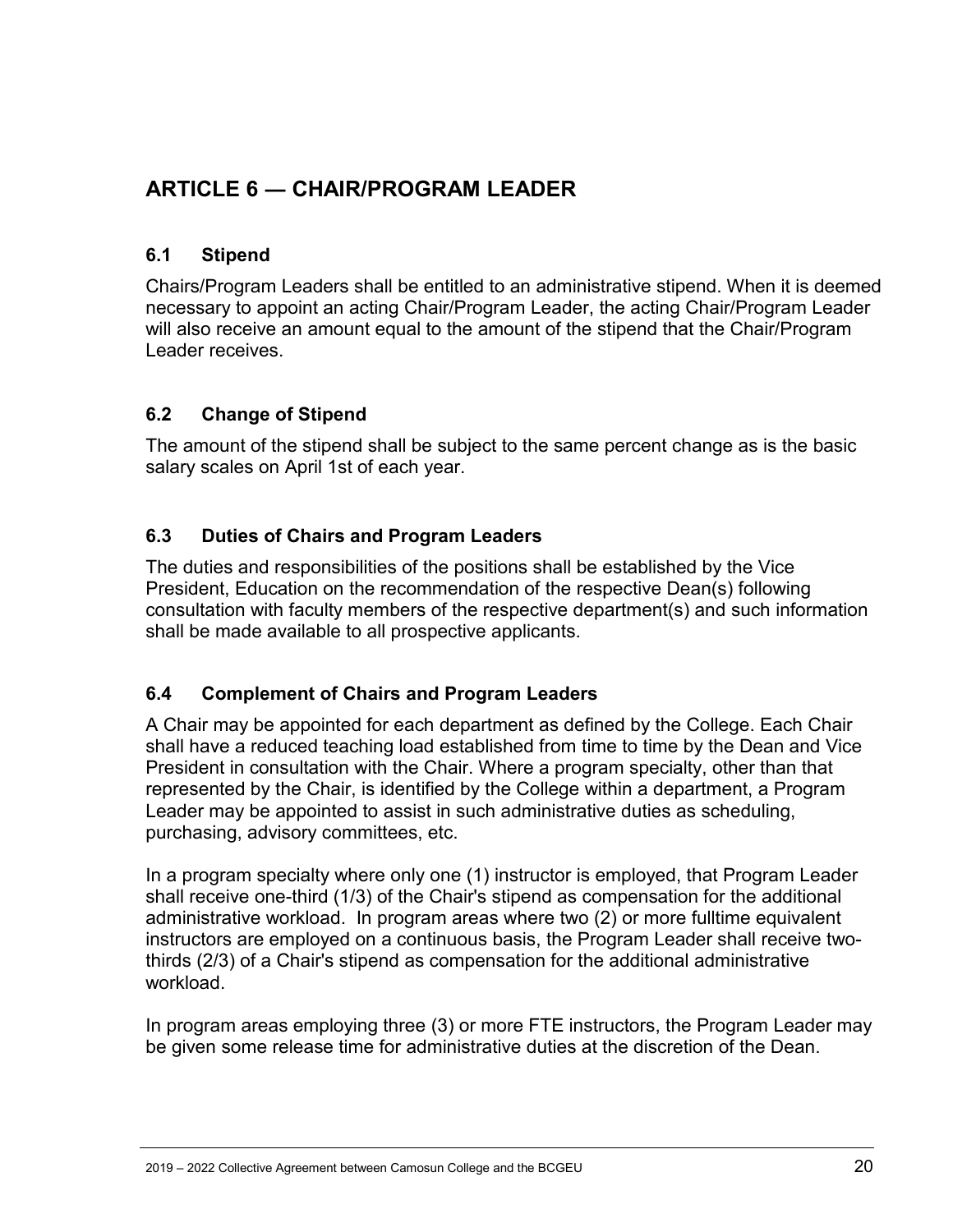# <span id="page-19-0"></span>**ARTICLE 6 ― CHAIR/PROGRAM LEADER**

### <span id="page-19-1"></span>**6.1 Stipend**

Chairs/Program Leaders shall be entitled to an administrative stipend. When it is deemed necessary to appoint an acting Chair/Program Leader, the acting Chair/Program Leader will also receive an amount equal to the amount of the stipend that the Chair/Program Leader receives.

#### <span id="page-19-2"></span>**6.2 Change of Stipend**

The amount of the stipend shall be subject to the same percent change as is the basic salary scales on April 1st of each year.

#### <span id="page-19-3"></span>**6.3 Duties of Chairs and Program Leaders**

The duties and responsibilities of the positions shall be established by the Vice President, Education on the recommendation of the respective Dean(s) following consultation with faculty members of the respective department(s) and such information shall be made available to all prospective applicants.

#### <span id="page-19-4"></span>**6.4 Complement of Chairs and Program Leaders**

A Chair may be appointed for each department as defined by the College. Each Chair shall have a reduced teaching load established from time to time by the Dean and Vice President in consultation with the Chair. Where a program specialty, other than that represented by the Chair, is identified by the College within a department, a Program Leader may be appointed to assist in such administrative duties as scheduling, purchasing, advisory committees, etc.

In a program specialty where only one (1) instructor is employed, that Program Leader shall receive one-third (1/3) of the Chair's stipend as compensation for the additional administrative workload. In program areas where two (2) or more fulltime equivalent instructors are employed on a continuous basis, the Program Leader shall receive twothirds (2/3) of a Chair's stipend as compensation for the additional administrative workload.

In program areas employing three (3) or more FTE instructors, the Program Leader may be given some release time for administrative duties at the discretion of the Dean.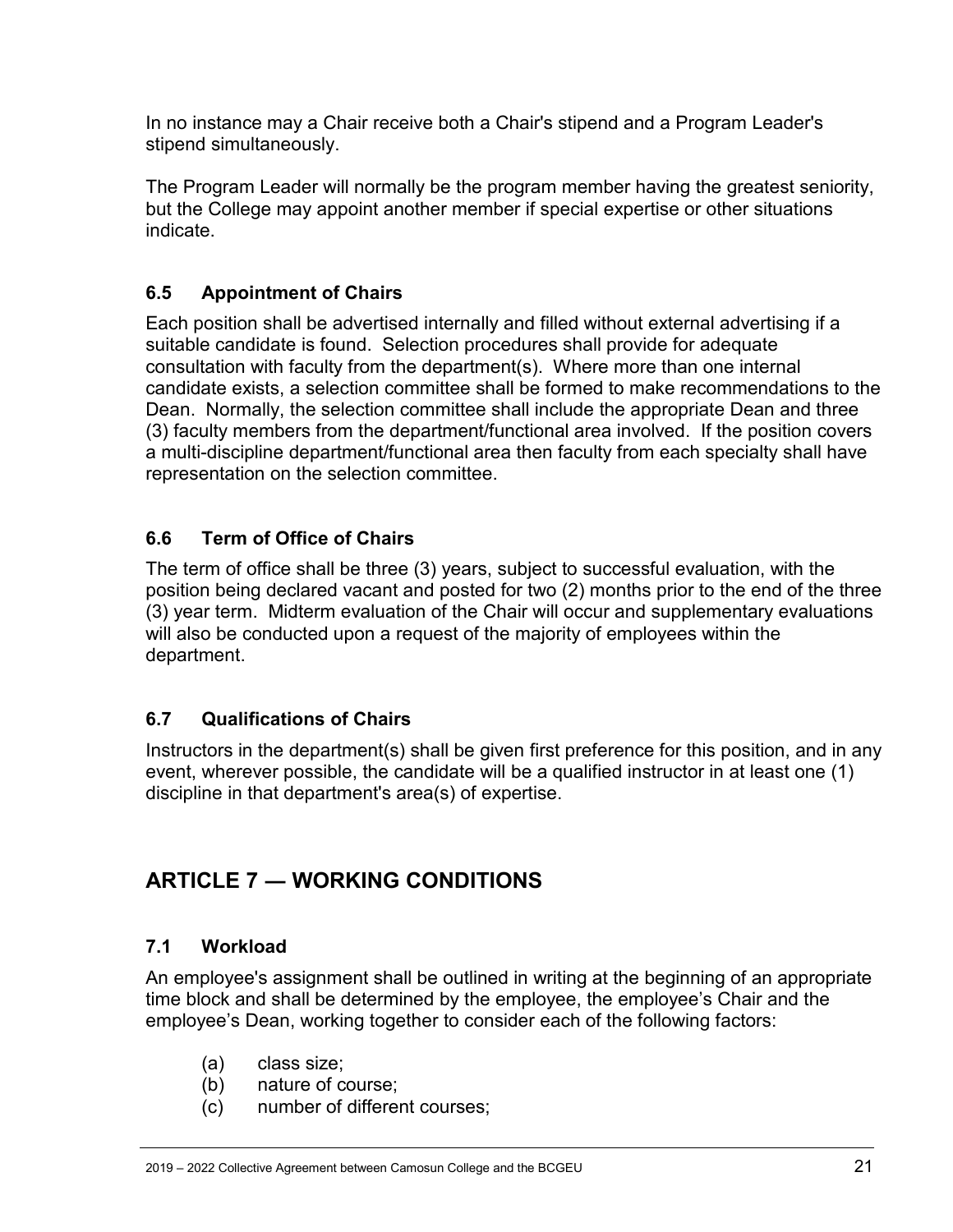In no instance may a Chair receive both a Chair's stipend and a Program Leader's stipend simultaneously.

The Program Leader will normally be the program member having the greatest seniority, but the College may appoint another member if special expertise or other situations indicate.

# <span id="page-20-0"></span>**6.5 Appointment of Chairs**

Each position shall be advertised internally and filled without external advertising if a suitable candidate is found. Selection procedures shall provide for adequate consultation with faculty from the department(s). Where more than one internal candidate exists, a selection committee shall be formed to make recommendations to the Dean. Normally, the selection committee shall include the appropriate Dean and three (3) faculty members from the department/functional area involved. If the position covers a multi-discipline department/functional area then faculty from each specialty shall have representation on the selection committee.

### <span id="page-20-1"></span>**6.6 Term of Office of Chairs**

The term of office shall be three (3) years, subject to successful evaluation, with the position being declared vacant and posted for two (2) months prior to the end of the three (3) year term. Midterm evaluation of the Chair will occur and supplementary evaluations will also be conducted upon a request of the majority of employees within the department.

### <span id="page-20-2"></span>**6.7 Qualifications of Chairs**

Instructors in the department(s) shall be given first preference for this position, and in any event, wherever possible, the candidate will be a qualified instructor in at least one (1) discipline in that department's area(s) of expertise.

# <span id="page-20-3"></span>**ARTICLE 7 ― WORKING CONDITIONS**

### <span id="page-20-4"></span>**7.1 Workload**

An employee's assignment shall be outlined in writing at the beginning of an appropriate time block and shall be determined by the employee, the employee's Chair and the employee's Dean, working together to consider each of the following factors:

- (a) class size;
- (b) nature of course;
- (c) number of different courses;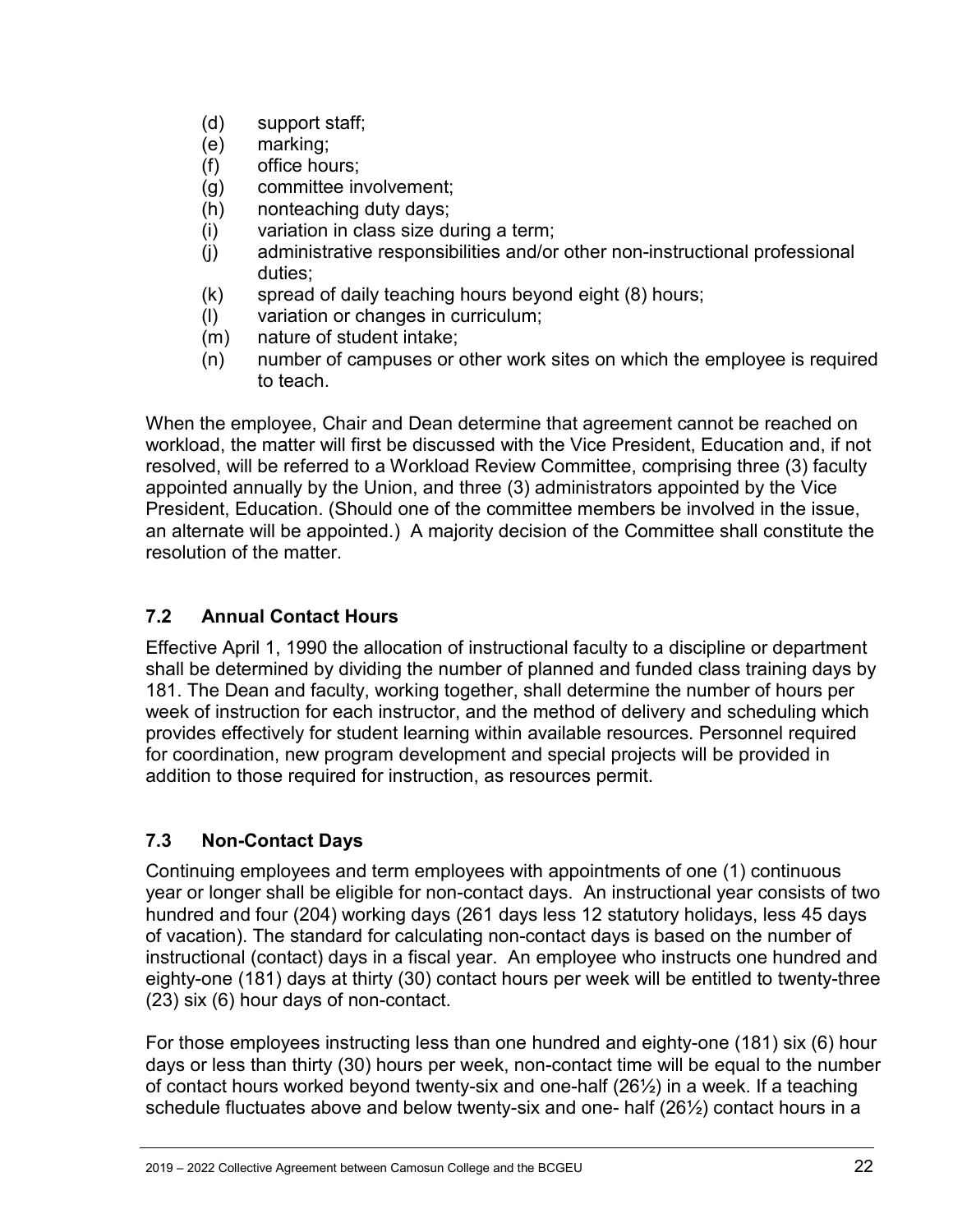- (d) support staff;
- (e) marking;
- (f) office hours;
- (g) committee involvement;
- (h) nonteaching duty days;
- (i) variation in class size during a term;
- (j) administrative responsibilities and/or other non-instructional professional duties;
- (k) spread of daily teaching hours beyond eight (8) hours;
- (l) variation or changes in curriculum;
- (m) nature of student intake;
- (n) number of campuses or other work sites on which the employee is required to teach.

When the employee, Chair and Dean determine that agreement cannot be reached on workload, the matter will first be discussed with the Vice President, Education and, if not resolved, will be referred to a Workload Review Committee, comprising three (3) faculty appointed annually by the Union, and three (3) administrators appointed by the Vice President, Education. (Should one of the committee members be involved in the issue, an alternate will be appointed.) A majority decision of the Committee shall constitute the resolution of the matter.

### <span id="page-21-0"></span>**7.2 Annual Contact Hours**

Effective April 1, 1990 the allocation of instructional faculty to a discipline or department shall be determined by dividing the number of planned and funded class training days by 181. The Dean and faculty, working together, shall determine the number of hours per week of instruction for each instructor, and the method of delivery and scheduling which provides effectively for student learning within available resources. Personnel required for coordination, new program development and special projects will be provided in addition to those required for instruction, as resources permit.

### <span id="page-21-1"></span>**7.3 Non-Contact Days**

Continuing employees and term employees with appointments of one (1) continuous year or longer shall be eligible for non-contact days. An instructional year consists of two hundred and four (204) working days (261 days less 12 statutory holidays, less 45 days of vacation). The standard for calculating non-contact days is based on the number of instructional (contact) days in a fiscal year. An employee who instructs one hundred and eighty-one (181) days at thirty (30) contact hours per week will be entitled to twenty-three (23) six (6) hour days of non-contact.

For those employees instructing less than one hundred and eighty-one (181) six (6) hour days or less than thirty (30) hours per week, non-contact time will be equal to the number of contact hours worked beyond twenty-six and one-half (26½) in a week. If a teaching schedule fluctuates above and below twenty-six and one- half (26½) contact hours in a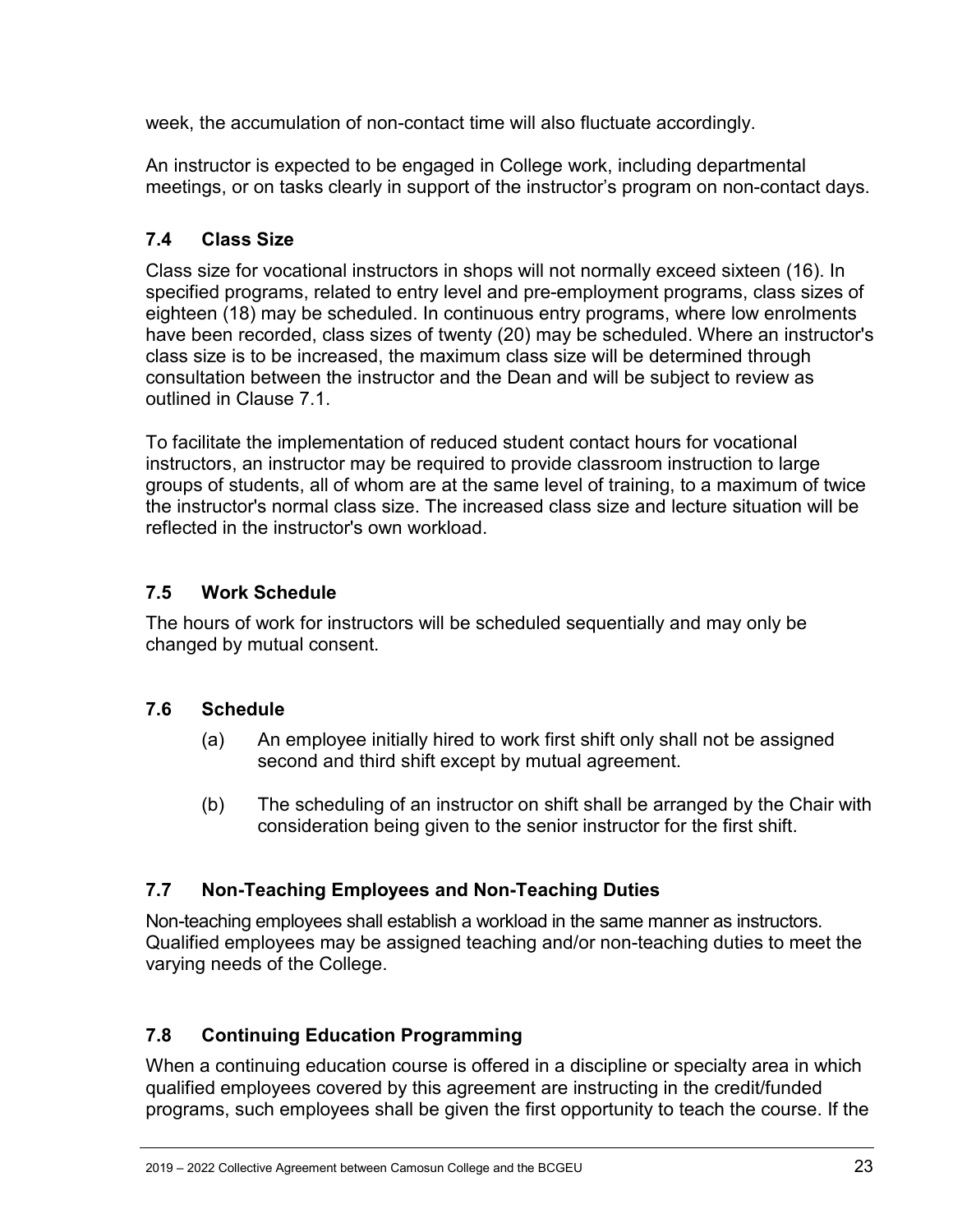week, the accumulation of non-contact time will also fluctuate accordingly.

An instructor is expected to be engaged in College work, including departmental meetings, or on tasks clearly in support of the instructor's program on non-contact days.

# <span id="page-22-0"></span>**7.4 Class Size**

Class size for vocational instructors in shops will not normally exceed sixteen (16). In specified programs, related to entry level and pre-employment programs, class sizes of eighteen (18) may be scheduled. In continuous entry programs, where low enrolments have been recorded, class sizes of twenty (20) may be scheduled. Where an instructor's class size is to be increased, the maximum class size will be determined through consultation between the instructor and the Dean and will be subject to review as outlined in Clause 7.1.

To facilitate the implementation of reduced student contact hours for vocational instructors, an instructor may be required to provide classroom instruction to large groups of students, all of whom are at the same level of training, to a maximum of twice the instructor's normal class size. The increased class size and lecture situation will be reflected in the instructor's own workload.

### <span id="page-22-1"></span>**7.5 Work Schedule**

The hours of work for instructors will be scheduled sequentially and may only be changed by mutual consent.

### <span id="page-22-2"></span>**7.6 Schedule**

- (a) An employee initially hired to work first shift only shall not be assigned second and third shift except by mutual agreement.
- (b) The scheduling of an instructor on shift shall be arranged by the Chair with consideration being given to the senior instructor for the first shift.

### <span id="page-22-3"></span>**7.7 Non-Teaching Employees and Non-Teaching Duties**

Non-teaching employees shall establish a workload in the same manner as instructors. Qualified employees may be assigned teaching and/or non-teaching duties to meet the varying needs of the College.

### <span id="page-22-4"></span>**7.8 Continuing Education Programming**

When a continuing education course is offered in a discipline or specialty area in which qualified employees covered by this agreement are instructing in the credit/funded programs, such employees shall be given the first opportunity to teach the course. If the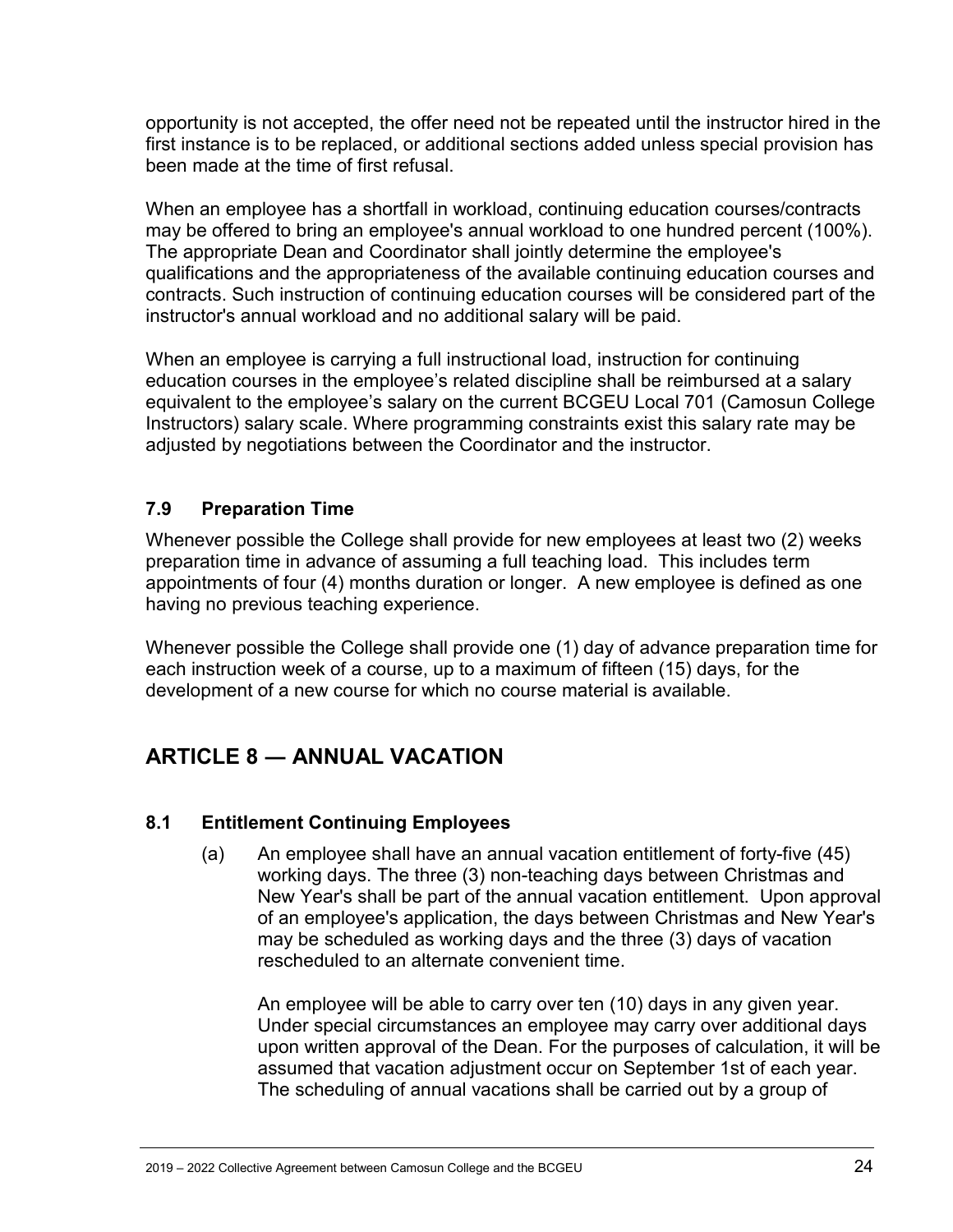opportunity is not accepted, the offer need not be repeated until the instructor hired in the first instance is to be replaced, or additional sections added unless special provision has been made at the time of first refusal.

When an employee has a shortfall in workload, continuing education courses/contracts may be offered to bring an employee's annual workload to one hundred percent (100%). The appropriate Dean and Coordinator shall jointly determine the employee's qualifications and the appropriateness of the available continuing education courses and contracts. Such instruction of continuing education courses will be considered part of the instructor's annual workload and no additional salary will be paid.

When an employee is carrying a full instructional load, instruction for continuing education courses in the employee's related discipline shall be reimbursed at a salary equivalent to the employee's salary on the current BCGEU Local 701 (Camosun College Instructors) salary scale. Where programming constraints exist this salary rate may be adjusted by negotiations between the Coordinator and the instructor.

#### <span id="page-23-0"></span>**7.9 Preparation Time**

Whenever possible the College shall provide for new employees at least two (2) weeks preparation time in advance of assuming a full teaching load. This includes term appointments of four (4) months duration or longer. A new employee is defined as one having no previous teaching experience.

Whenever possible the College shall provide one (1) day of advance preparation time for each instruction week of a course, up to a maximum of fifteen (15) days, for the development of a new course for which no course material is available.

# <span id="page-23-1"></span>**ARTICLE 8 ― ANNUAL VACATION**

#### <span id="page-23-2"></span>**8.1 Entitlement Continuing Employees**

(a) An employee shall have an annual vacation entitlement of forty-five (45) working days. The three (3) non-teaching days between Christmas and New Year's shall be part of the annual vacation entitlement. Upon approval of an employee's application, the days between Christmas and New Year's may be scheduled as working days and the three (3) days of vacation rescheduled to an alternate convenient time.

An employee will be able to carry over ten (10) days in any given year. Under special circumstances an employee may carry over additional days upon written approval of the Dean. For the purposes of calculation, it will be assumed that vacation adjustment occur on September 1st of each year. The scheduling of annual vacations shall be carried out by a group of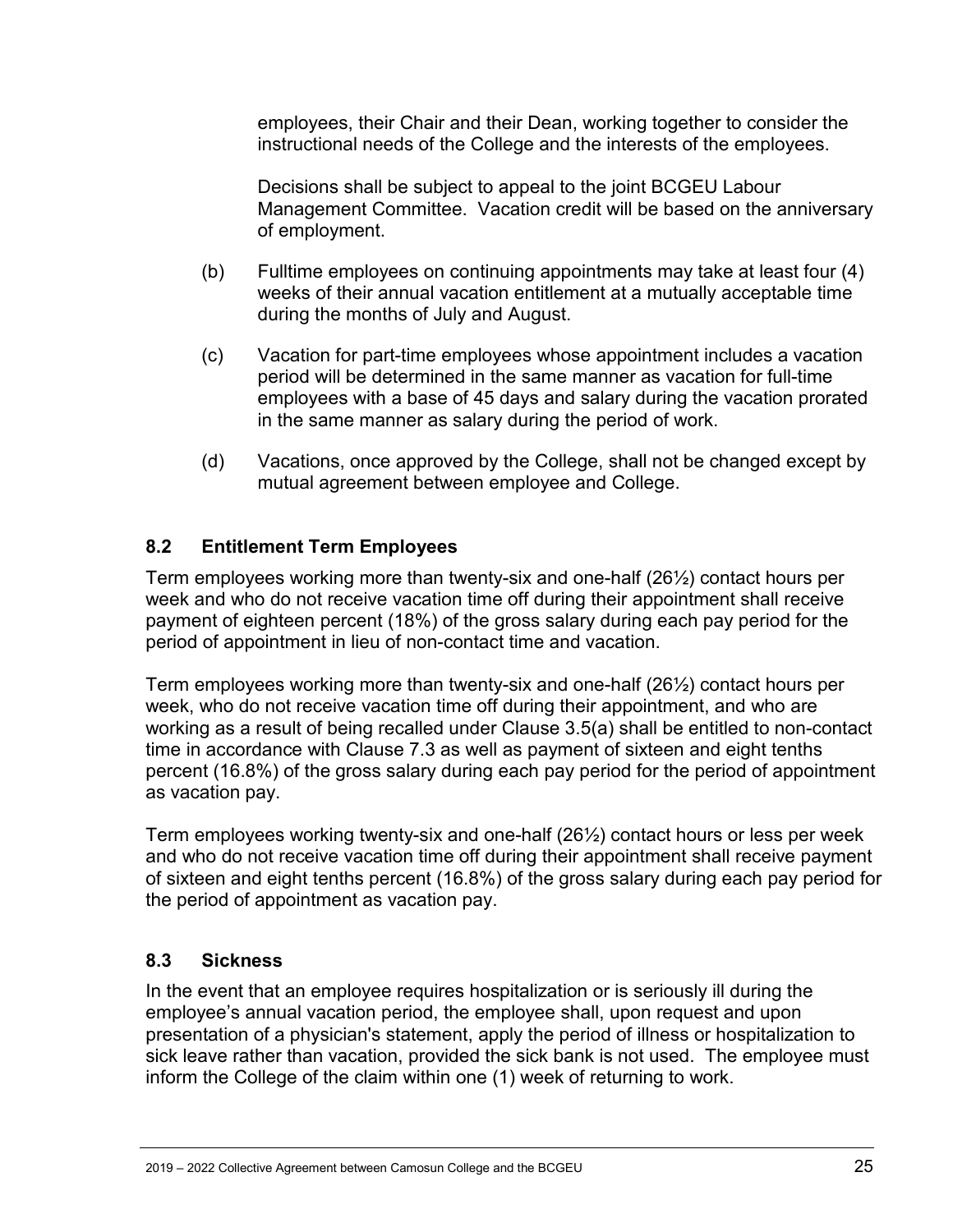employees, their Chair and their Dean, working together to consider the instructional needs of the College and the interests of the employees.

Decisions shall be subject to appeal to the joint BCGEU Labour Management Committee. Vacation credit will be based on the anniversary of employment.

- (b) Fulltime employees on continuing appointments may take at least four (4) weeks of their annual vacation entitlement at a mutually acceptable time during the months of July and August.
- (c) Vacation for part-time employees whose appointment includes a vacation period will be determined in the same manner as vacation for full-time employees with a base of 45 days and salary during the vacation prorated in the same manner as salary during the period of work.
- (d) Vacations, once approved by the College, shall not be changed except by mutual agreement between employee and College.

#### <span id="page-24-0"></span>**8.2 Entitlement Term Employees**

Term employees working more than twenty-six and one-half (26½) contact hours per week and who do not receive vacation time off during their appointment shall receive payment of eighteen percent (18%) of the gross salary during each pay period for the period of appointment in lieu of non-contact time and vacation.

Term employees working more than twenty-six and one-half (26½) contact hours per week, who do not receive vacation time off during their appointment, and who are working as a result of being recalled under Clause 3.5(a) shall be entitled to non-contact time in accordance with Clause 7.3 as well as payment of sixteen and eight tenths percent (16.8%) of the gross salary during each pay period for the period of appointment as vacation pay.

Term employees working twenty-six and one-half (26½) contact hours or less per week and who do not receive vacation time off during their appointment shall receive payment of sixteen and eight tenths percent (16.8%) of the gross salary during each pay period for the period of appointment as vacation pay.

### <span id="page-24-1"></span>**8.3 Sickness**

In the event that an employee requires hospitalization or is seriously ill during the employee's annual vacation period, the employee shall, upon request and upon presentation of a physician's statement, apply the period of illness or hospitalization to sick leave rather than vacation, provided the sick bank is not used. The employee must inform the College of the claim within one (1) week of returning to work.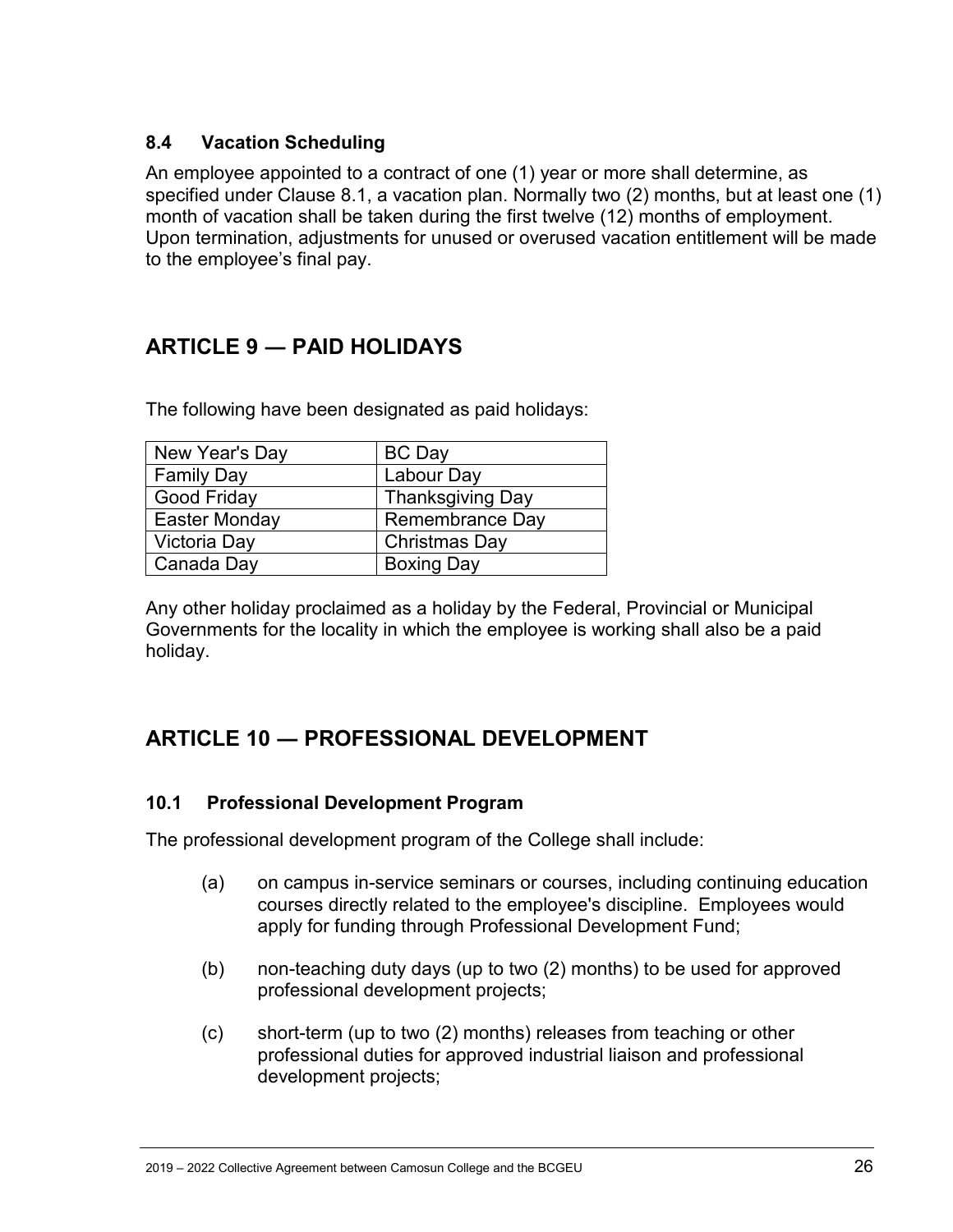#### <span id="page-25-0"></span>**8.4 Vacation Scheduling**

An employee appointed to a contract of one (1) year or more shall determine, as specified under Clause 8.1, a vacation plan. Normally two (2) months, but at least one (1) month of vacation shall be taken during the first twelve (12) months of employment. Upon termination, adjustments for unused or overused vacation entitlement will be made to the employee's final pay.

# <span id="page-25-1"></span>**ARTICLE 9 ― PAID HOLIDAYS**

The following have been designated as paid holidays:

| New Year's Day     | <b>BC</b> Day           |
|--------------------|-------------------------|
| <b>Family Day</b>  | Labour Day              |
| <b>Good Friday</b> | <b>Thanksgiving Day</b> |
| Easter Monday      | <b>Remembrance Day</b>  |
| Victoria Day       | <b>Christmas Day</b>    |
| Canada Day         | <b>Boxing Day</b>       |

Any other holiday proclaimed as a holiday by the Federal, Provincial or Municipal Governments for the locality in which the employee is working shall also be a paid holiday.

# <span id="page-25-2"></span>**ARTICLE 10 ― PROFESSIONAL DEVELOPMENT**

#### <span id="page-25-3"></span>**10.1 Professional Development Program**

The professional development program of the College shall include:

- (a) on campus in-service seminars or courses, including continuing education courses directly related to the employee's discipline. Employees would apply for funding through Professional Development Fund;
- (b) non-teaching duty days (up to two (2) months) to be used for approved professional development projects;
- (c) short-term (up to two (2) months) releases from teaching or other professional duties for approved industrial liaison and professional development projects;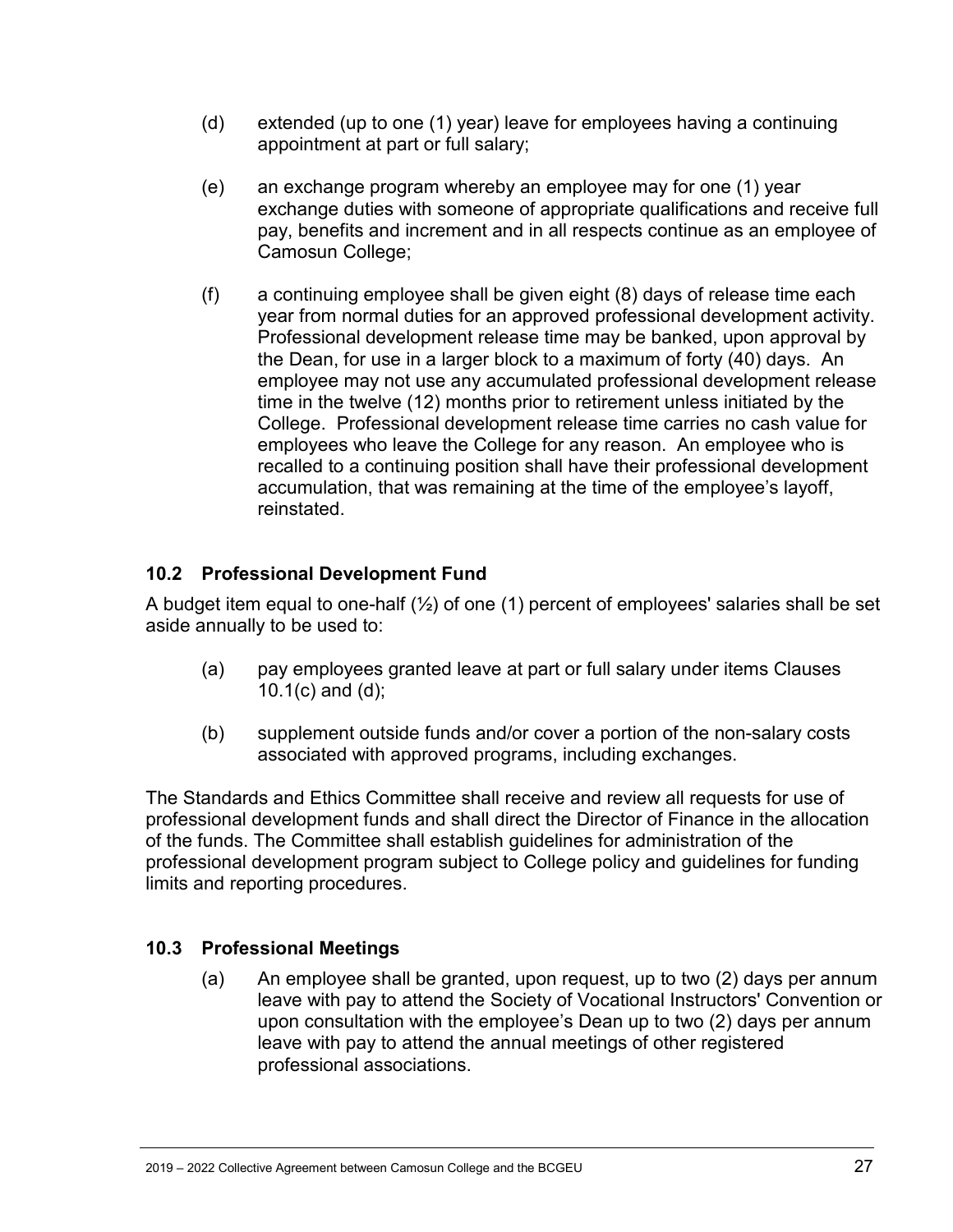- (d) extended (up to one (1) year) leave for employees having a continuing appointment at part or full salary;
- (e) an exchange program whereby an employee may for one (1) year exchange duties with someone of appropriate qualifications and receive full pay, benefits and increment and in all respects continue as an employee of Camosun College;
- (f) a continuing employee shall be given eight (8) days of release time each year from normal duties for an approved professional development activity. Professional development release time may be banked, upon approval by the Dean, for use in a larger block to a maximum of forty (40) days. An employee may not use any accumulated professional development release time in the twelve (12) months prior to retirement unless initiated by the College. Professional development release time carries no cash value for employees who leave the College for any reason. An employee who is recalled to a continuing position shall have their professional development accumulation, that was remaining at the time of the employee's layoff, reinstated.

### <span id="page-26-0"></span>**10.2 Professional Development Fund**

A budget item equal to one-half (½) of one (1) percent of employees' salaries shall be set aside annually to be used to:

- (a) pay employees granted leave at part or full salary under items Clauses 10.1(c) and (d);
- (b) supplement outside funds and/or cover a portion of the non-salary costs associated with approved programs, including exchanges.

The Standards and Ethics Committee shall receive and review all requests for use of professional development funds and shall direct the Director of Finance in the allocation of the funds. The Committee shall establish guidelines for administration of the professional development program subject to College policy and guidelines for funding limits and reporting procedures.

### <span id="page-26-1"></span>**10.3 Professional Meetings**

(a) An employee shall be granted, upon request, up to two (2) days per annum leave with pay to attend the Society of Vocational Instructors' Convention or upon consultation with the employee's Dean up to two (2) days per annum leave with pay to attend the annual meetings of other registered professional associations.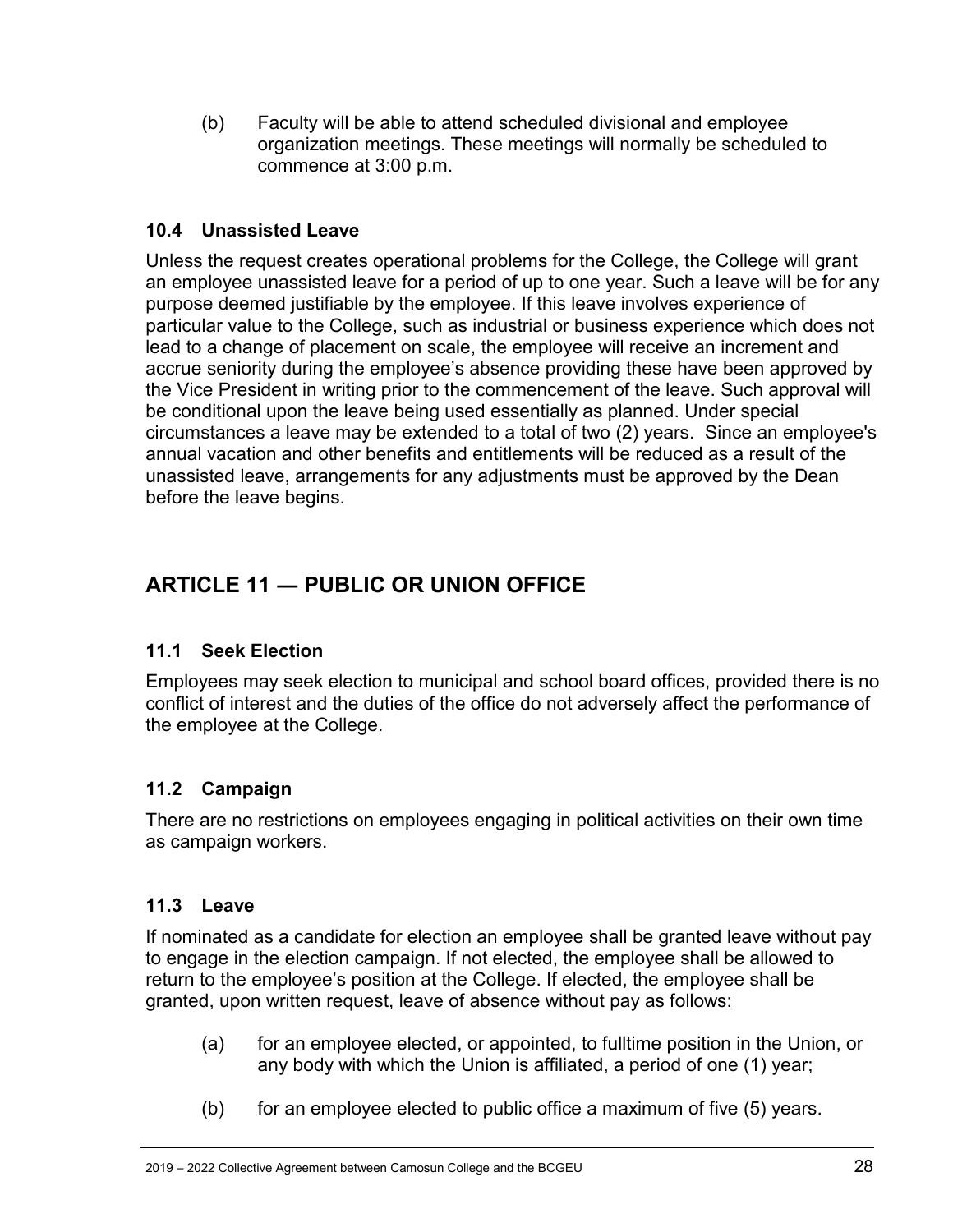(b) Faculty will be able to attend scheduled divisional and employee organization meetings. These meetings will normally be scheduled to commence at 3:00 p.m.

#### <span id="page-27-0"></span>**10.4 Unassisted Leave**

Unless the request creates operational problems for the College, the College will grant an employee unassisted leave for a period of up to one year. Such a leave will be for any purpose deemed justifiable by the employee. If this leave involves experience of particular value to the College, such as industrial or business experience which does not lead to a change of placement on scale, the employee will receive an increment and accrue seniority during the employee's absence providing these have been approved by the Vice President in writing prior to the commencement of the leave. Such approval will be conditional upon the leave being used essentially as planned. Under special circumstances a leave may be extended to a total of two (2) years. Since an employee's annual vacation and other benefits and entitlements will be reduced as a result of the unassisted leave, arrangements for any adjustments must be approved by the Dean before the leave begins.

# <span id="page-27-1"></span>**ARTICLE 11 ― PUBLIC OR UNION OFFICE**

#### <span id="page-27-2"></span>**11.1 Seek Election**

Employees may seek election to municipal and school board offices, provided there is no conflict of interest and the duties of the office do not adversely affect the performance of the employee at the College.

### <span id="page-27-3"></span>**11.2 Campaign**

There are no restrictions on employees engaging in political activities on their own time as campaign workers.

#### <span id="page-27-4"></span>**11.3 Leave**

If nominated as a candidate for election an employee shall be granted leave without pay to engage in the election campaign. If not elected, the employee shall be allowed to return to the employee's position at the College. If elected, the employee shall be granted, upon written request, leave of absence without pay as follows:

- (a) for an employee elected, or appointed, to fulltime position in the Union, or any body with which the Union is affiliated, a period of one (1) year;
- (b) for an employee elected to public office a maximum of five (5) years.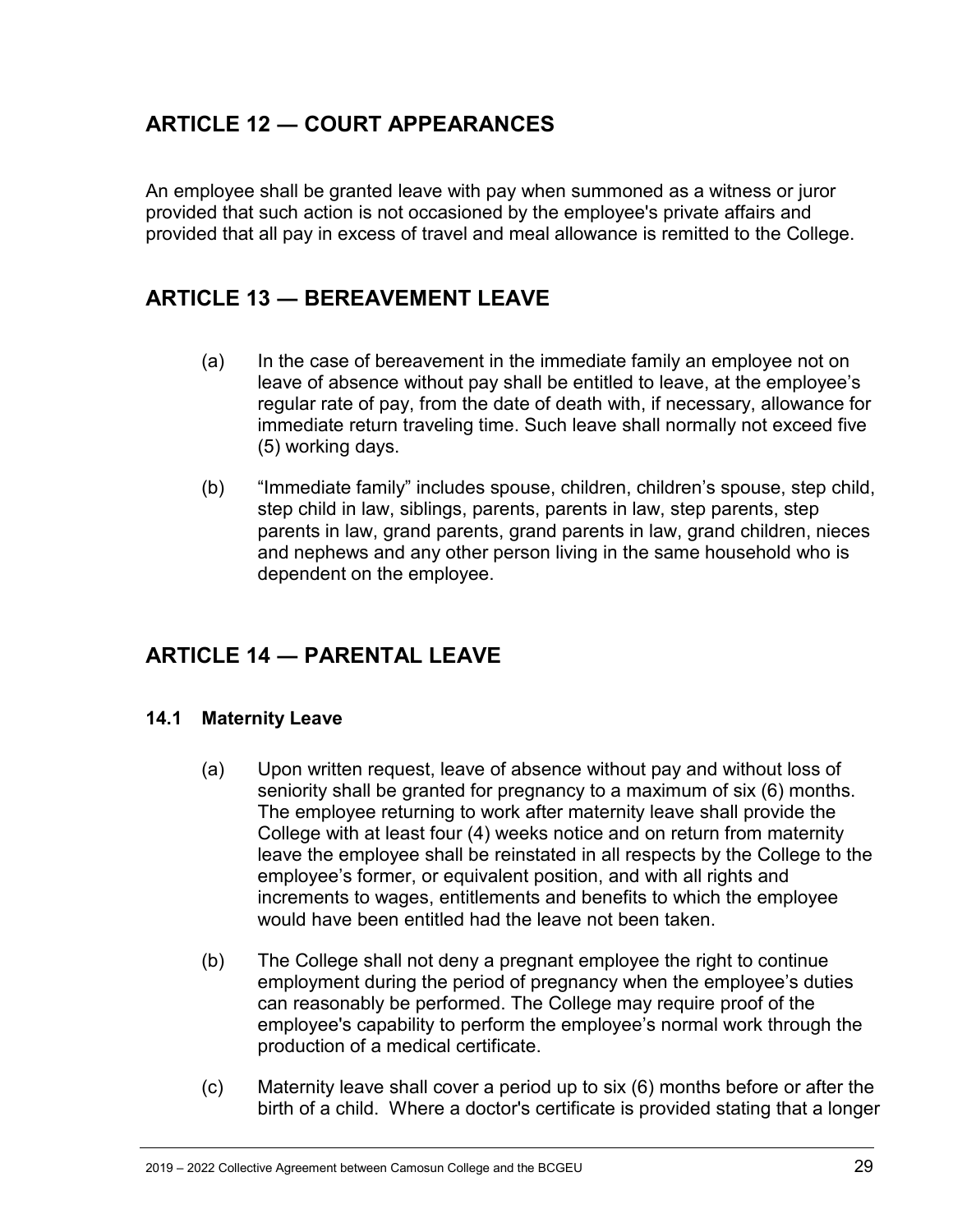# <span id="page-28-0"></span>**ARTICLE 12 ― COURT APPEARANCES**

An employee shall be granted leave with pay when summoned as a witness or juror provided that such action is not occasioned by the employee's private affairs and provided that all pay in excess of travel and meal allowance is remitted to the College.

# <span id="page-28-1"></span>**ARTICLE 13 ― BEREAVEMENT LEAVE**

- (a) In the case of bereavement in the immediate family an employee not on leave of absence without pay shall be entitled to leave, at the employee's regular rate of pay, from the date of death with, if necessary, allowance for immediate return traveling time. Such leave shall normally not exceed five (5) working days.
- (b) "Immediate family" includes spouse, children, children's spouse, step child, step child in law, siblings, parents, parents in law, step parents, step parents in law, grand parents, grand parents in law, grand children, nieces and nephews and any other person living in the same household who is dependent on the employee.

# <span id="page-28-2"></span>**ARTICLE 14 ― PARENTAL LEAVE**

#### <span id="page-28-3"></span>**14.1 Maternity Leave**

- (a) Upon written request, leave of absence without pay and without loss of seniority shall be granted for pregnancy to a maximum of six (6) months. The employee returning to work after maternity leave shall provide the College with at least four (4) weeks notice and on return from maternity leave the employee shall be reinstated in all respects by the College to the employee's former, or equivalent position, and with all rights and increments to wages, entitlements and benefits to which the employee would have been entitled had the leave not been taken.
- (b) The College shall not deny a pregnant employee the right to continue employment during the period of pregnancy when the employee's duties can reasonably be performed. The College may require proof of the employee's capability to perform the employee's normal work through the production of a medical certificate.
- (c) Maternity leave shall cover a period up to six (6) months before or after the birth of a child. Where a doctor's certificate is provided stating that a longer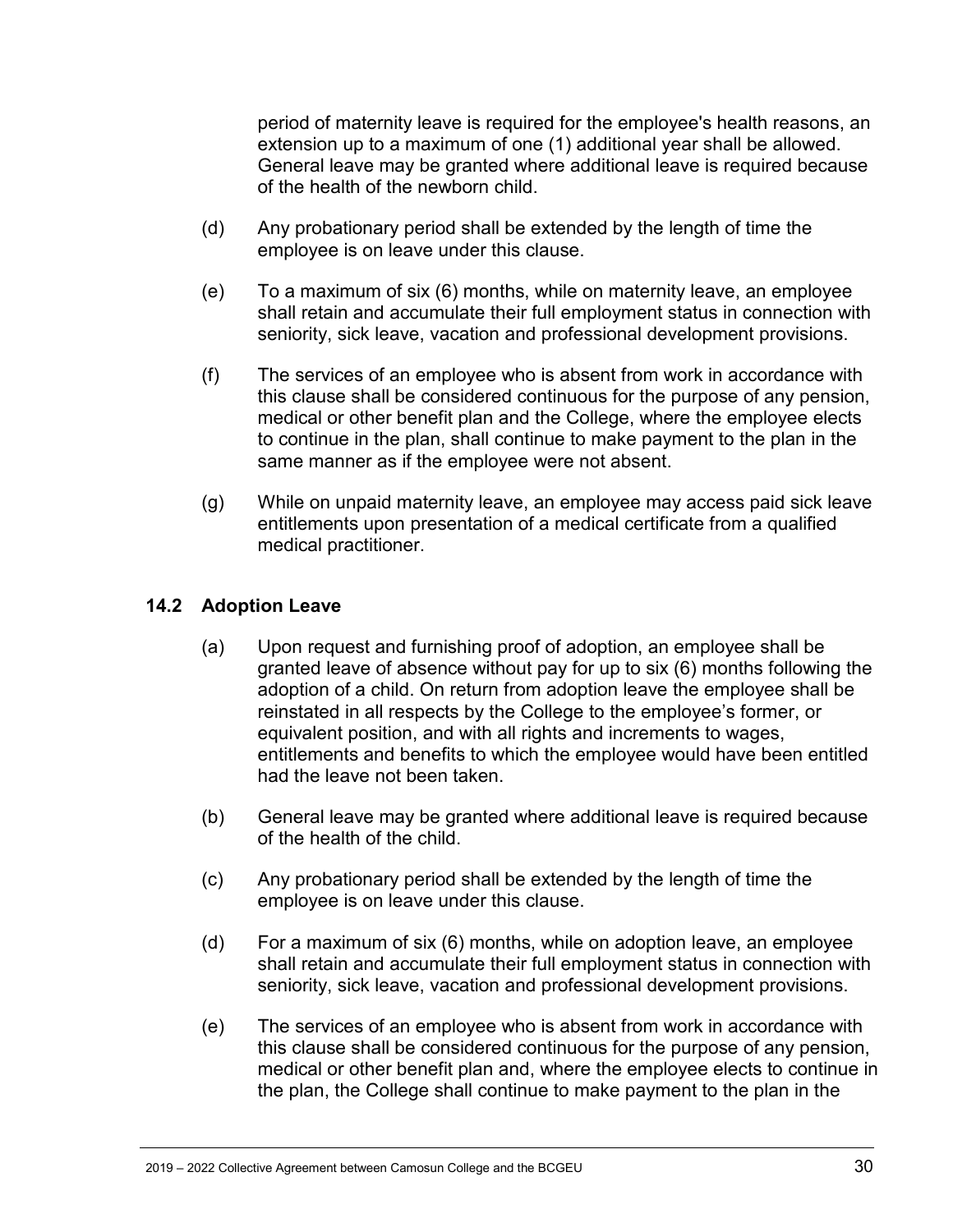period of maternity leave is required for the employee's health reasons, an extension up to a maximum of one (1) additional year shall be allowed. General leave may be granted where additional leave is required because of the health of the newborn child.

- (d) Any probationary period shall be extended by the length of time the employee is on leave under this clause.
- (e) To a maximum of six (6) months, while on maternity leave, an employee shall retain and accumulate their full employment status in connection with seniority, sick leave, vacation and professional development provisions.
- (f) The services of an employee who is absent from work in accordance with this clause shall be considered continuous for the purpose of any pension, medical or other benefit plan and the College, where the employee elects to continue in the plan, shall continue to make payment to the plan in the same manner as if the employee were not absent.
- (g) While on unpaid maternity leave, an employee may access paid sick leave entitlements upon presentation of a medical certificate from a qualified medical practitioner.

#### <span id="page-29-0"></span>**14.2 Adoption Leave**

- (a) Upon request and furnishing proof of adoption, an employee shall be granted leave of absence without pay for up to six (6) months following the adoption of a child. On return from adoption leave the employee shall be reinstated in all respects by the College to the employee's former, or equivalent position, and with all rights and increments to wages, entitlements and benefits to which the employee would have been entitled had the leave not been taken.
- (b) General leave may be granted where additional leave is required because of the health of the child.
- (c) Any probationary period shall be extended by the length of time the employee is on leave under this clause.
- (d) For a maximum of six (6) months, while on adoption leave, an employee shall retain and accumulate their full employment status in connection with seniority, sick leave, vacation and professional development provisions.
- (e) The services of an employee who is absent from work in accordance with this clause shall be considered continuous for the purpose of any pension, medical or other benefit plan and, where the employee elects to continue in the plan, the College shall continue to make payment to the plan in the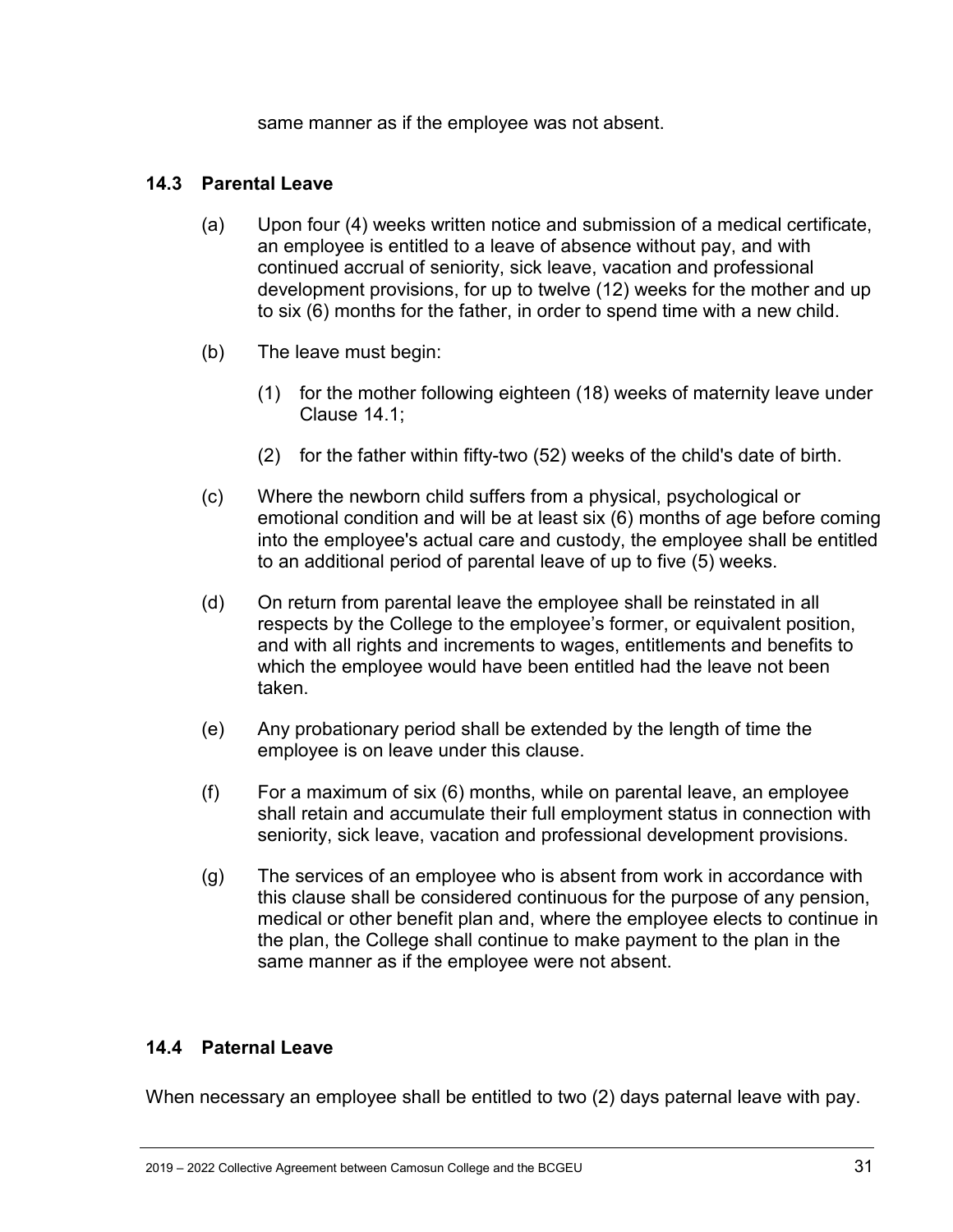same manner as if the employee was not absent.

#### <span id="page-30-0"></span>**14.3 Parental Leave**

- (a) Upon four (4) weeks written notice and submission of a medical certificate, an employee is entitled to a leave of absence without pay, and with continued accrual of seniority, sick leave, vacation and professional development provisions, for up to twelve (12) weeks for the mother and up to six (6) months for the father, in order to spend time with a new child.
- (b) The leave must begin:
	- (1) for the mother following eighteen (18) weeks of maternity leave under Clause 14.1;
	- (2) for the father within fifty-two (52) weeks of the child's date of birth.
- (c) Where the newborn child suffers from a physical, psychological or emotional condition and will be at least six (6) months of age before coming into the employee's actual care and custody, the employee shall be entitled to an additional period of parental leave of up to five (5) weeks.
- (d) On return from parental leave the employee shall be reinstated in all respects by the College to the employee's former, or equivalent position, and with all rights and increments to wages, entitlements and benefits to which the employee would have been entitled had the leave not been taken.
- (e) Any probationary period shall be extended by the length of time the employee is on leave under this clause.
- (f) For a maximum of six (6) months, while on parental leave, an employee shall retain and accumulate their full employment status in connection with seniority, sick leave, vacation and professional development provisions.
- (g) The services of an employee who is absent from work in accordance with this clause shall be considered continuous for the purpose of any pension, medical or other benefit plan and, where the employee elects to continue in the plan, the College shall continue to make payment to the plan in the same manner as if the employee were not absent.

#### <span id="page-30-1"></span>**14.4 Paternal Leave**

When necessary an employee shall be entitled to two (2) days paternal leave with pay.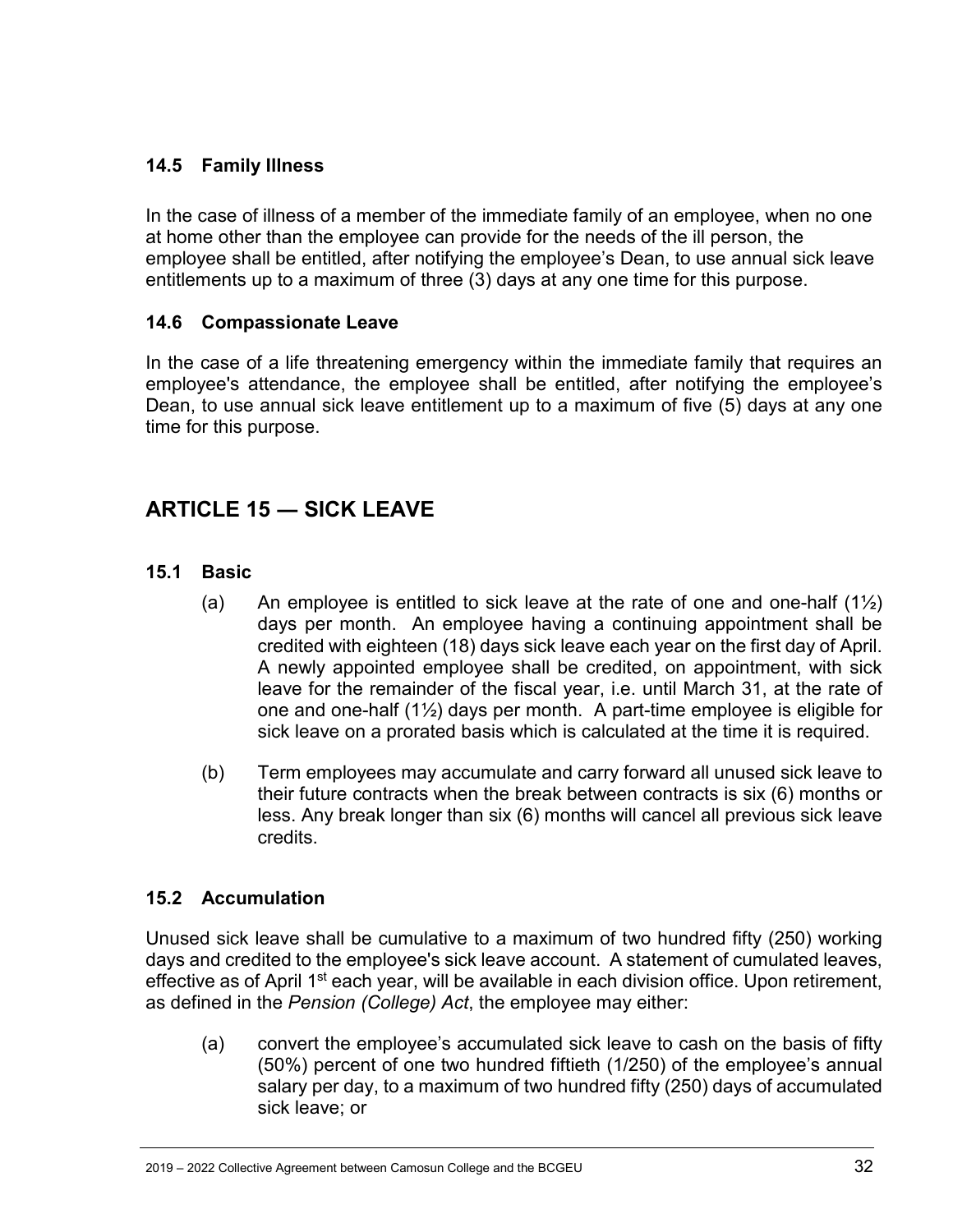#### <span id="page-31-0"></span>**14.5 Family Illness**

In the case of illness of a member of the immediate family of an employee, when no one at home other than the employee can provide for the needs of the ill person, the employee shall be entitled, after notifying the employee's Dean, to use annual sick leave entitlements up to a maximum of three (3) days at any one time for this purpose.

#### <span id="page-31-1"></span>**14.6 Compassionate Leave**

In the case of a life threatening emergency within the immediate family that requires an employee's attendance, the employee shall be entitled, after notifying the employee's Dean, to use annual sick leave entitlement up to a maximum of five (5) days at any one time for this purpose.

# <span id="page-31-2"></span>**ARTICLE 15 ― SICK LEAVE**

#### <span id="page-31-3"></span>**15.1 Basic**

- (a) An employee is entitled to sick leave at the rate of one and one-half  $(1\frac{1}{2})$ days per month. An employee having a continuing appointment shall be credited with eighteen (18) days sick leave each year on the first day of April. A newly appointed employee shall be credited, on appointment, with sick leave for the remainder of the fiscal year, i.e. until March 31, at the rate of one and one-half (1½) days per month. A part-time employee is eligible for sick leave on a prorated basis which is calculated at the time it is required.
- (b) Term employees may accumulate and carry forward all unused sick leave to their future contracts when the break between contracts is six (6) months or less. Any break longer than six (6) months will cancel all previous sick leave credits.

#### <span id="page-31-4"></span>**15.2 Accumulation**

Unused sick leave shall be cumulative to a maximum of two hundred fifty (250) working days and credited to the employee's sick leave account. A statement of cumulated leaves, effective as of April 1<sup>st</sup> each year, will be available in each division office. Upon retirement, as defined in the *Pension (College) Act*, the employee may either:

(a) convert the employee's accumulated sick leave to cash on the basis of fifty (50%) percent of one two hundred fiftieth (1/250) of the employee's annual salary per day, to a maximum of two hundred fifty (250) days of accumulated sick leave; or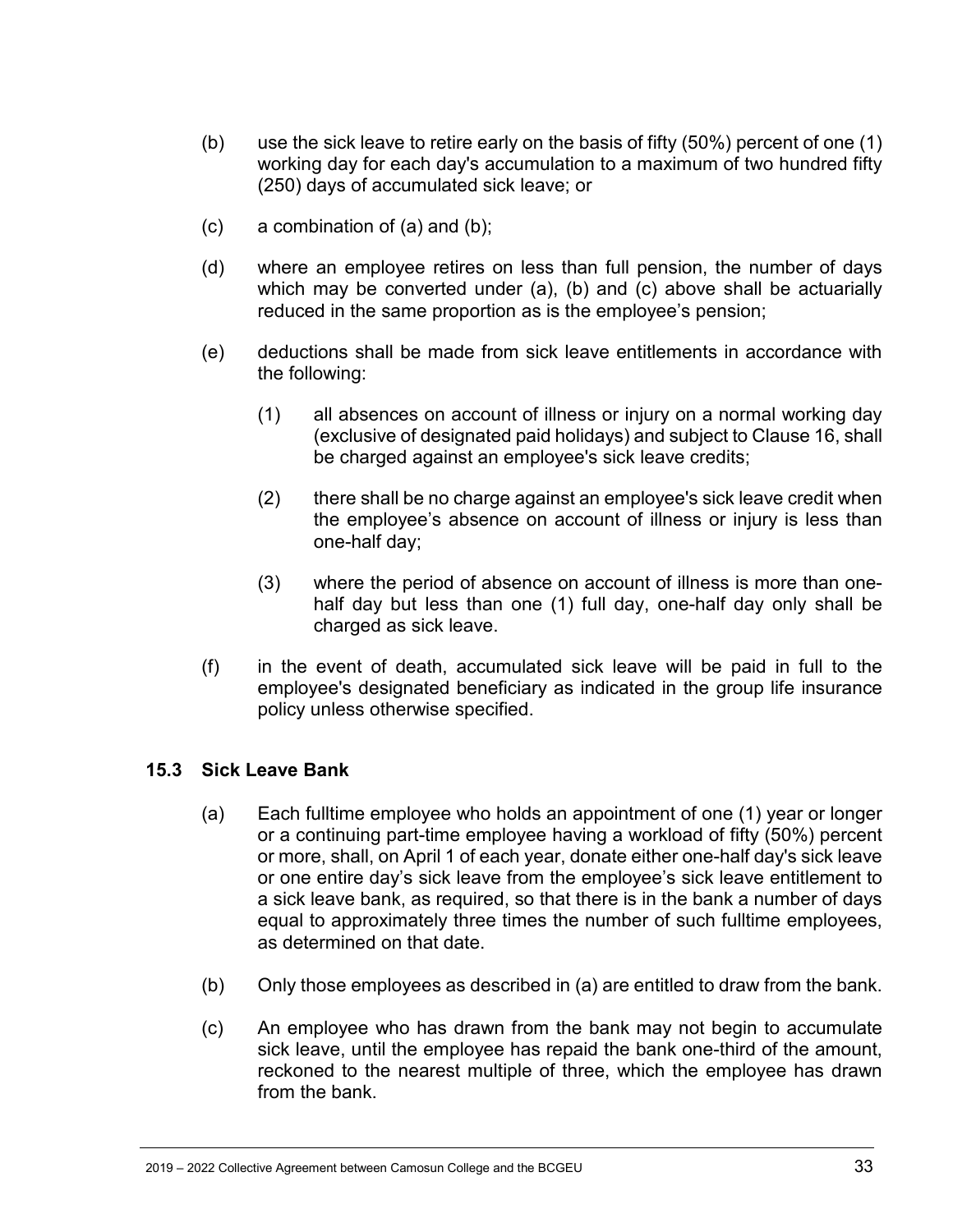- (b) use the sick leave to retire early on the basis of fifty (50%) percent of one (1) working day for each day's accumulation to a maximum of two hundred fifty (250) days of accumulated sick leave; or
- (c) a combination of (a) and (b);
- (d) where an employee retires on less than full pension, the number of days which may be converted under (a), (b) and (c) above shall be actuarially reduced in the same proportion as is the employee's pension;
- (e) deductions shall be made from sick leave entitlements in accordance with the following:
	- (1) all absences on account of illness or injury on a normal working day (exclusive of designated paid holidays) and subject to Clause 16, shall be charged against an employee's sick leave credits;
	- (2) there shall be no charge against an employee's sick leave credit when the employee's absence on account of illness or injury is less than one-half day;
	- (3) where the period of absence on account of illness is more than onehalf day but less than one (1) full day, one-half day only shall be charged as sick leave.
- (f) in the event of death, accumulated sick leave will be paid in full to the employee's designated beneficiary as indicated in the group life insurance policy unless otherwise specified.

#### <span id="page-32-0"></span>**15.3 Sick Leave Bank**

- (a) Each fulltime employee who holds an appointment of one (1) year or longer or a continuing part-time employee having a workload of fifty (50%) percent or more, shall, on April 1 of each year, donate either one-half day's sick leave or one entire day's sick leave from the employee's sick leave entitlement to a sick leave bank, as required, so that there is in the bank a number of days equal to approximately three times the number of such fulltime employees, as determined on that date.
- (b) Only those employees as described in (a) are entitled to draw from the bank.
- (c) An employee who has drawn from the bank may not begin to accumulate sick leave, until the employee has repaid the bank one-third of the amount, reckoned to the nearest multiple of three, which the employee has drawn from the bank.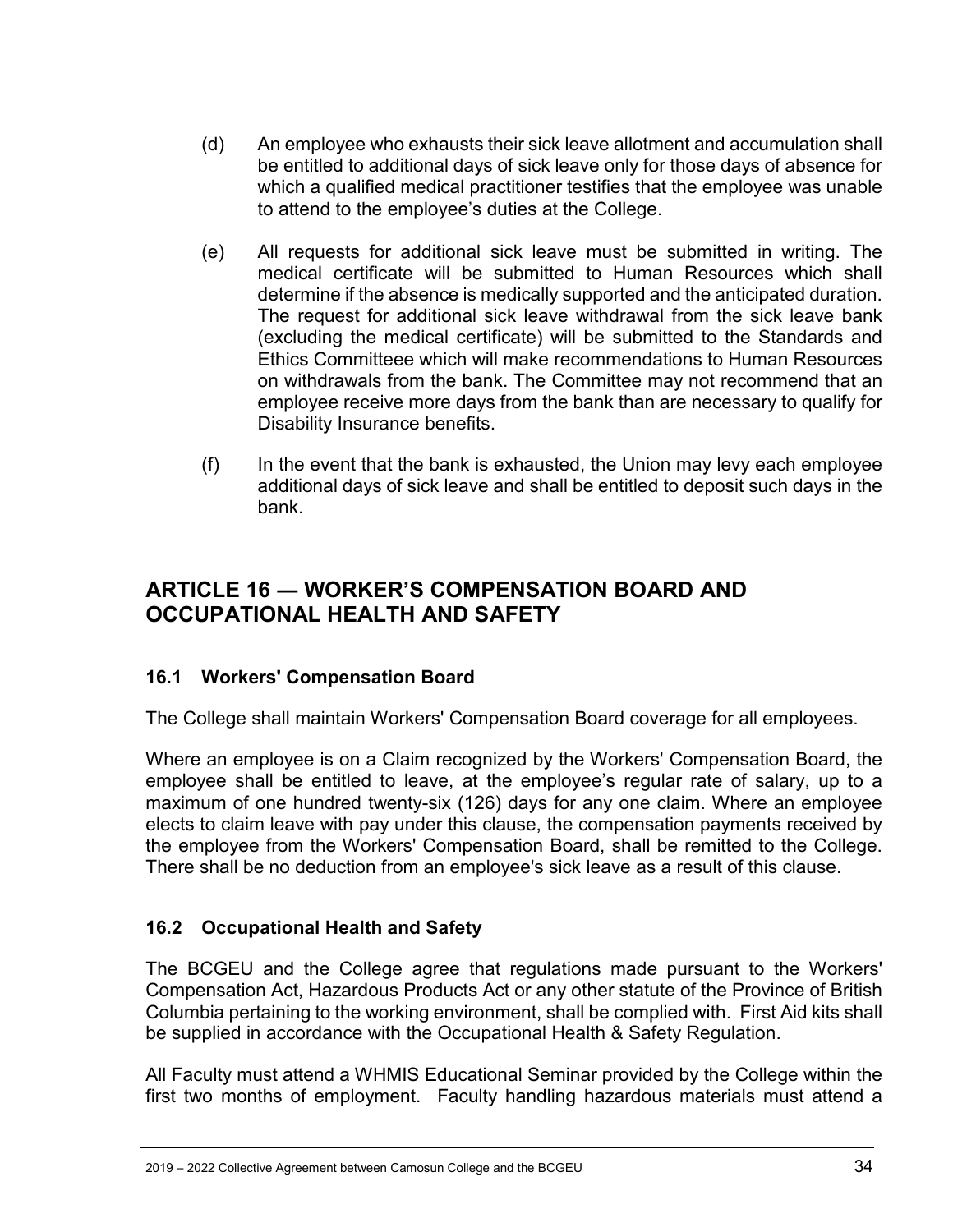- (d) An employee who exhausts their sick leave allotment and accumulation shall be entitled to additional days of sick leave only for those days of absence for which a qualified medical practitioner testifies that the employee was unable to attend to the employee's duties at the College.
- (e) All requests for additional sick leave must be submitted in writing. The medical certificate will be submitted to Human Resources which shall determine if the absence is medically supported and the anticipated duration. The request for additional sick leave withdrawal from the sick leave bank (excluding the medical certificate) will be submitted to the Standards and Ethics Committeee which will make recommendations to Human Resources on withdrawals from the bank. The Committee may not recommend that an employee receive more days from the bank than are necessary to qualify for Disability Insurance benefits.
- (f) In the event that the bank is exhausted, the Union may levy each employee additional days of sick leave and shall be entitled to deposit such days in the bank.

# <span id="page-33-0"></span>**ARTICLE 16 ― WORKER'S COMPENSATION BOARD AND OCCUPATIONAL HEALTH AND SAFETY**

#### <span id="page-33-1"></span>**16.1 Workers' Compensation Board**

The College shall maintain Workers' Compensation Board coverage for all employees.

Where an employee is on a Claim recognized by the Workers' Compensation Board, the employee shall be entitled to leave, at the employee's regular rate of salary, up to a maximum of one hundred twenty-six (126) days for any one claim. Where an employee elects to claim leave with pay under this clause, the compensation payments received by the employee from the Workers' Compensation Board, shall be remitted to the College. There shall be no deduction from an employee's sick leave as a result of this clause.

#### <span id="page-33-2"></span>**16.2 Occupational Health and Safety**

The BCGEU and the College agree that regulations made pursuant to the Workers' Compensation Act, Hazardous Products Act or any other statute of the Province of British Columbia pertaining to the working environment, shall be complied with. First Aid kits shall be supplied in accordance with the Occupational Health & Safety Regulation.

All Faculty must attend a WHMIS Educational Seminar provided by the College within the first two months of employment. Faculty handling hazardous materials must attend a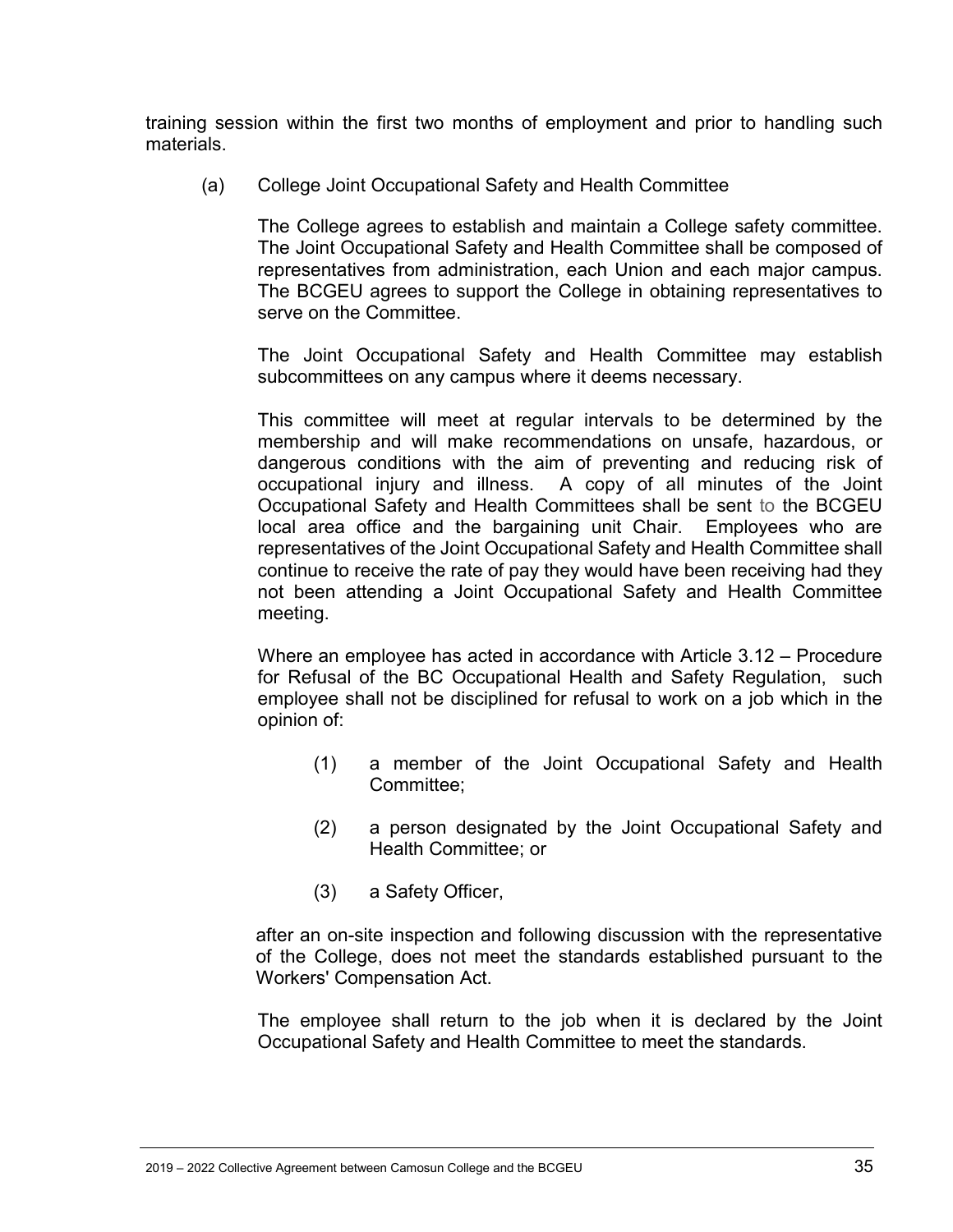training session within the first two months of employment and prior to handling such materials.

(a) College Joint Occupational Safety and Health Committee

The College agrees to establish and maintain a College safety committee. The Joint Occupational Safety and Health Committee shall be composed of representatives from administration, each Union and each major campus. The BCGEU agrees to support the College in obtaining representatives to serve on the Committee.

The Joint Occupational Safety and Health Committee may establish subcommittees on any campus where it deems necessary.

This committee will meet at regular intervals to be determined by the membership and will make recommendations on unsafe, hazardous, or dangerous conditions with the aim of preventing and reducing risk of occupational injury and illness. A copy of all minutes of the Joint Occupational Safety and Health Committees shall be sent to the BCGEU local area office and the bargaining unit Chair. Employees who are representatives of the Joint Occupational Safety and Health Committee shall continue to receive the rate of pay they would have been receiving had they not been attending a Joint Occupational Safety and Health Committee meeting.

Where an employee has acted in accordance with Article 3.12 – Procedure for Refusal of the BC Occupational Health and Safety Regulation, such employee shall not be disciplined for refusal to work on a job which in the opinion of:

- (1) a member of the Joint Occupational Safety and Health Committee;
- (2) a person designated by the Joint Occupational Safety and Health Committee; or
- (3) a Safety Officer,

after an on-site inspection and following discussion with the representative of the College, does not meet the standards established pursuant to the Workers' Compensation Act.

The employee shall return to the job when it is declared by the Joint Occupational Safety and Health Committee to meet the standards.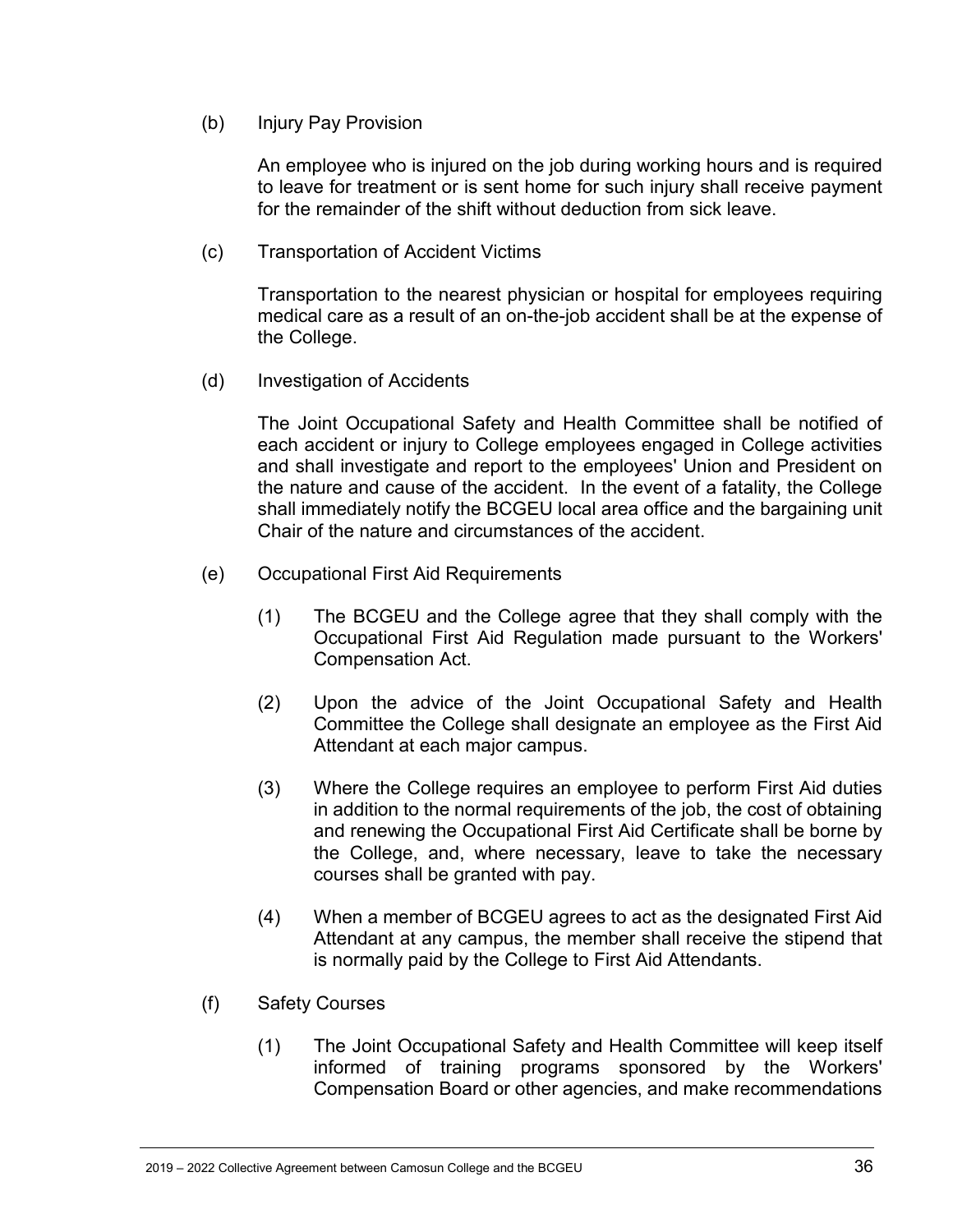(b) Injury Pay Provision

An employee who is injured on the job during working hours and is required to leave for treatment or is sent home for such injury shall receive payment for the remainder of the shift without deduction from sick leave.

(c) Transportation of Accident Victims

Transportation to the nearest physician or hospital for employees requiring medical care as a result of an on-the-job accident shall be at the expense of the College.

(d) Investigation of Accidents

The Joint Occupational Safety and Health Committee shall be notified of each accident or injury to College employees engaged in College activities and shall investigate and report to the employees' Union and President on the nature and cause of the accident. In the event of a fatality, the College shall immediately notify the BCGEU local area office and the bargaining unit Chair of the nature and circumstances of the accident.

- (e) Occupational First Aid Requirements
	- (1) The BCGEU and the College agree that they shall comply with the Occupational First Aid Regulation made pursuant to the Workers' Compensation Act.
	- (2) Upon the advice of the Joint Occupational Safety and Health Committee the College shall designate an employee as the First Aid Attendant at each major campus.
	- (3) Where the College requires an employee to perform First Aid duties in addition to the normal requirements of the job, the cost of obtaining and renewing the Occupational First Aid Certificate shall be borne by the College, and, where necessary, leave to take the necessary courses shall be granted with pay.
	- (4) When a member of BCGEU agrees to act as the designated First Aid Attendant at any campus, the member shall receive the stipend that is normally paid by the College to First Aid Attendants.
- (f) Safety Courses
	- (1) The Joint Occupational Safety and Health Committee will keep itself informed of training programs sponsored by the Workers' Compensation Board or other agencies, and make recommendations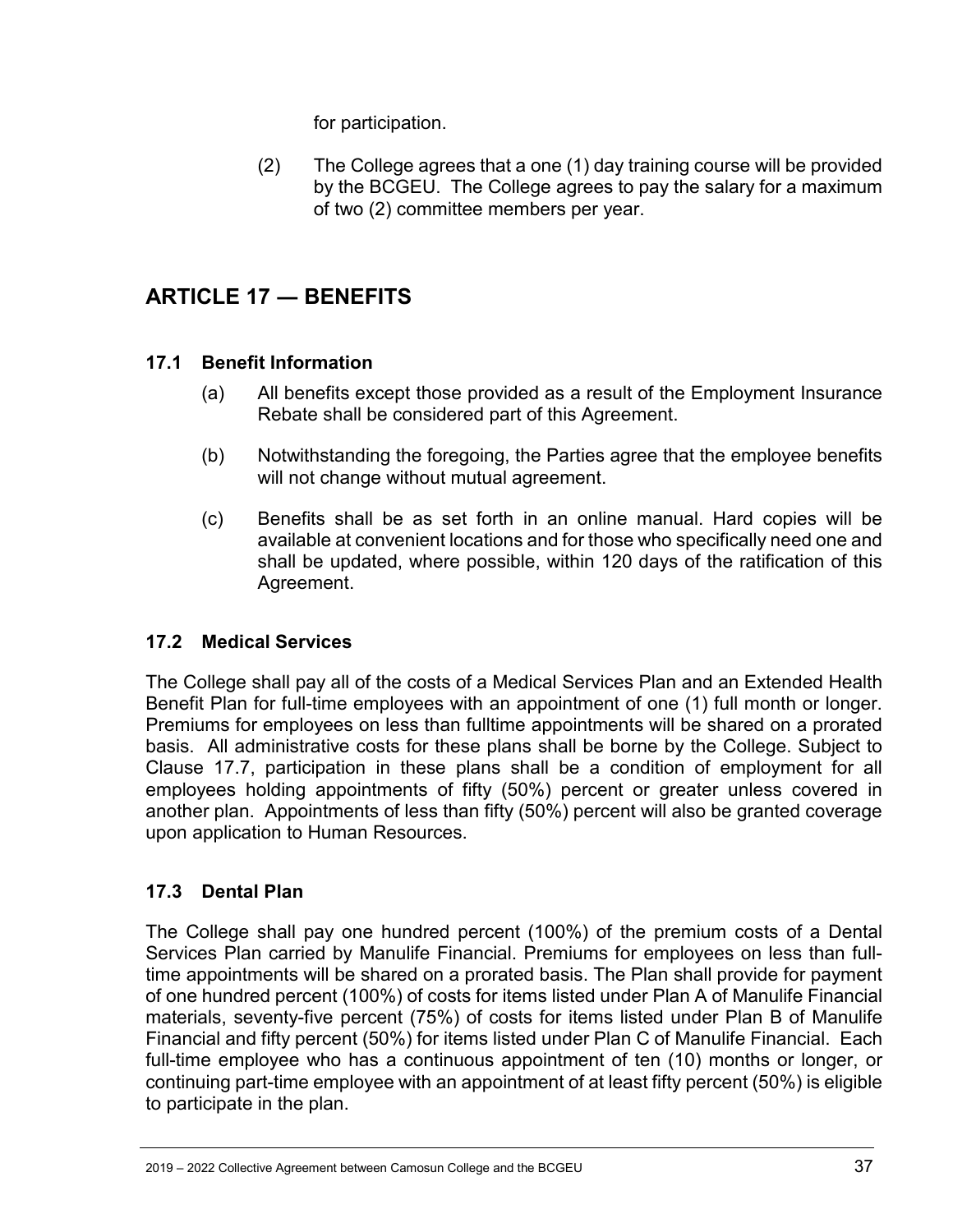for participation.

(2) The College agrees that a one (1) day training course will be provided by the BCGEU. The College agrees to pay the salary for a maximum of two (2) committee members per year.

# <span id="page-36-0"></span>**ARTICLE 17 ― BENEFITS**

### <span id="page-36-1"></span>**17.1 Benefit Information**

- (a) All benefits except those provided as a result of the Employment Insurance Rebate shall be considered part of this Agreement.
- (b) Notwithstanding the foregoing, the Parties agree that the employee benefits will not change without mutual agreement.
- (c) Benefits shall be as set forth in an online manual. Hard copies will be available at convenient locations and for those who specifically need one and shall be updated, where possible, within 120 days of the ratification of this Agreement.

### <span id="page-36-2"></span>**17.2 Medical Services**

The College shall pay all of the costs of a Medical Services Plan and an Extended Health Benefit Plan for full-time employees with an appointment of one (1) full month or longer. Premiums for employees on less than fulltime appointments will be shared on a prorated basis. All administrative costs for these plans shall be borne by the College. Subject to Clause 17.7, participation in these plans shall be a condition of employment for all employees holding appointments of fifty (50%) percent or greater unless covered in another plan. Appointments of less than fifty (50%) percent will also be granted coverage upon application to Human Resources.

### <span id="page-36-3"></span>**17.3 Dental Plan**

The College shall pay one hundred percent (100%) of the premium costs of a Dental Services Plan carried by Manulife Financial. Premiums for employees on less than fulltime appointments will be shared on a prorated basis. The Plan shall provide for payment of one hundred percent (100%) of costs for items listed under Plan A of Manulife Financial materials, seventy-five percent (75%) of costs for items listed under Plan B of Manulife Financial and fifty percent (50%) for items listed under Plan C of Manulife Financial. Each full-time employee who has a continuous appointment of ten (10) months or longer, or continuing part-time employee with an appointment of at least fifty percent (50%) is eligible to participate in the plan.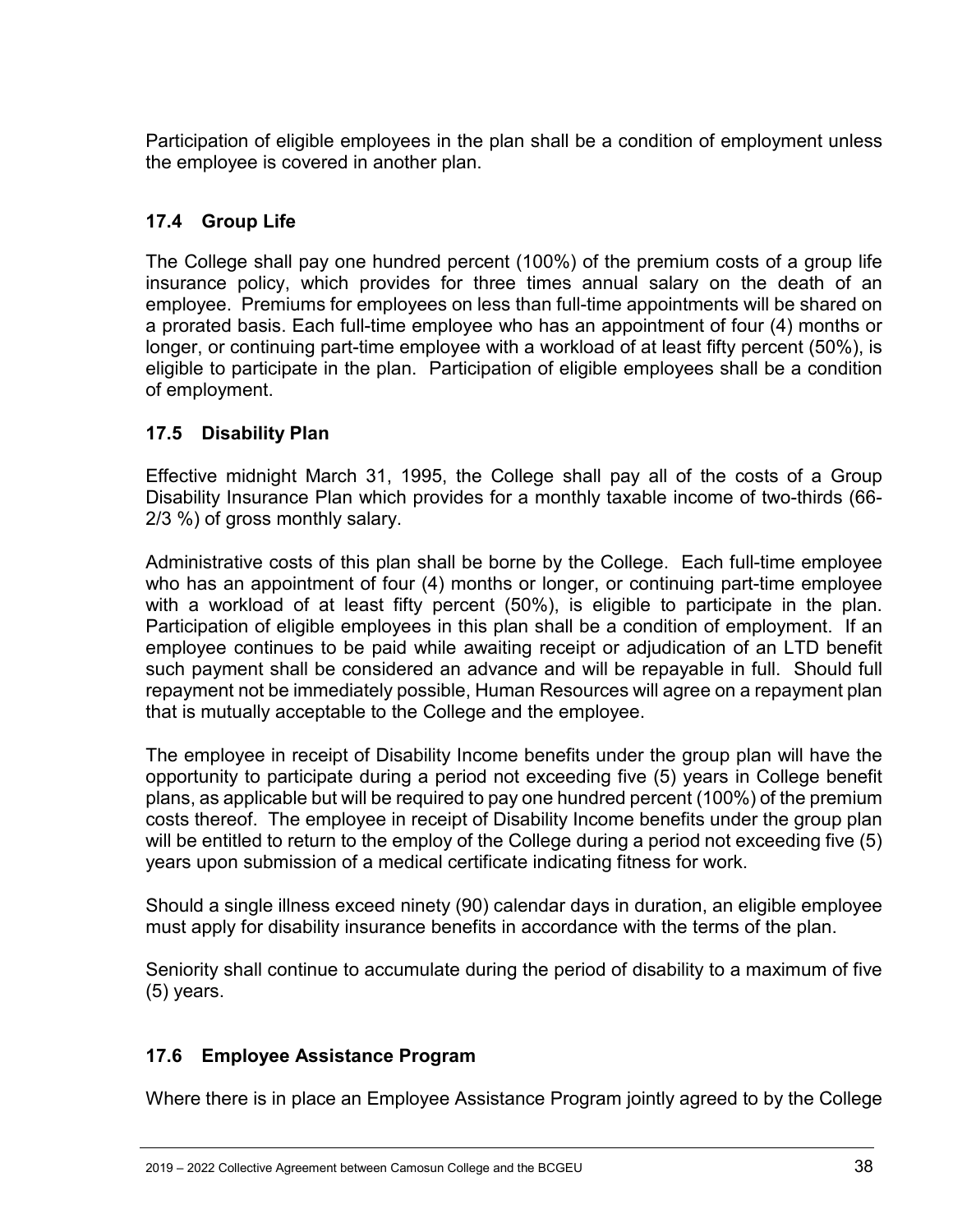Participation of eligible employees in the plan shall be a condition of employment unless the employee is covered in another plan.

### <span id="page-37-0"></span>**17.4 Group Life**

The College shall pay one hundred percent (100%) of the premium costs of a group life insurance policy, which provides for three times annual salary on the death of an employee. Premiums for employees on less than full-time appointments will be shared on a prorated basis. Each full-time employee who has an appointment of four (4) months or longer, or continuing part-time employee with a workload of at least fifty percent (50%), is eligible to participate in the plan. Participation of eligible employees shall be a condition of employment.

#### <span id="page-37-1"></span>**17.5 Disability Plan**

Effective midnight March 31, 1995, the College shall pay all of the costs of a Group Disability Insurance Plan which provides for a monthly taxable income of two-thirds (66- 2/3 %) of gross monthly salary.

Administrative costs of this plan shall be borne by the College. Each full-time employee who has an appointment of four (4) months or longer, or continuing part-time employee with a workload of at least fifty percent (50%), is eligible to participate in the plan. Participation of eligible employees in this plan shall be a condition of employment. If an employee continues to be paid while awaiting receipt or adjudication of an LTD benefit such payment shall be considered an advance and will be repayable in full. Should full repayment not be immediately possible, Human Resources will agree on a repayment plan that is mutually acceptable to the College and the employee.

The employee in receipt of Disability Income benefits under the group plan will have the opportunity to participate during a period not exceeding five (5) years in College benefit plans, as applicable but will be required to pay one hundred percent (100%) of the premium costs thereof. The employee in receipt of Disability Income benefits under the group plan will be entitled to return to the employ of the College during a period not exceeding five (5) years upon submission of a medical certificate indicating fitness for work.

Should a single illness exceed ninety (90) calendar days in duration, an eligible employee must apply for disability insurance benefits in accordance with the terms of the plan.

Seniority shall continue to accumulate during the period of disability to a maximum of five (5) years.

### <span id="page-37-2"></span>**17.6 Employee Assistance Program**

Where there is in place an Employee Assistance Program jointly agreed to by the College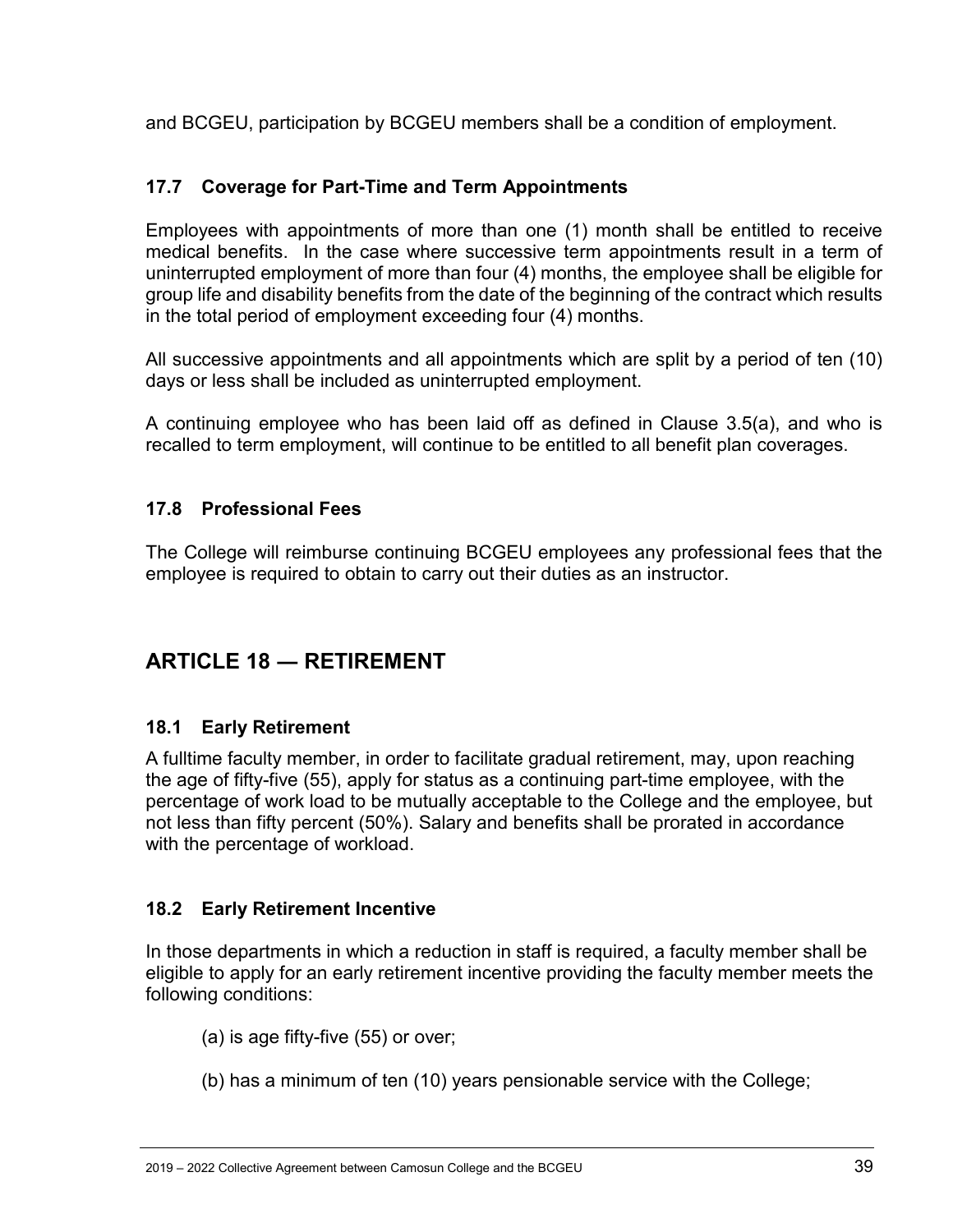and BCGEU, participation by BCGEU members shall be a condition of employment.

### <span id="page-38-0"></span>**17.7 Coverage for Part-Time and Term Appointments**

Employees with appointments of more than one (1) month shall be entitled to receive medical benefits. In the case where successive term appointments result in a term of uninterrupted employment of more than four (4) months, the employee shall be eligible for group life and disability benefits from the date of the beginning of the contract which results in the total period of employment exceeding four (4) months.

All successive appointments and all appointments which are split by a period of ten (10) days or less shall be included as uninterrupted employment.

A continuing employee who has been laid off as defined in Clause 3.5(a), and who is recalled to term employment, will continue to be entitled to all benefit plan coverages.

#### <span id="page-38-1"></span>**17.8 Professional Fees**

The College will reimburse continuing BCGEU employees any professional fees that the employee is required to obtain to carry out their duties as an instructor.

# <span id="page-38-2"></span>**ARTICLE 18 ― RETIREMENT**

#### <span id="page-38-3"></span>**18.1 Early Retirement**

A fulltime faculty member, in order to facilitate gradual retirement, may, upon reaching the age of fifty-five (55), apply for status as a continuing part-time employee, with the percentage of work load to be mutually acceptable to the College and the employee, but not less than fifty percent (50%). Salary and benefits shall be prorated in accordance with the percentage of workload.

### <span id="page-38-4"></span>**18.2 Early Retirement Incentive**

In those departments in which a reduction in staff is required, a faculty member shall be eligible to apply for an early retirement incentive providing the faculty member meets the following conditions:

(a) is age fifty-five (55) or over;

(b) has a minimum of ten (10) years pensionable service with the College;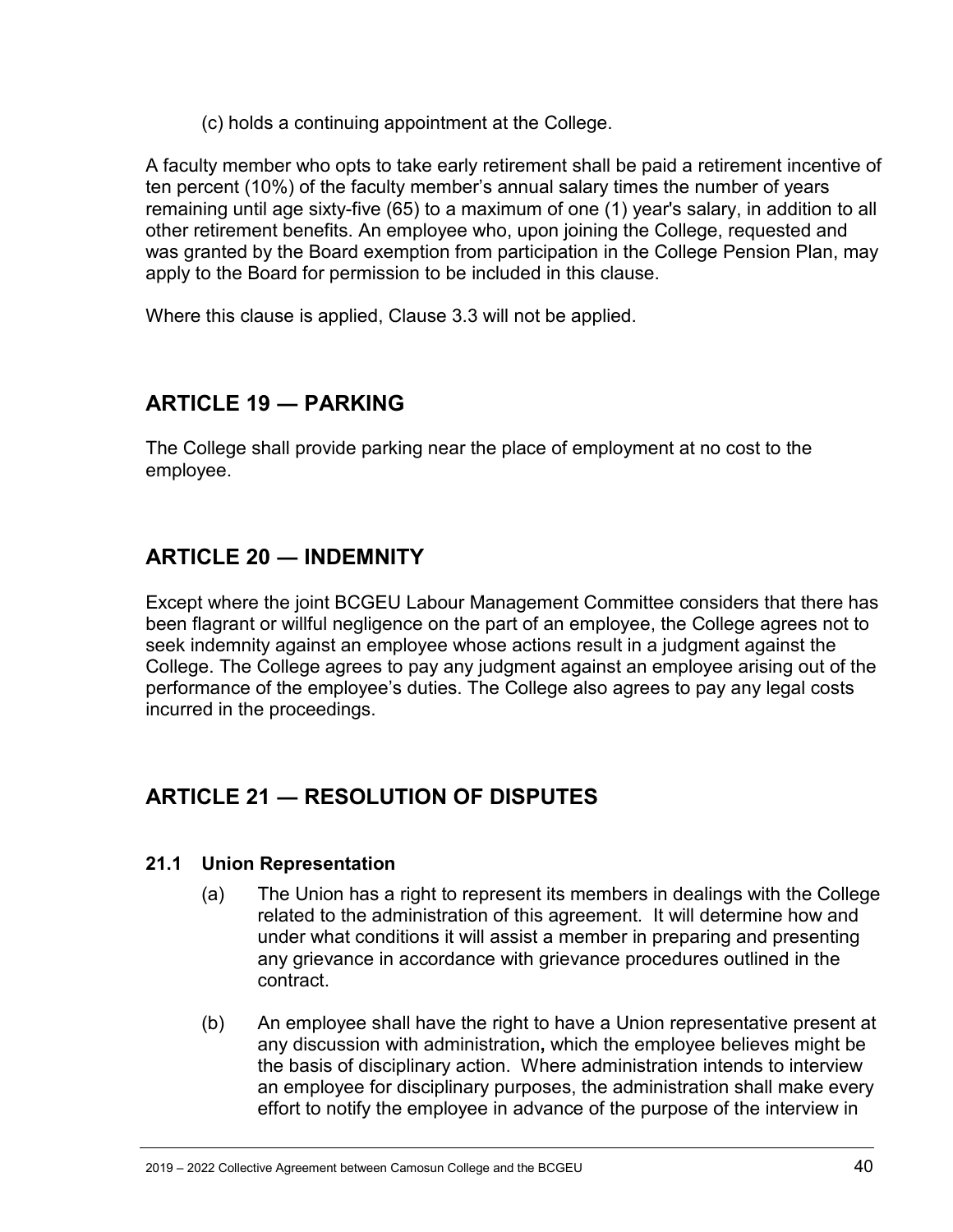(c) holds a continuing appointment at the College.

A faculty member who opts to take early retirement shall be paid a retirement incentive of ten percent (10%) of the faculty member's annual salary times the number of years remaining until age sixty-five (65) to a maximum of one (1) year's salary, in addition to all other retirement benefits. An employee who, upon joining the College, requested and was granted by the Board exemption from participation in the College Pension Plan, may apply to the Board for permission to be included in this clause.

Where this clause is applied, Clause 3.3 will not be applied.

# <span id="page-39-0"></span>**ARTICLE 19 ― PARKING**

The College shall provide parking near the place of employment at no cost to the employee.

# <span id="page-39-1"></span>**ARTICLE 20 ― INDEMNITY**

Except where the joint BCGEU Labour Management Committee considers that there has been flagrant or willful negligence on the part of an employee, the College agrees not to seek indemnity against an employee whose actions result in a judgment against the College. The College agrees to pay any judgment against an employee arising out of the performance of the employee's duties. The College also agrees to pay any legal costs incurred in the proceedings.

# <span id="page-39-2"></span>**ARTICLE 21 ― RESOLUTION OF DISPUTES**

#### <span id="page-39-3"></span>**21.1 Union Representation**

- (a) The Union has a right to represent its members in dealings with the College related to the administration of this agreement. It will determine how and under what conditions it will assist a member in preparing and presenting any grievance in accordance with grievance procedures outlined in the contract.
- (b) An employee shall have the right to have a Union representative present at any discussion with administration**,** which the employee believes might be the basis of disciplinary action. Where administration intends to interview an employee for disciplinary purposes, the administration shall make every effort to notify the employee in advance of the purpose of the interview in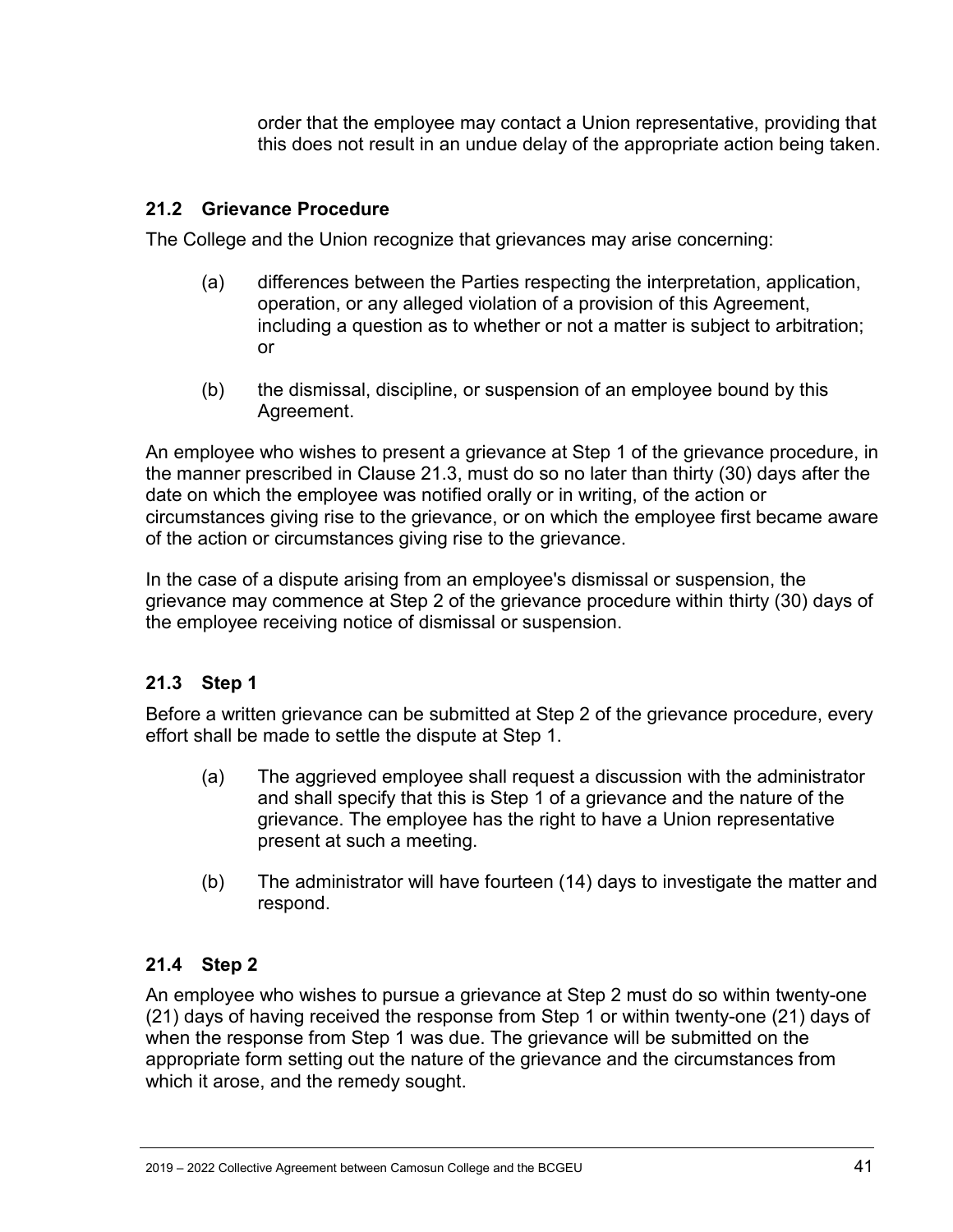order that the employee may contact a Union representative, providing that this does not result in an undue delay of the appropriate action being taken.

#### <span id="page-40-0"></span>**21.2 Grievance Procedure**

The College and the Union recognize that grievances may arise concerning:

- (a) differences between the Parties respecting the interpretation, application, operation, or any alleged violation of a provision of this Agreement, including a question as to whether or not a matter is subject to arbitration; or
- (b) the dismissal, discipline, or suspension of an employee bound by this Agreement.

An employee who wishes to present a grievance at Step 1 of the grievance procedure, in the manner prescribed in Clause 21.3, must do so no later than thirty (30) days after the date on which the employee was notified orally or in writing, of the action or circumstances giving rise to the grievance, or on which the employee first became aware of the action or circumstances giving rise to the grievance.

In the case of a dispute arising from an employee's dismissal or suspension, the grievance may commence at Step 2 of the grievance procedure within thirty (30) days of the employee receiving notice of dismissal or suspension.

### <span id="page-40-1"></span>**21.3 Step 1**

Before a written grievance can be submitted at Step 2 of the grievance procedure, every effort shall be made to settle the dispute at Step 1.

- (a) The aggrieved employee shall request a discussion with the administrator and shall specify that this is Step 1 of a grievance and the nature of the grievance. The employee has the right to have a Union representative present at such a meeting.
- (b) The administrator will have fourteen (14) days to investigate the matter and respond.

#### <span id="page-40-2"></span>**21.4 Step 2**

An employee who wishes to pursue a grievance at Step 2 must do so within twenty-one (21) days of having received the response from Step 1 or within twenty-one (21) days of when the response from Step 1 was due. The grievance will be submitted on the appropriate form setting out the nature of the grievance and the circumstances from which it arose, and the remedy sought.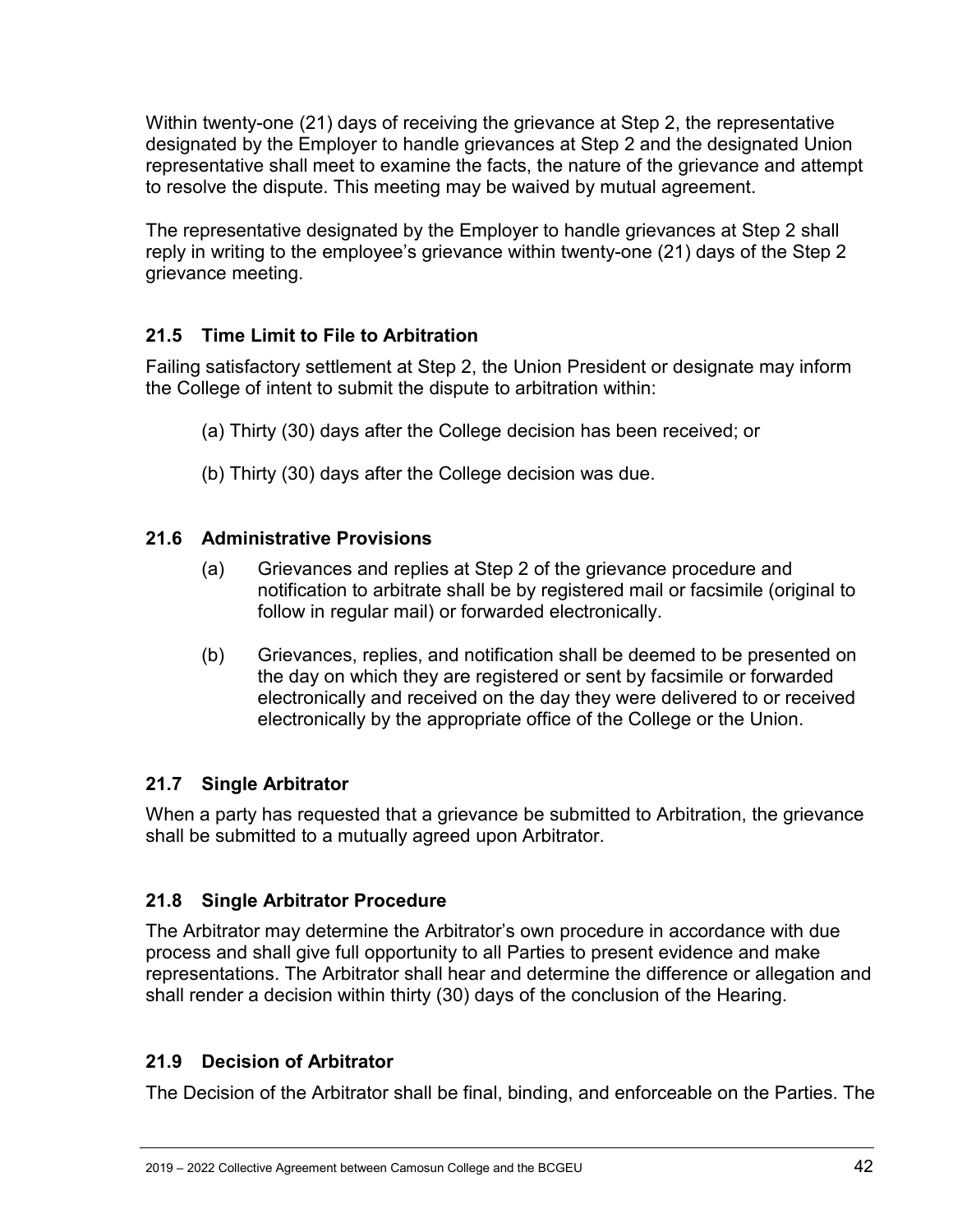Within twenty-one (21) days of receiving the grievance at Step 2, the representative designated by the Employer to handle grievances at Step 2 and the designated Union representative shall meet to examine the facts, the nature of the grievance and attempt to resolve the dispute. This meeting may be waived by mutual agreement.

The representative designated by the Employer to handle grievances at Step 2 shall reply in writing to the employee's grievance within twenty-one (21) days of the Step 2 grievance meeting.

### <span id="page-41-0"></span>**21.5 Time Limit to File to Arbitration**

Failing satisfactory settlement at Step 2, the Union President or designate may inform the College of intent to submit the dispute to arbitration within:

- (a) Thirty (30) days after the College decision has been received; or
- (b) Thirty (30) days after the College decision was due.

#### <span id="page-41-1"></span>**21.6 Administrative Provisions**

- (a) Grievances and replies at Step 2 of the grievance procedure and notification to arbitrate shall be by registered mail or facsimile (original to follow in regular mail) or forwarded electronically.
- (b) Grievances, replies, and notification shall be deemed to be presented on the day on which they are registered or sent by facsimile or forwarded electronically and received on the day they were delivered to or received electronically by the appropriate office of the College or the Union.

#### <span id="page-41-2"></span>**21.7 Single Arbitrator**

When a party has requested that a grievance be submitted to Arbitration, the grievance shall be submitted to a mutually agreed upon Arbitrator.

#### <span id="page-41-3"></span>**21.8 Single Arbitrator Procedure**

The Arbitrator may determine the Arbitrator's own procedure in accordance with due process and shall give full opportunity to all Parties to present evidence and make representations. The Arbitrator shall hear and determine the difference or allegation and shall render a decision within thirty (30) days of the conclusion of the Hearing.

#### <span id="page-41-4"></span>**21.9 Decision of Arbitrator**

The Decision of the Arbitrator shall be final, binding, and enforceable on the Parties. The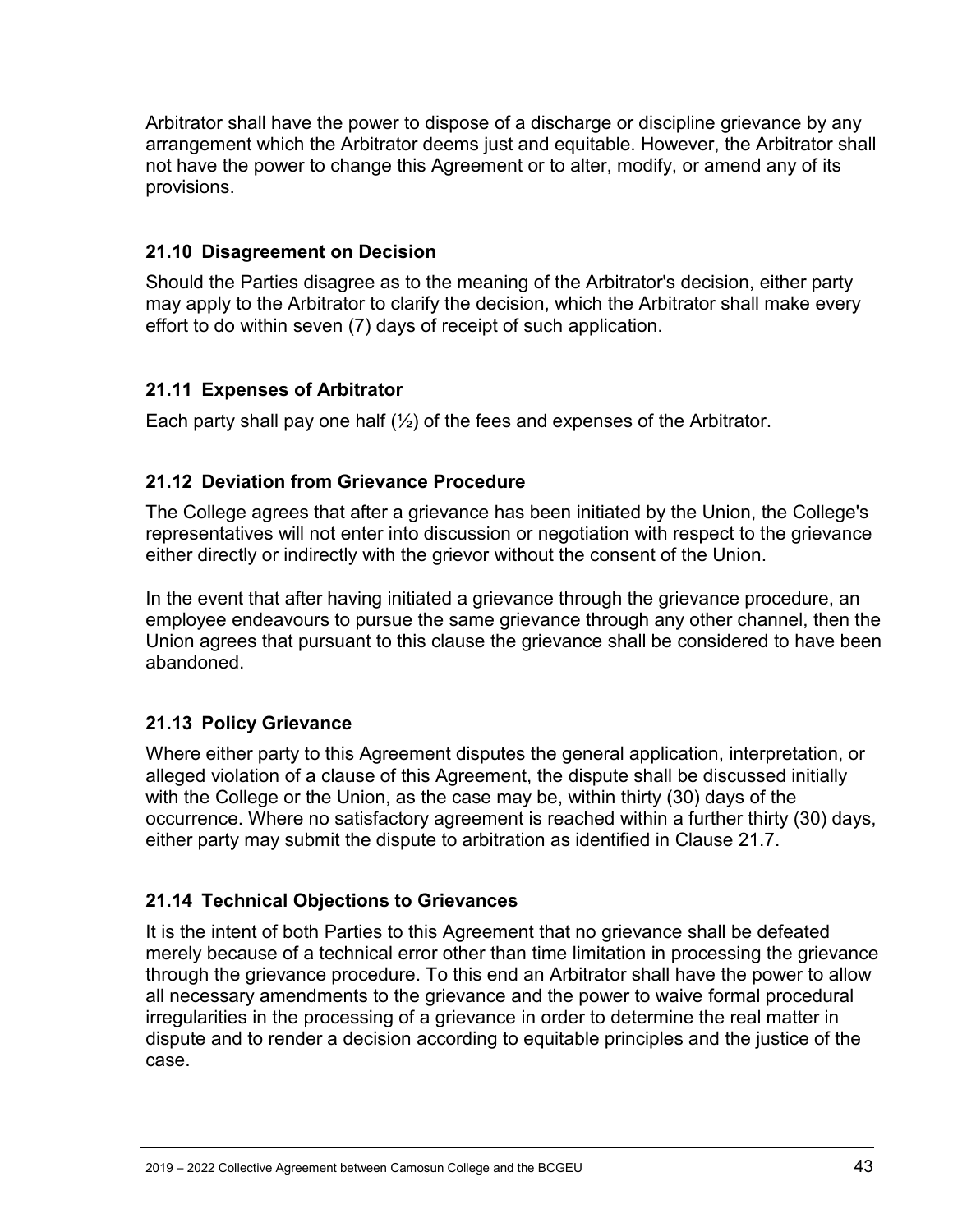Arbitrator shall have the power to dispose of a discharge or discipline grievance by any arrangement which the Arbitrator deems just and equitable. However, the Arbitrator shall not have the power to change this Agreement or to alter, modify, or amend any of its provisions.

#### <span id="page-42-0"></span>**21.10 Disagreement on Decision**

Should the Parties disagree as to the meaning of the Arbitrator's decision, either party may apply to the Arbitrator to clarify the decision, which the Arbitrator shall make every effort to do within seven (7) days of receipt of such application.

#### <span id="page-42-1"></span>**21.11 Expenses of Arbitrator**

Each party shall pay one half  $(\frac{1}{2})$  of the fees and expenses of the Arbitrator.

#### <span id="page-42-2"></span>**21.12 Deviation from Grievance Procedure**

The College agrees that after a grievance has been initiated by the Union, the College's representatives will not enter into discussion or negotiation with respect to the grievance either directly or indirectly with the grievor without the consent of the Union.

In the event that after having initiated a grievance through the grievance procedure, an employee endeavours to pursue the same grievance through any other channel, then the Union agrees that pursuant to this clause the grievance shall be considered to have been abandoned.

### <span id="page-42-3"></span>**21.13 Policy Grievance**

Where either party to this Agreement disputes the general application, interpretation, or alleged violation of a clause of this Agreement, the dispute shall be discussed initially with the College or the Union, as the case may be, within thirty (30) days of the occurrence. Where no satisfactory agreement is reached within a further thirty (30) days, either party may submit the dispute to arbitration as identified in Clause 21.7.

### <span id="page-42-4"></span>**21.14 Technical Objections to Grievances**

It is the intent of both Parties to this Agreement that no grievance shall be defeated merely because of a technical error other than time limitation in processing the grievance through the grievance procedure. To this end an Arbitrator shall have the power to allow all necessary amendments to the grievance and the power to waive formal procedural irregularities in the processing of a grievance in order to determine the real matter in dispute and to render a decision according to equitable principles and the justice of the case.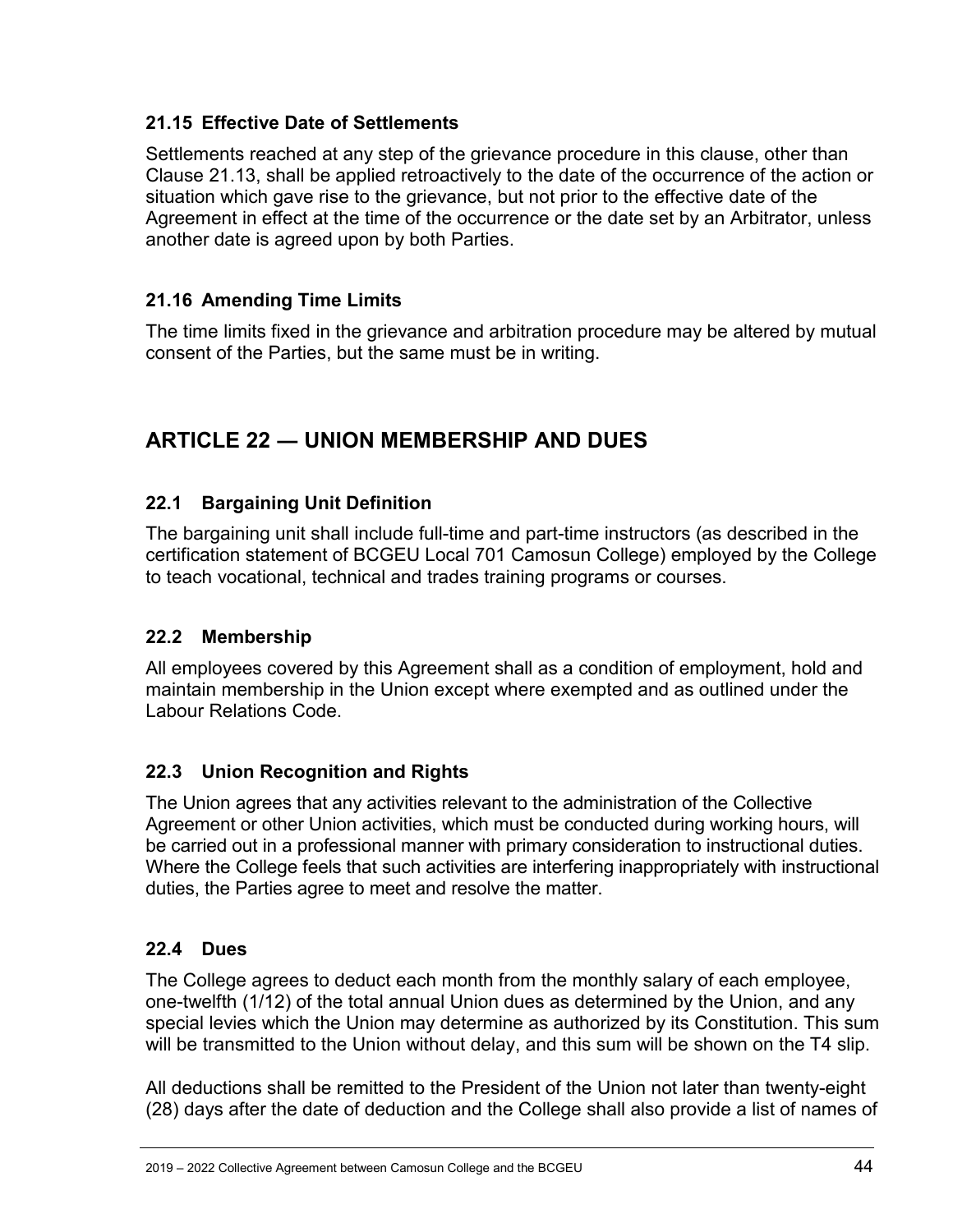### <span id="page-43-0"></span>**21.15 Effective Date of Settlements**

Settlements reached at any step of the grievance procedure in this clause, other than Clause 21.13, shall be applied retroactively to the date of the occurrence of the action or situation which gave rise to the grievance, but not prior to the effective date of the Agreement in effect at the time of the occurrence or the date set by an Arbitrator, unless another date is agreed upon by both Parties.

### <span id="page-43-1"></span>**21.16 Amending Time Limits**

The time limits fixed in the grievance and arbitration procedure may be altered by mutual consent of the Parties, but the same must be in writing.

# <span id="page-43-2"></span>**ARTICLE 22 ― UNION MEMBERSHIP AND DUES**

### <span id="page-43-3"></span>**22.1 Bargaining Unit Definition**

The bargaining unit shall include full-time and part-time instructors (as described in the certification statement of BCGEU Local 701 Camosun College) employed by the College to teach vocational, technical and trades training programs or courses.

#### <span id="page-43-4"></span>**22.2 Membership**

All employees covered by this Agreement shall as a condition of employment, hold and maintain membership in the Union except where exempted and as outlined under the Labour Relations Code.

#### <span id="page-43-5"></span>**22.3 Union Recognition and Rights**

The Union agrees that any activities relevant to the administration of the Collective Agreement or other Union activities, which must be conducted during working hours, will be carried out in a professional manner with primary consideration to instructional duties. Where the College feels that such activities are interfering inappropriately with instructional duties, the Parties agree to meet and resolve the matter.

#### <span id="page-43-6"></span>**22.4 Dues**

The College agrees to deduct each month from the monthly salary of each employee, one-twelfth (1/12) of the total annual Union dues as determined by the Union, and any special levies which the Union may determine as authorized by its Constitution. This sum will be transmitted to the Union without delay, and this sum will be shown on the T4 slip.

All deductions shall be remitted to the President of the Union not later than twenty-eight (28) days after the date of deduction and the College shall also provide a list of names of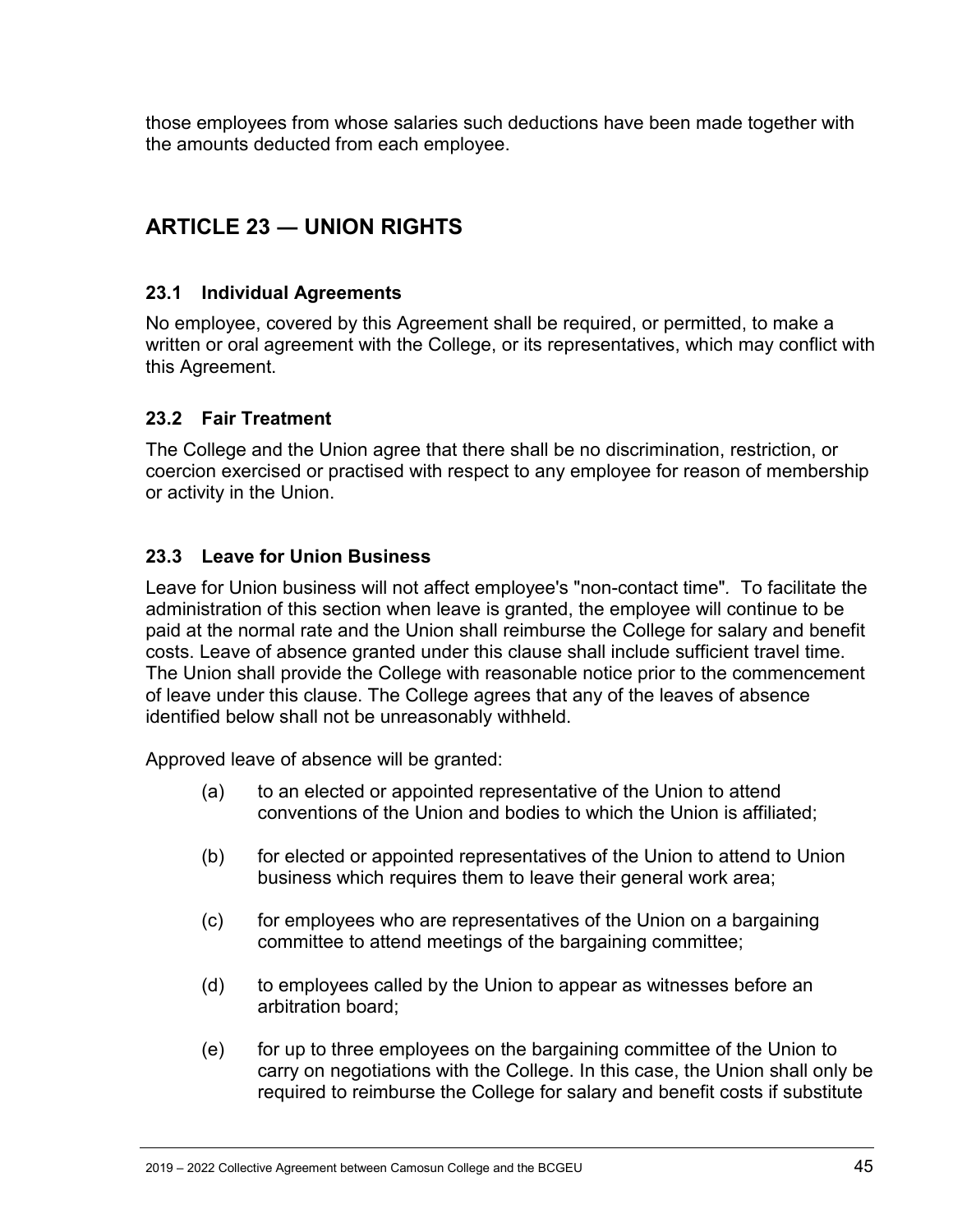those employees from whose salaries such deductions have been made together with the amounts deducted from each employee.

# <span id="page-44-0"></span>**ARTICLE 23 ― UNION RIGHTS**

#### <span id="page-44-1"></span>**23.1 Individual Agreements**

No employee, covered by this Agreement shall be required, or permitted, to make a written or oral agreement with the College, or its representatives, which may conflict with this Agreement.

#### <span id="page-44-2"></span>**23.2 Fair Treatment**

The College and the Union agree that there shall be no discrimination, restriction, or coercion exercised or practised with respect to any employee for reason of membership or activity in the Union.

### <span id="page-44-3"></span>**23.3 Leave for Union Business**

Leave for Union business will not affect employee's "non-contact time"*.* To facilitate the administration of this section when leave is granted, the employee will continue to be paid at the normal rate and the Union shall reimburse the College for salary and benefit costs. Leave of absence granted under this clause shall include sufficient travel time. The Union shall provide the College with reasonable notice prior to the commencement of leave under this clause. The College agrees that any of the leaves of absence identified below shall not be unreasonably withheld.

Approved leave of absence will be granted:

- (a) to an elected or appointed representative of the Union to attend conventions of the Union and bodies to which the Union is affiliated;
- (b) for elected or appointed representatives of the Union to attend to Union business which requires them to leave their general work area;
- (c) for employees who are representatives of the Union on a bargaining committee to attend meetings of the bargaining committee;
- (d) to employees called by the Union to appear as witnesses before an arbitration board;
- (e) for up to three employees on the bargaining committee of the Union to carry on negotiations with the College. In this case, the Union shall only be required to reimburse the College for salary and benefit costs if substitute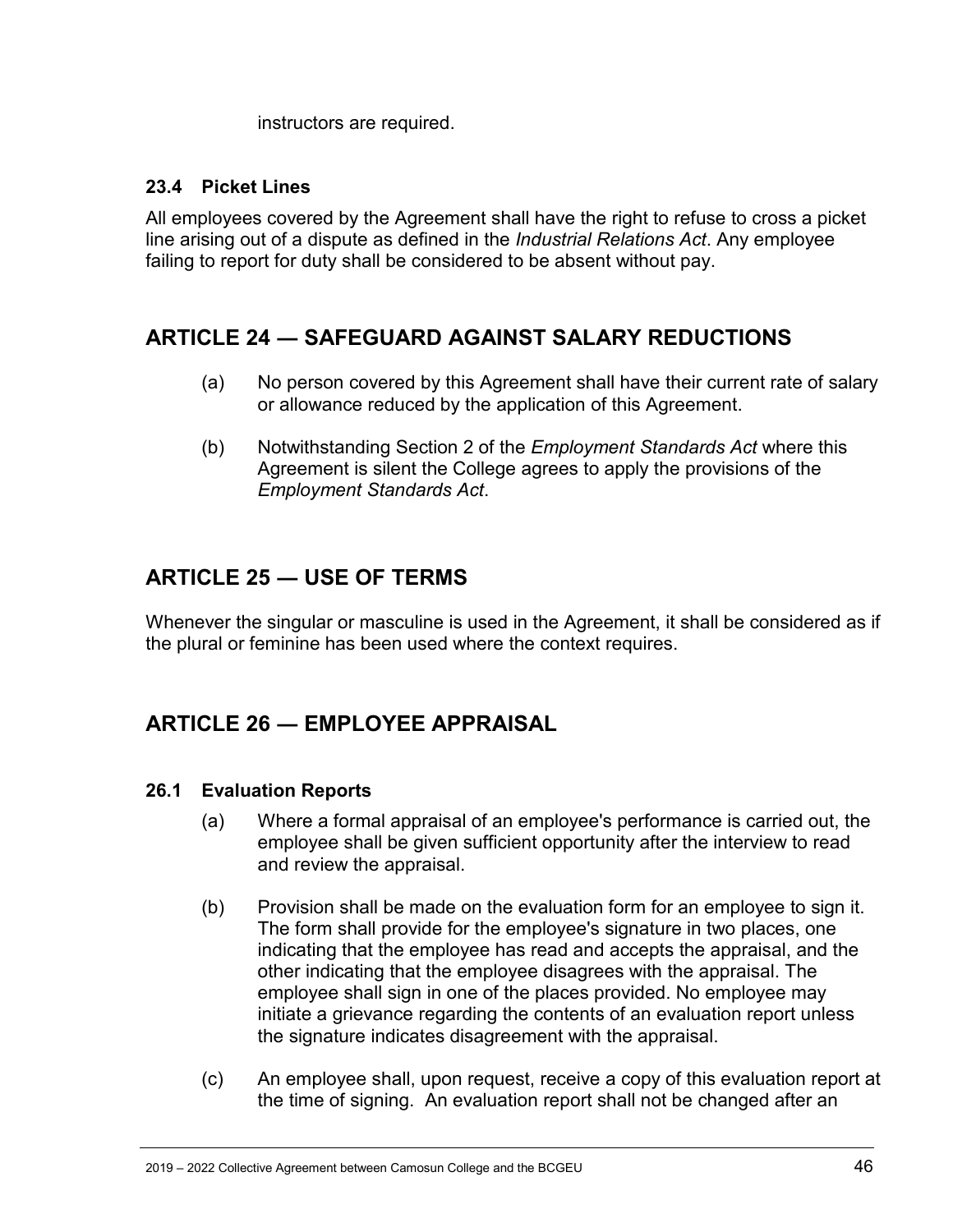instructors are required.

#### <span id="page-45-0"></span>**23.4 Picket Lines**

All employees covered by the Agreement shall have the right to refuse to cross a picket line arising out of a dispute as defined in the *Industrial Relations Act*. Any employee failing to report for duty shall be considered to be absent without pay.

# <span id="page-45-1"></span>**ARTICLE 24 ― SAFEGUARD AGAINST SALARY REDUCTIONS**

- (a) No person covered by this Agreement shall have their current rate of salary or allowance reduced by the application of this Agreement.
- (b) Notwithstanding Section 2 of the *Employment Standards Act* where this Agreement is silent the College agrees to apply the provisions of the *Employment Standards Act*.

# <span id="page-45-2"></span>**ARTICLE 25 ― USE OF TERMS**

Whenever the singular or masculine is used in the Agreement, it shall be considered as if the plural or feminine has been used where the context requires.

# <span id="page-45-3"></span>**ARTICLE 26 ― EMPLOYEE APPRAISAL**

#### <span id="page-45-4"></span>**26.1 Evaluation Reports**

- (a) Where a formal appraisal of an employee's performance is carried out, the employee shall be given sufficient opportunity after the interview to read and review the appraisal.
- (b) Provision shall be made on the evaluation form for an employee to sign it. The form shall provide for the employee's signature in two places, one indicating that the employee has read and accepts the appraisal, and the other indicating that the employee disagrees with the appraisal. The employee shall sign in one of the places provided. No employee may initiate a grievance regarding the contents of an evaluation report unless the signature indicates disagreement with the appraisal.
- (c) An employee shall, upon request, receive a copy of this evaluation report at the time of signing. An evaluation report shall not be changed after an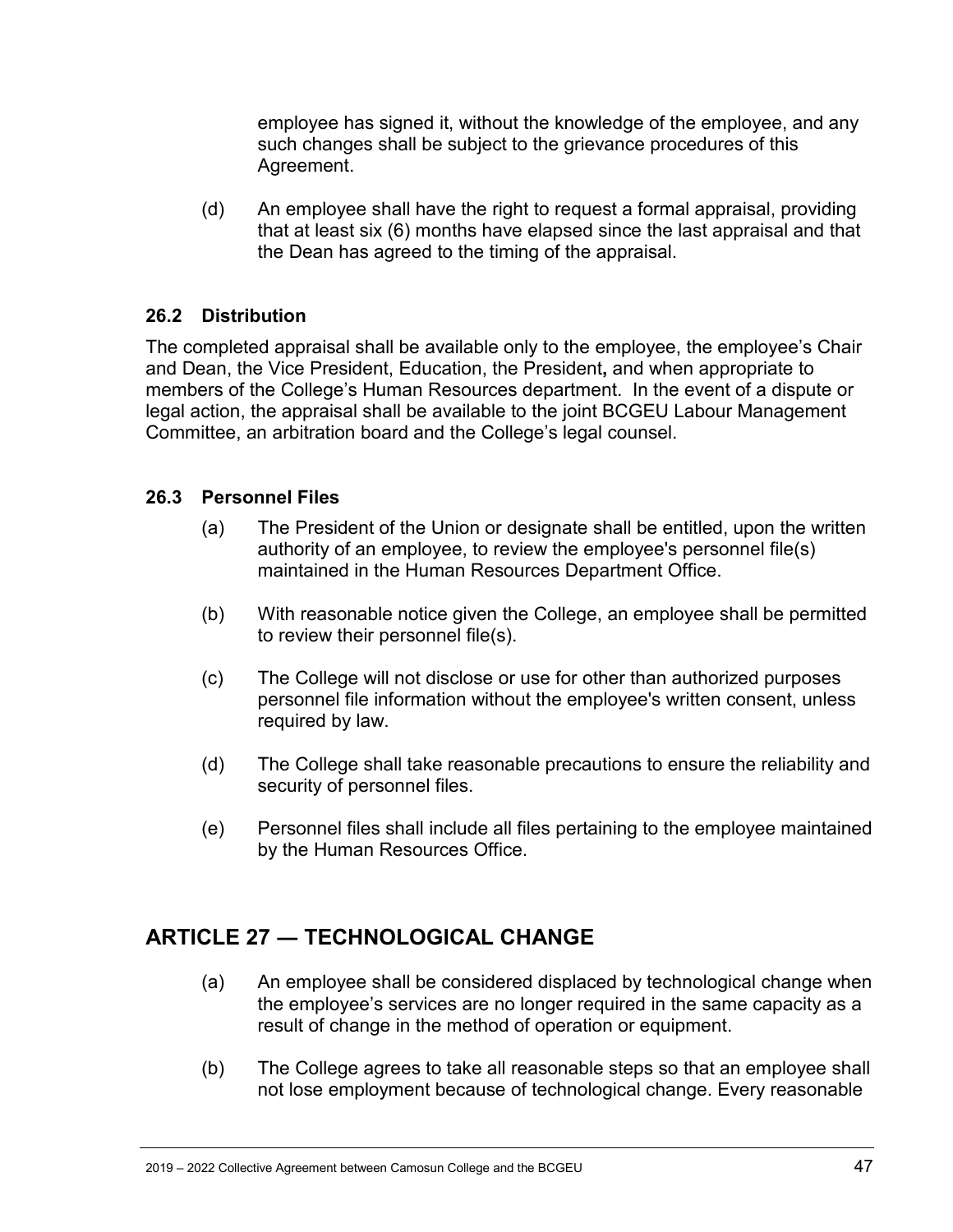employee has signed it, without the knowledge of the employee, and any such changes shall be subject to the grievance procedures of this Agreement.

(d) An employee shall have the right to request a formal appraisal, providing that at least six (6) months have elapsed since the last appraisal and that the Dean has agreed to the timing of the appraisal.

#### <span id="page-46-0"></span>**26.2 Distribution**

The completed appraisal shall be available only to the employee, the employee's Chair and Dean, the Vice President, Education, the President**,** and when appropriate to members of the College's Human Resources department. In the event of a dispute or legal action, the appraisal shall be available to the joint BCGEU Labour Management Committee, an arbitration board and the College's legal counsel.

#### <span id="page-46-1"></span>**26.3 Personnel Files**

- (a) The President of the Union or designate shall be entitled, upon the written authority of an employee, to review the employee's personnel file(s) maintained in the Human Resources Department Office.
- (b) With reasonable notice given the College, an employee shall be permitted to review their personnel file(s).
- (c) The College will not disclose or use for other than authorized purposes personnel file information without the employee's written consent, unless required by law.
- (d) The College shall take reasonable precautions to ensure the reliability and security of personnel files.
- (e) Personnel files shall include all files pertaining to the employee maintained by the Human Resources Office.

# <span id="page-46-2"></span>**ARTICLE 27 ― TECHNOLOGICAL CHANGE**

- (a) An employee shall be considered displaced by technological change when the employee's services are no longer required in the same capacity as a result of change in the method of operation or equipment.
- (b) The College agrees to take all reasonable steps so that an employee shall not lose employment because of technological change. Every reasonable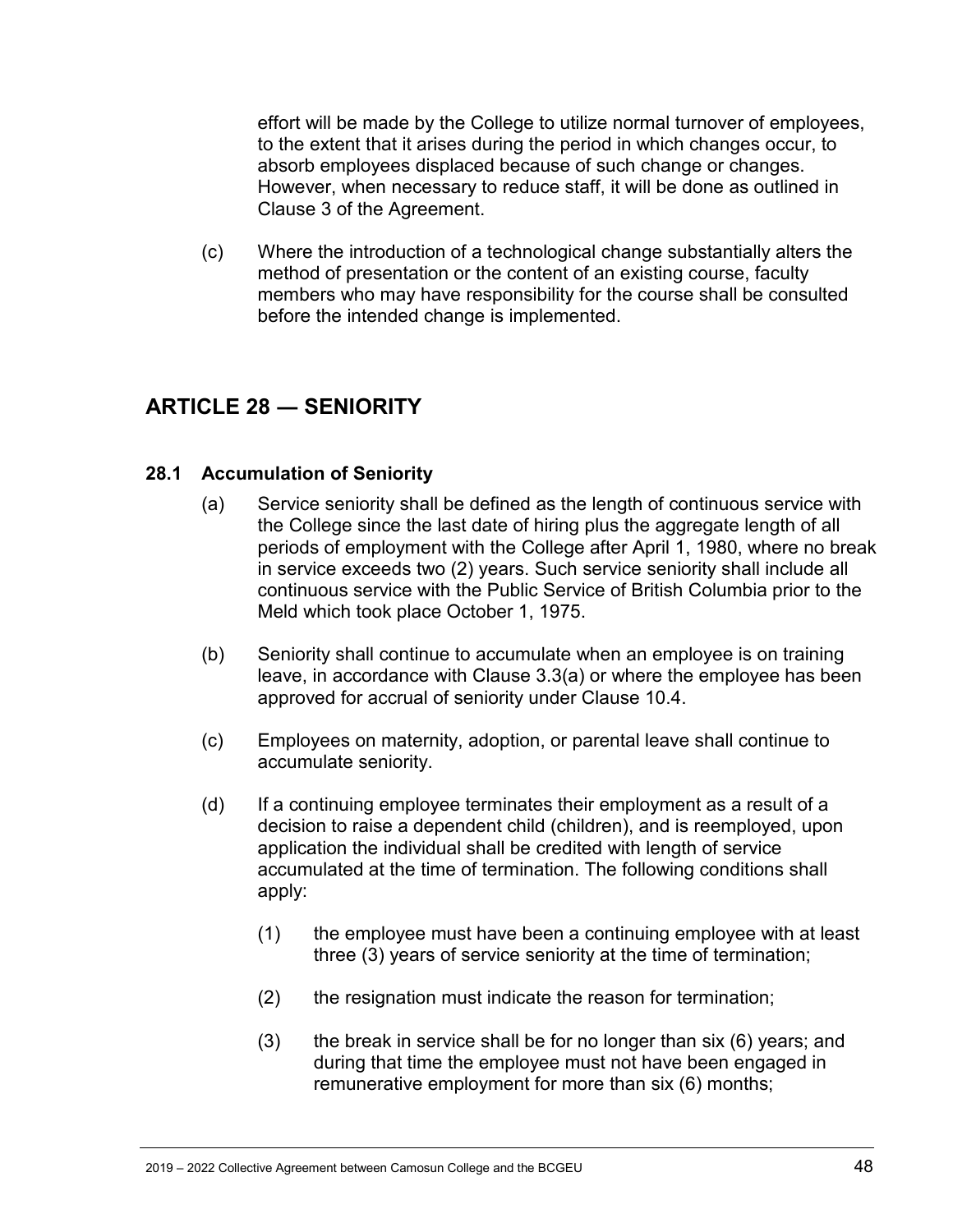effort will be made by the College to utilize normal turnover of employees, to the extent that it arises during the period in which changes occur, to absorb employees displaced because of such change or changes. However, when necessary to reduce staff, it will be done as outlined in Clause 3 of the Agreement.

(c) Where the introduction of a technological change substantially alters the method of presentation or the content of an existing course, faculty members who may have responsibility for the course shall be consulted before the intended change is implemented.

# <span id="page-47-0"></span>**ARTICLE 28 ― SENIORITY**

#### <span id="page-47-1"></span>**28.1 Accumulation of Seniority**

- (a) Service seniority shall be defined as the length of continuous service with the College since the last date of hiring plus the aggregate length of all periods of employment with the College after April 1, 1980, where no break in service exceeds two (2) years. Such service seniority shall include all continuous service with the Public Service of British Columbia prior to the Meld which took place October 1, 1975.
- (b) Seniority shall continue to accumulate when an employee is on training leave, in accordance with Clause 3.3(a) or where the employee has been approved for accrual of seniority under Clause 10.4.
- (c) Employees on maternity, adoption, or parental leave shall continue to accumulate seniority.
- (d) If a continuing employee terminates their employment as a result of a decision to raise a dependent child (children), and is reemployed, upon application the individual shall be credited with length of service accumulated at the time of termination. The following conditions shall apply:
	- (1) the employee must have been a continuing employee with at least three (3) years of service seniority at the time of termination;
	- (2) the resignation must indicate the reason for termination;
	- $(3)$  the break in service shall be for no longer than six  $(6)$  years; and during that time the employee must not have been engaged in remunerative employment for more than six (6) months;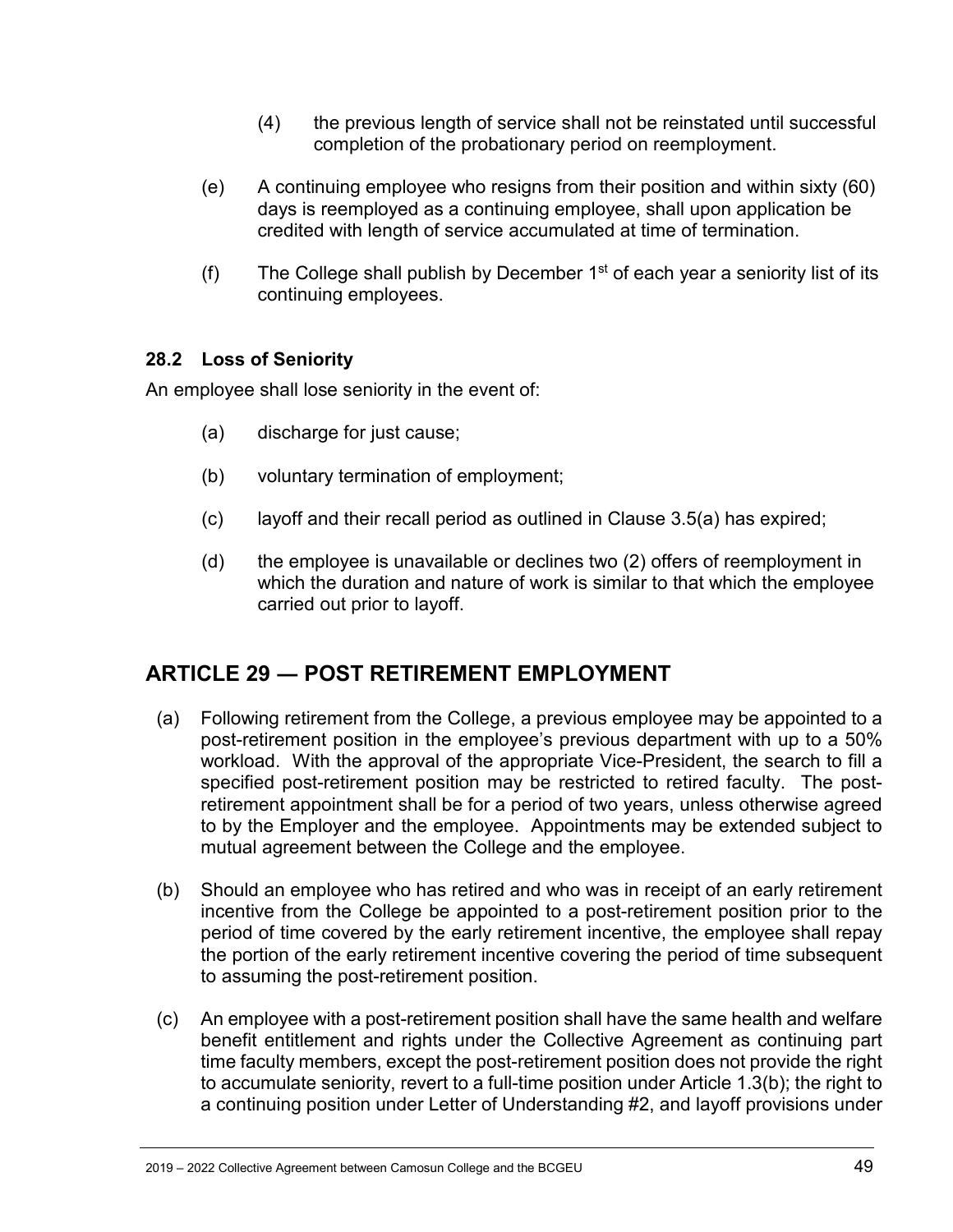- (4) the previous length of service shall not be reinstated until successful completion of the probationary period on reemployment.
- (e) A continuing employee who resigns from their position and within sixty (60) days is reemployed as a continuing employee, shall upon application be credited with length of service accumulated at time of termination.
- (f) The College shall publish by December  $1<sup>st</sup>$  of each year a seniority list of its continuing employees.

#### <span id="page-48-0"></span>**28.2 Loss of Seniority**

An employee shall lose seniority in the event of:

- (a) discharge for just cause;
- (b) voluntary termination of employment;
- (c) layoff and their recall period as outlined in Clause 3.5(a) has expired;
- (d) the employee is unavailable or declines two (2) offers of reemployment in which the duration and nature of work is similar to that which the employee carried out prior to layoff.

# <span id="page-48-1"></span>**ARTICLE 29 ― POST RETIREMENT EMPLOYMENT**

- (a) Following retirement from the College, a previous employee may be appointed to a post-retirement position in the employee's previous department with up to a 50% workload. With the approval of the appropriate Vice-President, the search to fill a specified post-retirement position may be restricted to retired faculty. The postretirement appointment shall be for a period of two years, unless otherwise agreed to by the Employer and the employee. Appointments may be extended subject to mutual agreement between the College and the employee.
- (b) Should an employee who has retired and who was in receipt of an early retirement incentive from the College be appointed to a post-retirement position prior to the period of time covered by the early retirement incentive, the employee shall repay the portion of the early retirement incentive covering the period of time subsequent to assuming the post-retirement position.
- (c) An employee with a post-retirement position shall have the same health and welfare benefit entitlement and rights under the Collective Agreement as continuing part time faculty members, except the post-retirement position does not provide the right to accumulate seniority, revert to a full-time position under Article 1.3(b); the right to a continuing position under Letter of Understanding #2, and layoff provisions under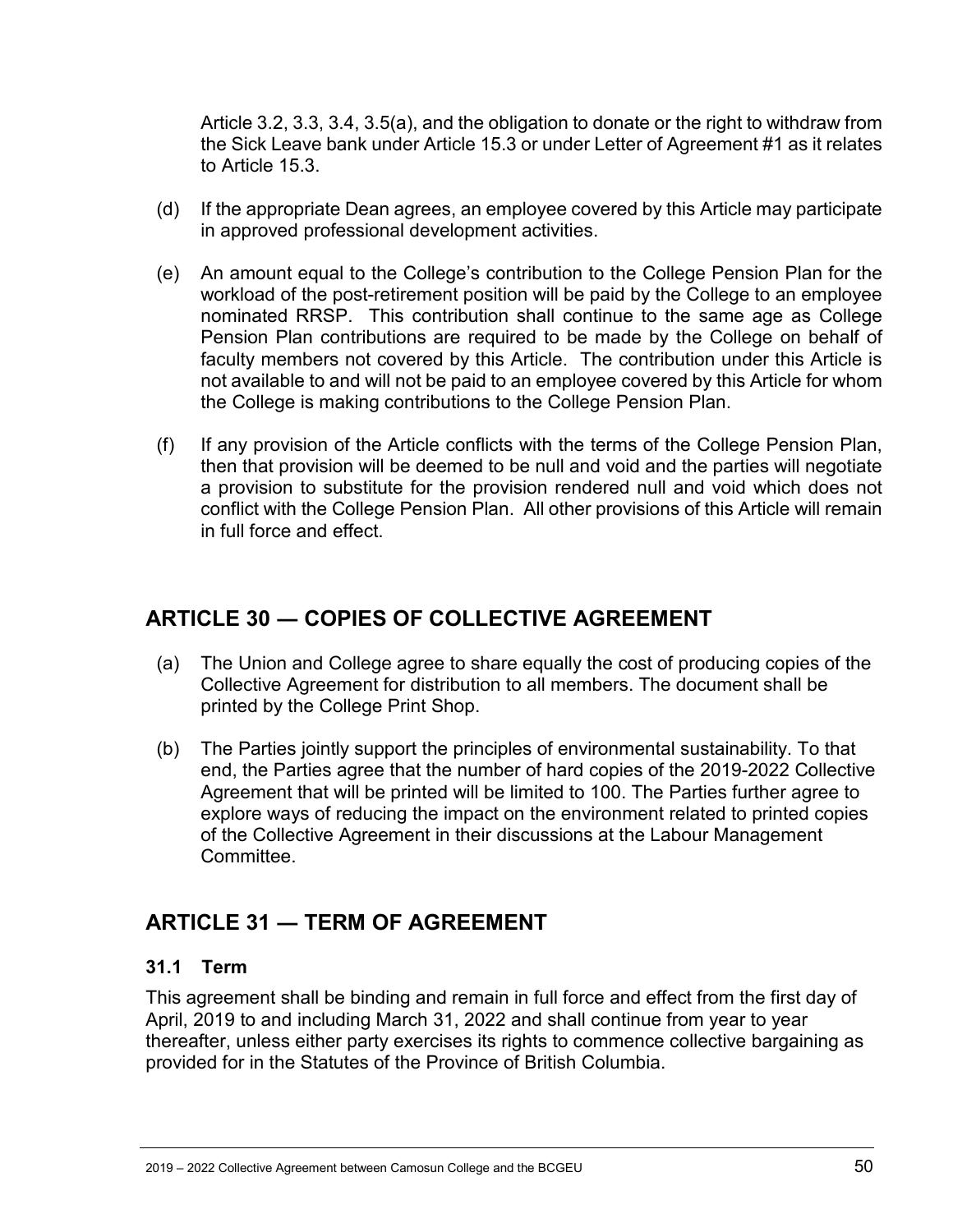Article 3.2, 3.3, 3.4, 3.5(a), and the obligation to donate or the right to withdraw from the Sick Leave bank under Article 15.3 or under Letter of Agreement #1 as it relates to Article 15.3.

- (d) If the appropriate Dean agrees, an employee covered by this Article may participate in approved professional development activities.
- (e) An amount equal to the College's contribution to the College Pension Plan for the workload of the post-retirement position will be paid by the College to an employee nominated RRSP. This contribution shall continue to the same age as College Pension Plan contributions are required to be made by the College on behalf of faculty members not covered by this Article. The contribution under this Article is not available to and will not be paid to an employee covered by this Article for whom the College is making contributions to the College Pension Plan.
- (f) If any provision of the Article conflicts with the terms of the College Pension Plan, then that provision will be deemed to be null and void and the parties will negotiate a provision to substitute for the provision rendered null and void which does not conflict with the College Pension Plan. All other provisions of this Article will remain in full force and effect.

# <span id="page-49-0"></span>**ARTICLE 30 ― COPIES OF COLLECTIVE AGREEMENT**

- (a) The Union and College agree to share equally the cost of producing copies of the Collective Agreement for distribution to all members. The document shall be printed by the College Print Shop.
- (b) The Parties jointly support the principles of environmental sustainability. To that end, the Parties agree that the number of hard copies of the 2019-2022 Collective Agreement that will be printed will be limited to 100. The Parties further agree to explore ways of reducing the impact on the environment related to printed copies of the Collective Agreement in their discussions at the Labour Management Committee.

# <span id="page-49-1"></span>**ARTICLE 31 ― TERM OF AGREEMENT**

#### <span id="page-49-2"></span>**31.1 Term**

This agreement shall be binding and remain in full force and effect from the first day of April, 2019 to and including March 31, 2022 and shall continue from year to year thereafter, unless either party exercises its rights to commence collective bargaining as provided for in the Statutes of the Province of British Columbia.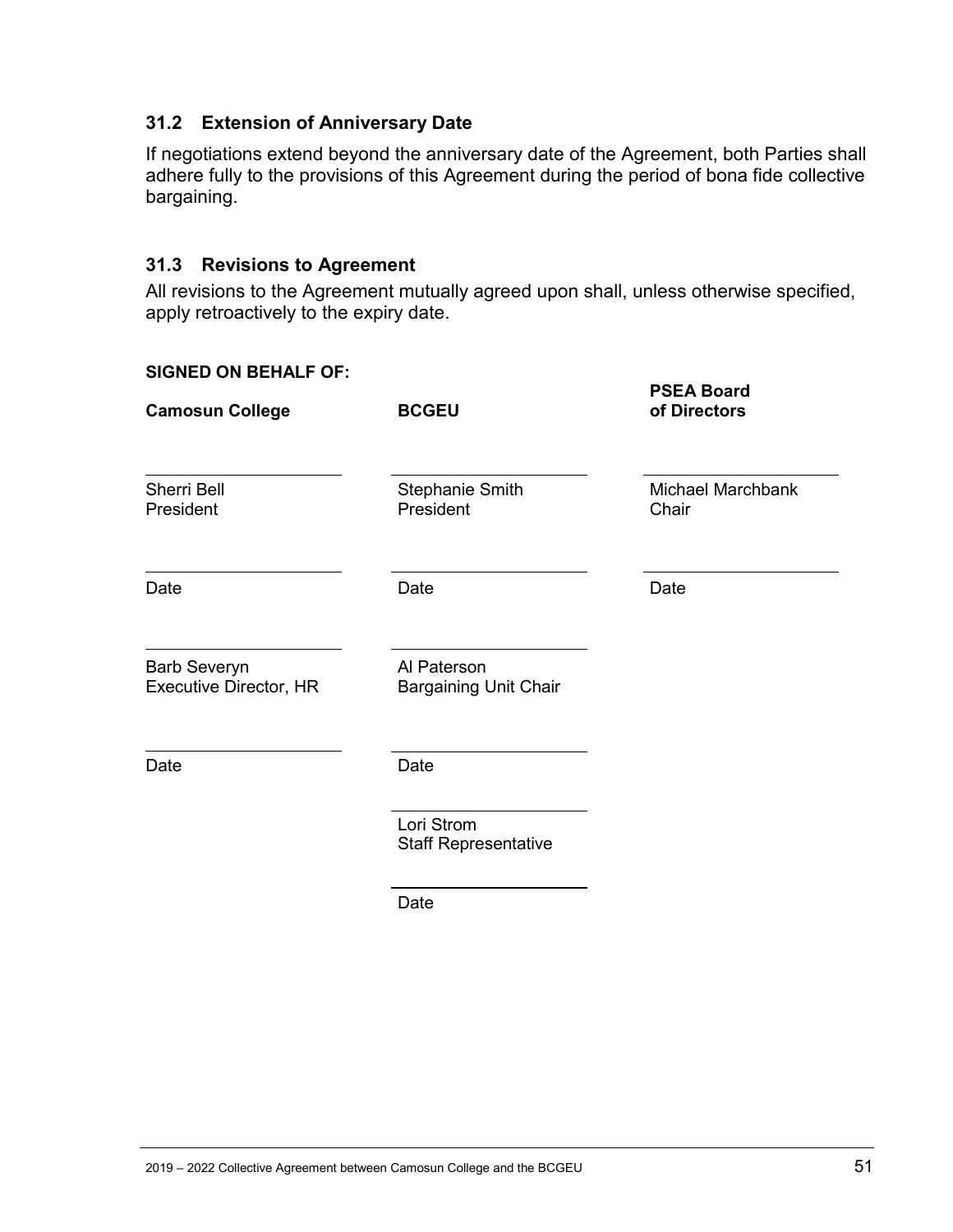#### <span id="page-50-0"></span>**31.2 Extension of Anniversary Date**

If negotiations extend beyond the anniversary date of the Agreement, both Parties shall adhere fully to the provisions of this Agreement during the period of bona fide collective bargaining.

#### <span id="page-50-1"></span>**31.3 Revisions to Agreement**

All revisions to the Agreement mutually agreed upon shall, unless otherwise specified, apply retroactively to the expiry date.

#### **SIGNED ON BEHALF OF:**

| <b>Camosun College</b>                        | <b>BCGEU</b>                                | <b>PSEA Board</b><br>of Directors |
|-----------------------------------------------|---------------------------------------------|-----------------------------------|
| <b>Sherri Bell</b><br>President               | <b>Stephanie Smith</b><br>President         | Michael Marchbank<br>Chair        |
| Date                                          | Date                                        | Date                              |
| <b>Barb Severyn</b><br>Executive Director, HR | Al Paterson<br><b>Bargaining Unit Chair</b> |                                   |
| Date                                          | Date                                        |                                   |
|                                               | Lori Strom<br><b>Staff Representative</b>   |                                   |

Date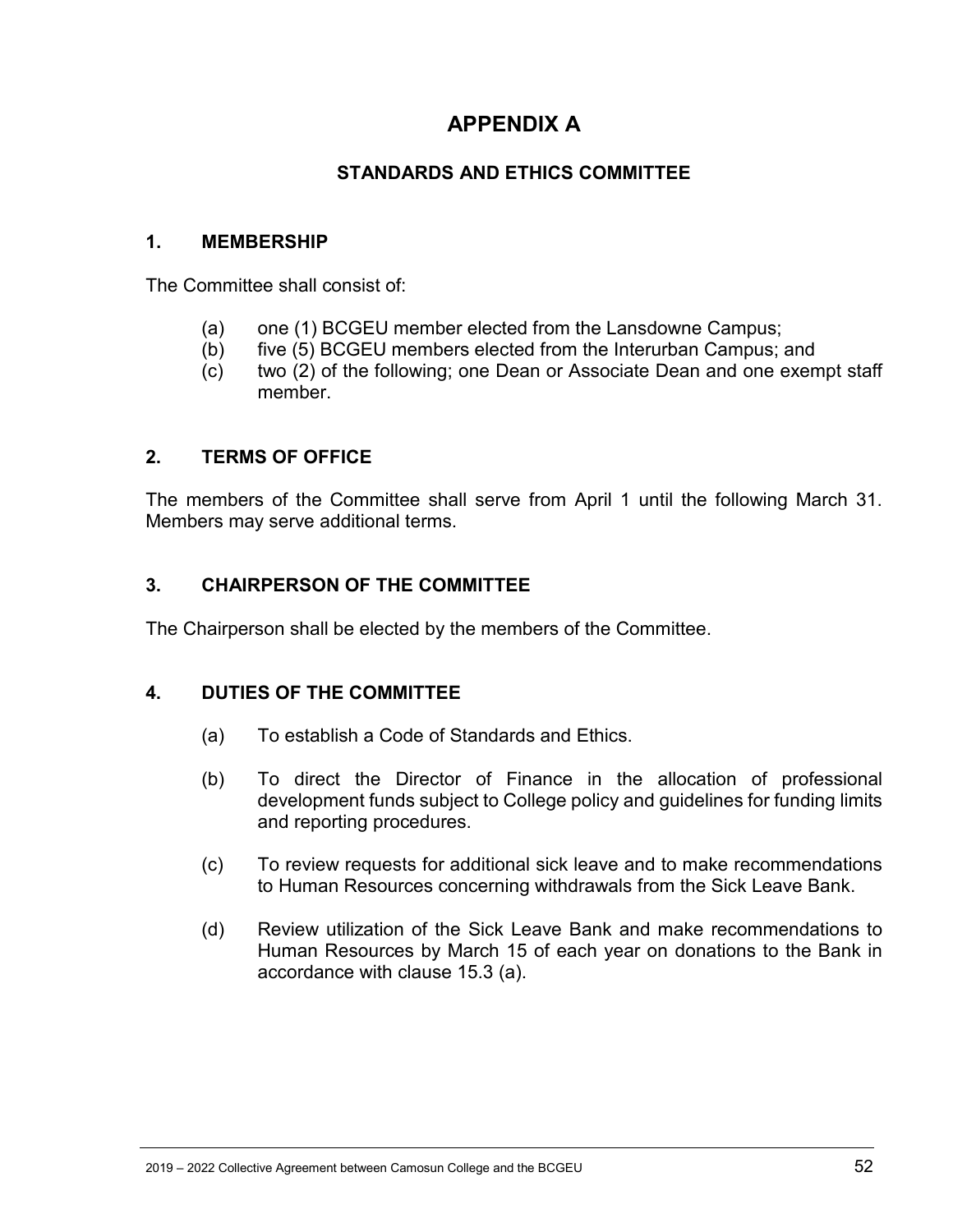# **APPENDIX A**

### **STANDARDS AND ETHICS COMMITTEE**

#### <span id="page-51-1"></span><span id="page-51-0"></span>**1. MEMBERSHIP**

The Committee shall consist of:

- (a) one (1) BCGEU member elected from the Lansdowne Campus;
- (b) five (5) BCGEU members elected from the Interurban Campus; and
- (c) two (2) of the following; one Dean or Associate Dean and one exempt staff member.

#### **2. TERMS OF OFFICE**

The members of the Committee shall serve from April 1 until the following March 31. Members may serve additional terms.

#### **3. CHAIRPERSON OF THE COMMITTEE**

The Chairperson shall be elected by the members of the Committee.

#### **4. DUTIES OF THE COMMITTEE**

- (a) To establish a Code of Standards and Ethics.
- (b) To direct the Director of Finance in the allocation of professional development funds subject to College policy and guidelines for funding limits and reporting procedures.
- (c) To review requests for additional sick leave and to make recommendations to Human Resources concerning withdrawals from the Sick Leave Bank.
- (d) Review utilization of the Sick Leave Bank and make recommendations to Human Resources by March 15 of each year on donations to the Bank in accordance with clause 15.3 (a).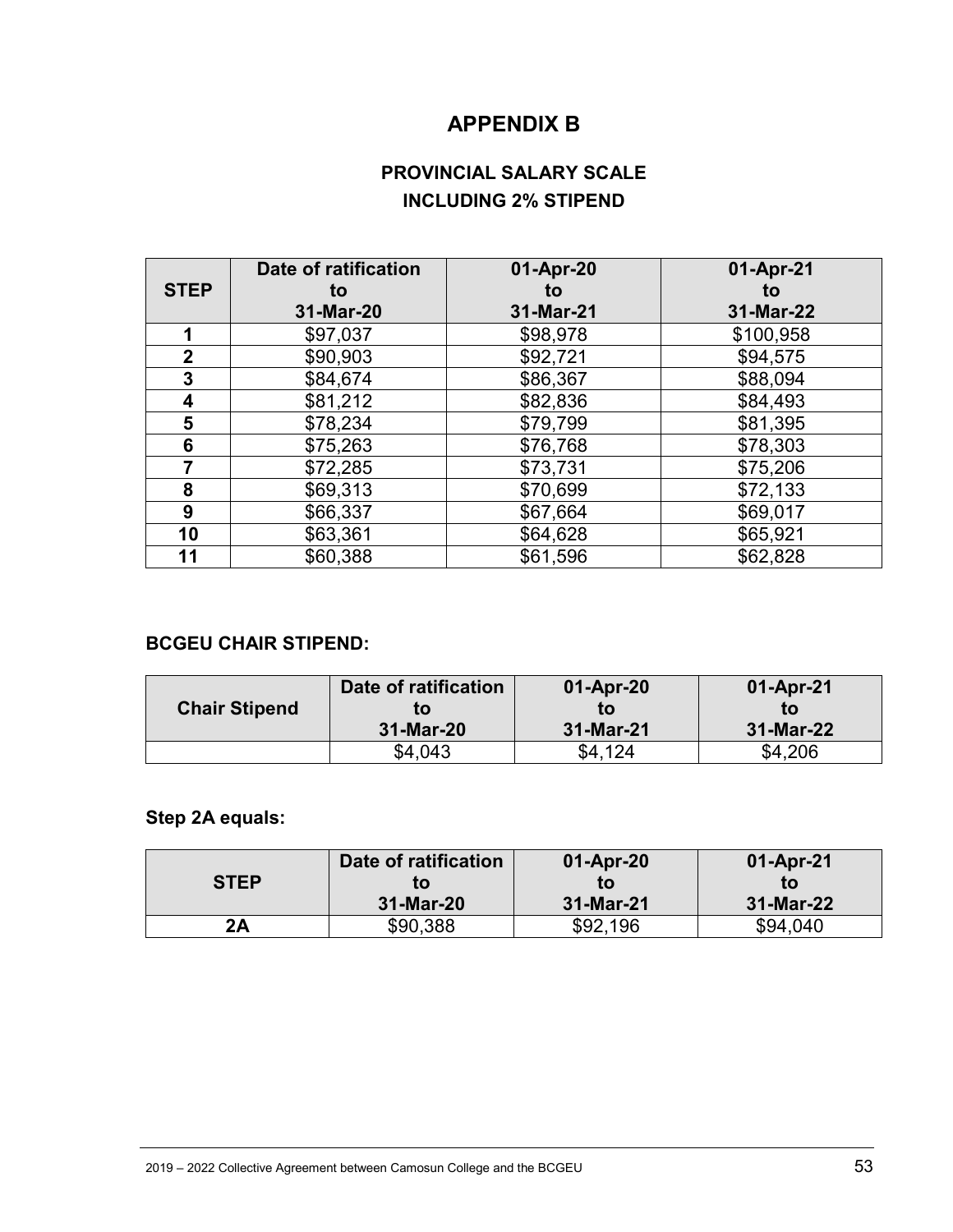# **APPENDIX B**

# **PROVINCIAL SALARY SCALE INCLUDING 2% STIPEND**

<span id="page-52-1"></span><span id="page-52-0"></span>

|                | Date of ratification | 01-Apr-20 | 01-Apr-21 |
|----------------|----------------------|-----------|-----------|
| <b>STEP</b>    | to                   | to        | to        |
|                | 31-Mar-20            | 31-Mar-21 | 31-Mar-22 |
| 1              | \$97,037             | \$98,978  | \$100,958 |
| $\overline{2}$ | \$90,903             | \$92,721  | \$94,575  |
| 3              | \$84,674             | \$86,367  | \$88,094  |
| 4              | \$81,212             | \$82,836  | \$84,493  |
| 5              | \$78,234             | \$79,799  | \$81,395  |
| 6              | \$75,263             | \$76,768  | \$78,303  |
| 7              | \$72,285             | \$73,731  | \$75,206  |
| 8              | \$69,313             | \$70,699  | \$72,133  |
| 9              | \$66,337             | \$67,664  | \$69,017  |
| 10             | \$63,361             | \$64,628  | \$65,921  |
| 11             | \$60,388             | \$61,596  | \$62,828  |

#### **BCGEU CHAIR STIPEND:**

|                      | Date of ratification | 01-Apr-20 | 01-Apr-21 |
|----------------------|----------------------|-----------|-----------|
| <b>Chair Stipend</b> | tΟ                   | to        | tΟ        |
|                      | 31-Mar-20            | 31-Mar-21 | 31-Mar-22 |
|                      | \$4.043              | \$4.124   | \$4,206   |

# **Step 2A equals:**

| <b>STEP</b> | Date of ratification<br>tΟ | 01-Apr-20<br>to | 01-Apr-21<br>tΟ |
|-------------|----------------------------|-----------------|-----------------|
|             | 31-Mar-20                  | 31-Mar-21       | 31-Mar-22       |
| 2Α          | \$90,388                   | \$92,196        | \$94,040        |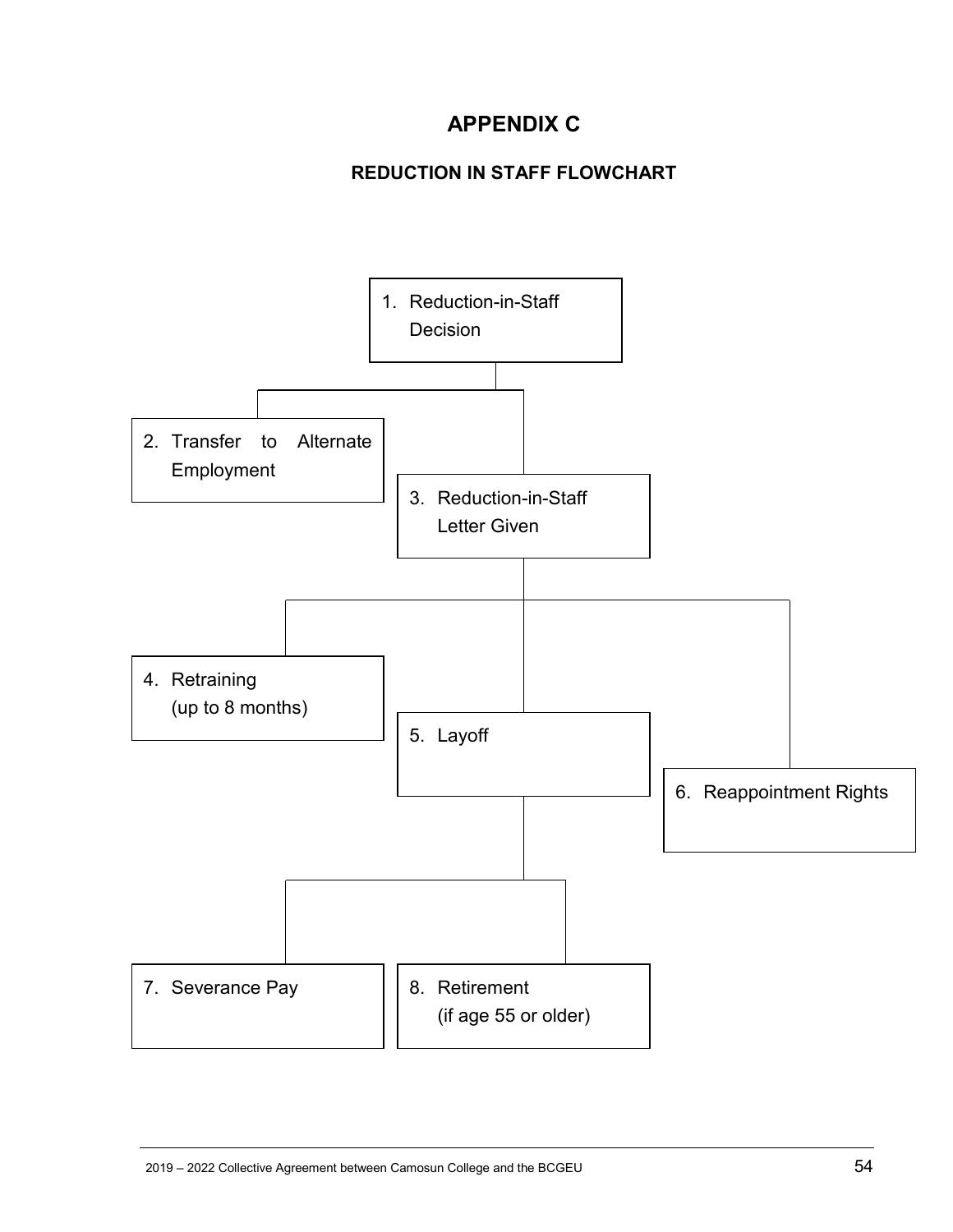# **APPENDIX C**

# **REDUCTION IN STAFF FLOWCHART**

<span id="page-53-2"></span><span id="page-53-1"></span><span id="page-53-0"></span>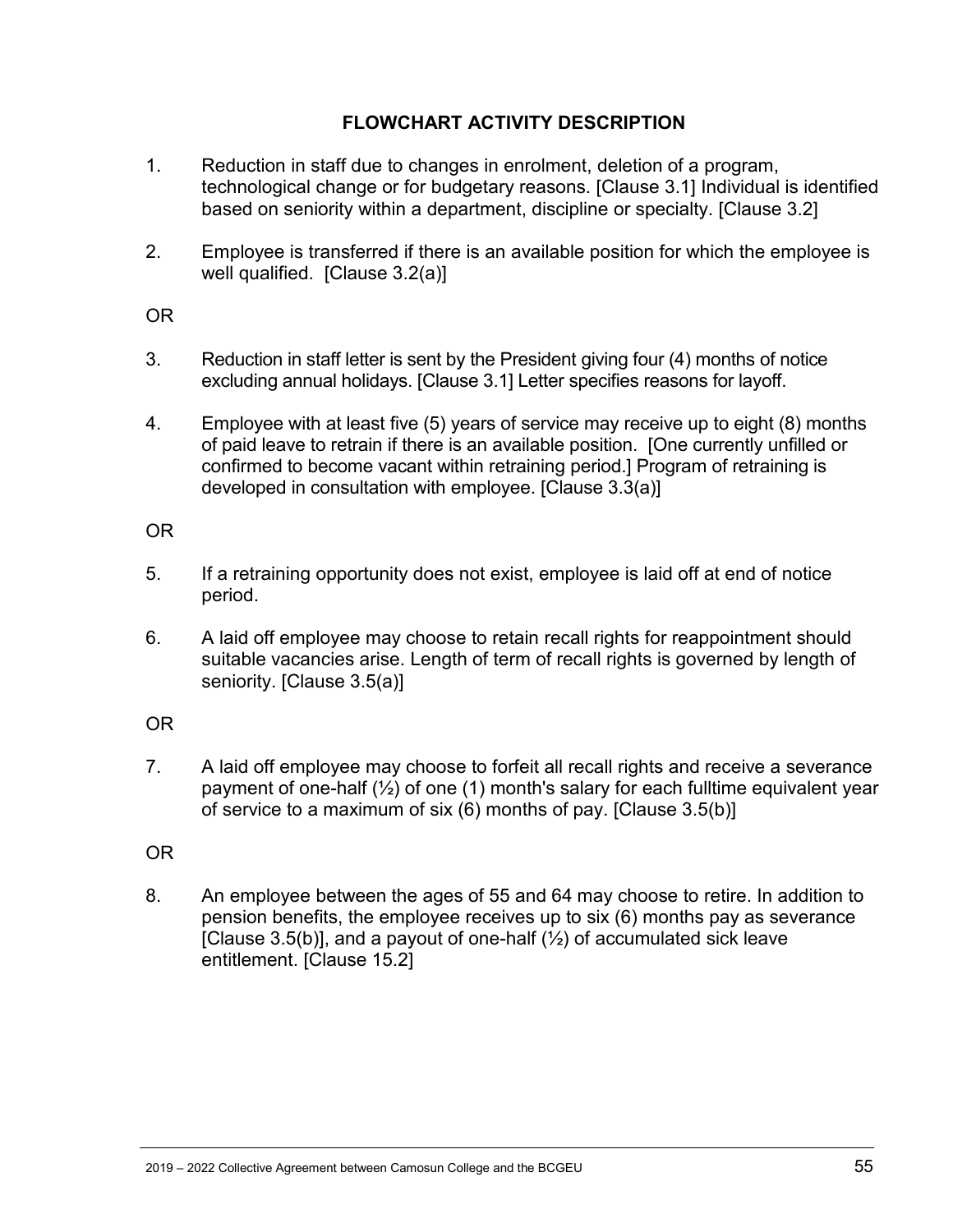#### **FLOWCHART ACTIVITY DESCRIPTION**

- 1. Reduction in staff due to changes in enrolment, deletion of a program, technological change or for budgetary reasons. [Clause 3.1] Individual is identified based on seniority within a department, discipline or specialty. [Clause 3.2]
- 2. Employee is transferred if there is an available position for which the employee is well qualified. [Clause 3.2(a)]

#### OR

- 3. Reduction in staff letter is sent by the President giving four (4) months of notice excluding annual holidays. [Clause 3.1] Letter specifies reasons for layoff.
- 4. Employee with at least five (5) years of service may receive up to eight (8) months of paid leave to retrain if there is an available position. [One currently unfilled or confirmed to become vacant within retraining period.] Program of retraining is developed in consultation with employee. [Clause 3.3(a)]

#### OR

- 5. If a retraining opportunity does not exist, employee is laid off at end of notice period.
- 6. A laid off employee may choose to retain recall rights for reappointment should suitable vacancies arise. Length of term of recall rights is governed by length of seniority. [Clause 3.5(a)]

#### OR

7. A laid off employee may choose to forfeit all recall rights and receive a severance payment of one-half  $\binom{1}{2}$  of one (1) month's salary for each fulltime equivalent year of service to a maximum of six (6) months of pay. [Clause 3.5(b)]

#### OR

8. An employee between the ages of 55 and 64 may choose to retire. In addition to pension benefits, the employee receives up to six (6) months pay as severance [Clause 3.5(b)], and a payout of one-half  $(\frac{1}{2})$  of accumulated sick leave entitlement. [Clause 15.2]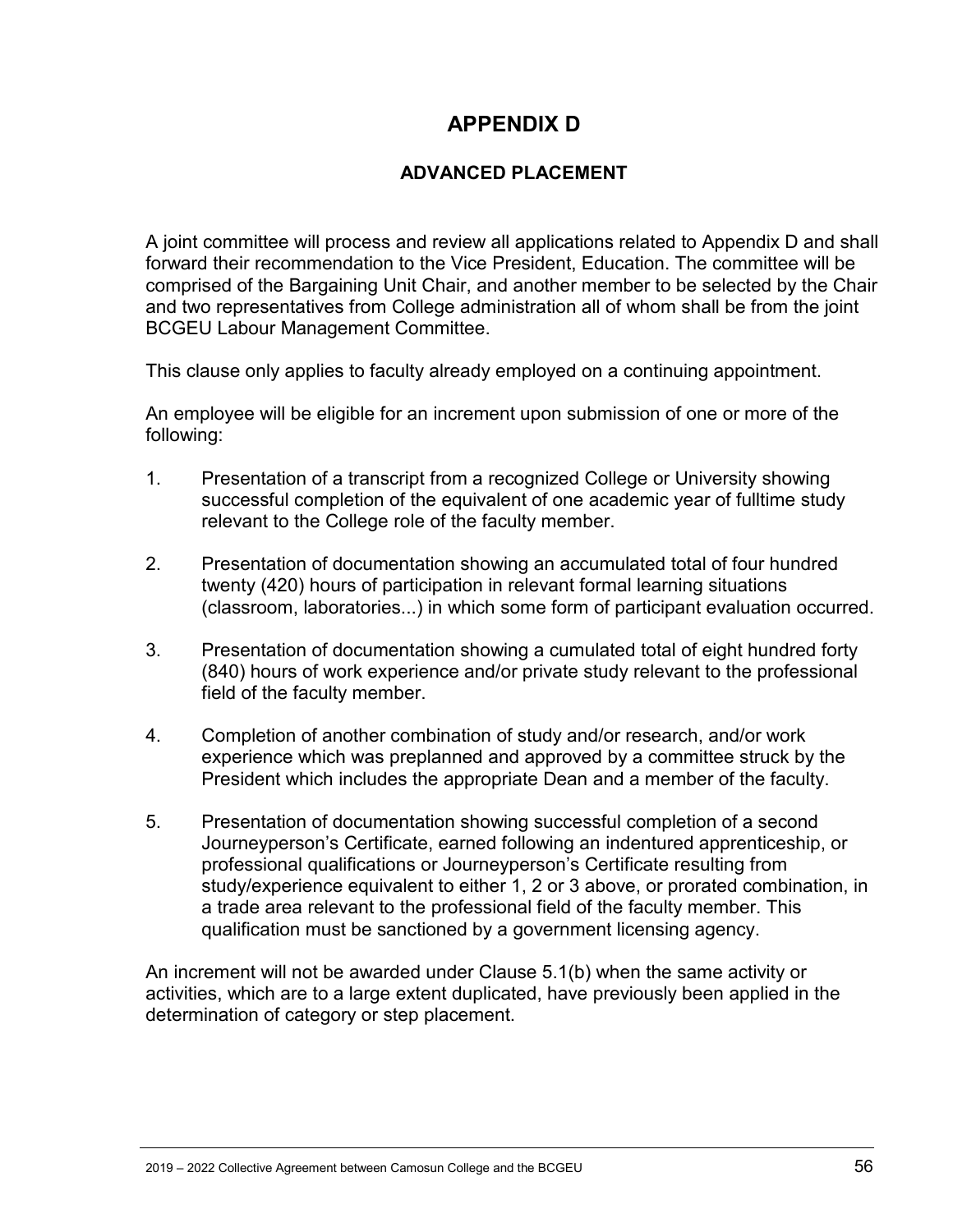# **APPENDIX D**

#### **ADVANCED PLACEMENT**

<span id="page-55-1"></span><span id="page-55-0"></span>A joint committee will process and review all applications related to Appendix D and shall forward their recommendation to the Vice President, Education. The committee will be comprised of the Bargaining Unit Chair, and another member to be selected by the Chair and two representatives from College administration all of whom shall be from the joint BCGEU Labour Management Committee.

This clause only applies to faculty already employed on a continuing appointment.

An employee will be eligible for an increment upon submission of one or more of the following:

- 1. Presentation of a transcript from a recognized College or University showing successful completion of the equivalent of one academic year of fulltime study relevant to the College role of the faculty member.
- 2. Presentation of documentation showing an accumulated total of four hundred twenty (420) hours of participation in relevant formal learning situations (classroom, laboratories...) in which some form of participant evaluation occurred.
- 3. Presentation of documentation showing a cumulated total of eight hundred forty (840) hours of work experience and/or private study relevant to the professional field of the faculty member.
- 4. Completion of another combination of study and/or research, and/or work experience which was preplanned and approved by a committee struck by the President which includes the appropriate Dean and a member of the faculty.
- 5. Presentation of documentation showing successful completion of a second Journeyperson's Certificate, earned following an indentured apprenticeship, or professional qualifications or Journeyperson's Certificate resulting from study/experience equivalent to either 1, 2 or 3 above, or prorated combination, in a trade area relevant to the professional field of the faculty member. This qualification must be sanctioned by a government licensing agency.

An increment will not be awarded under Clause 5.1(b) when the same activity or activities, which are to a large extent duplicated, have previously been applied in the determination of category or step placement.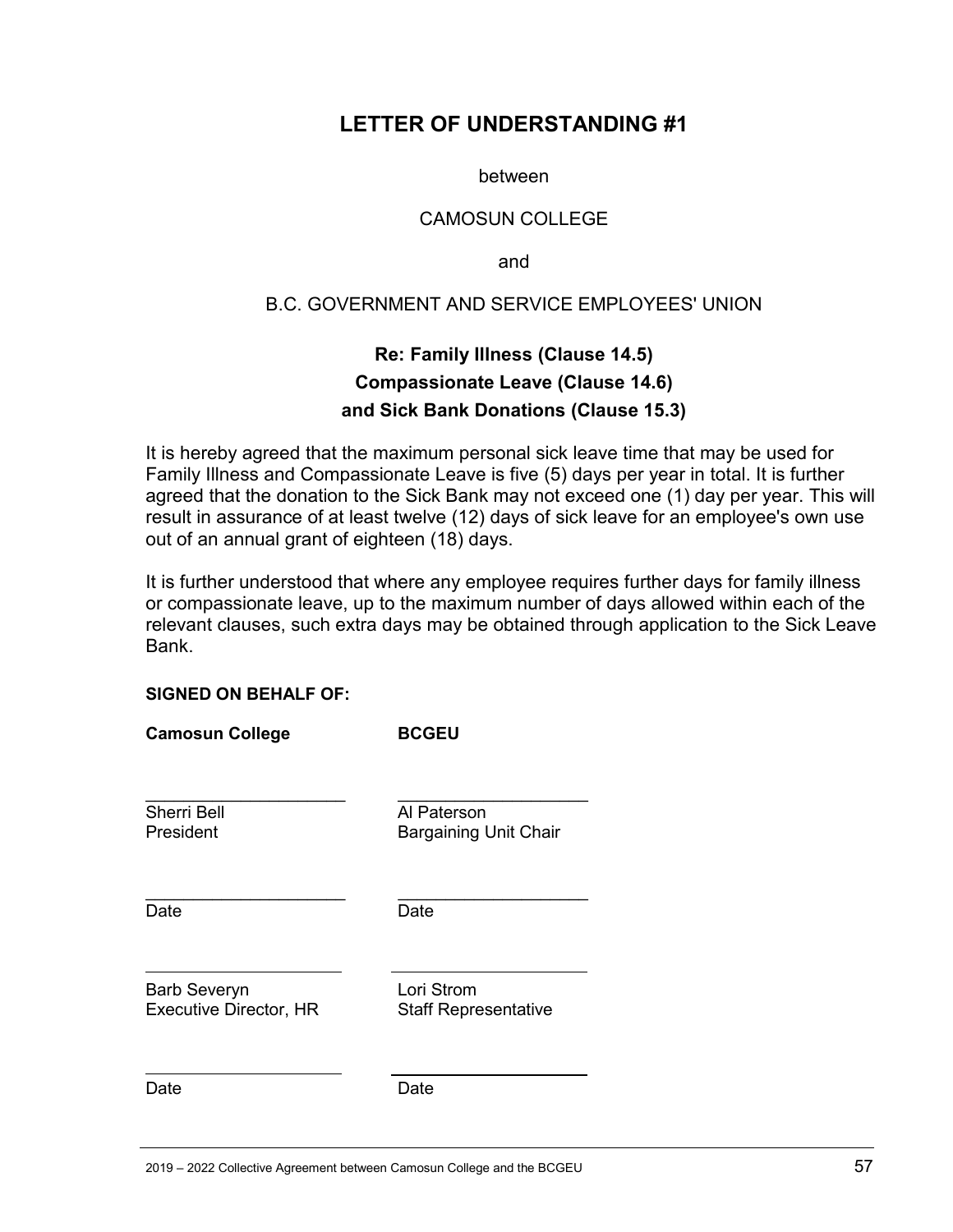### <span id="page-56-0"></span>**LETTER OF UNDERSTANDING #1**

between

#### CAMOSUN COLLEGE

and

#### B.C. GOVERNMENT AND SERVICE EMPLOYEES' UNION

### **Re: Family Illness (Clause 14.5) Compassionate Leave (Clause 14.6) and Sick Bank Donations (Clause 15.3)**

<span id="page-56-1"></span>It is hereby agreed that the maximum personal sick leave time that may be used for Family Illness and Compassionate Leave is five (5) days per year in total. It is further agreed that the donation to the Sick Bank may not exceed one (1) day per year. This will result in assurance of at least twelve (12) days of sick leave for an employee's own use out of an annual grant of eighteen (18) days.

It is further understood that where any employee requires further days for family illness or compassionate leave, up to the maximum number of days allowed within each of the relevant clauses, such extra days may be obtained through application to the Sick Leave Bank.

#### **SIGNED ON BEHALF OF:**

| <b>Camosun College</b>                               | <b>BCGEU</b>                                |
|------------------------------------------------------|---------------------------------------------|
| <b>Sherri Bell</b><br>President                      | Al Paterson<br><b>Bargaining Unit Chair</b> |
| Date                                                 | Date                                        |
| <b>Barb Severyn</b><br><b>Executive Director, HR</b> | Lori Strom<br><b>Staff Representative</b>   |
| Date                                                 | Date                                        |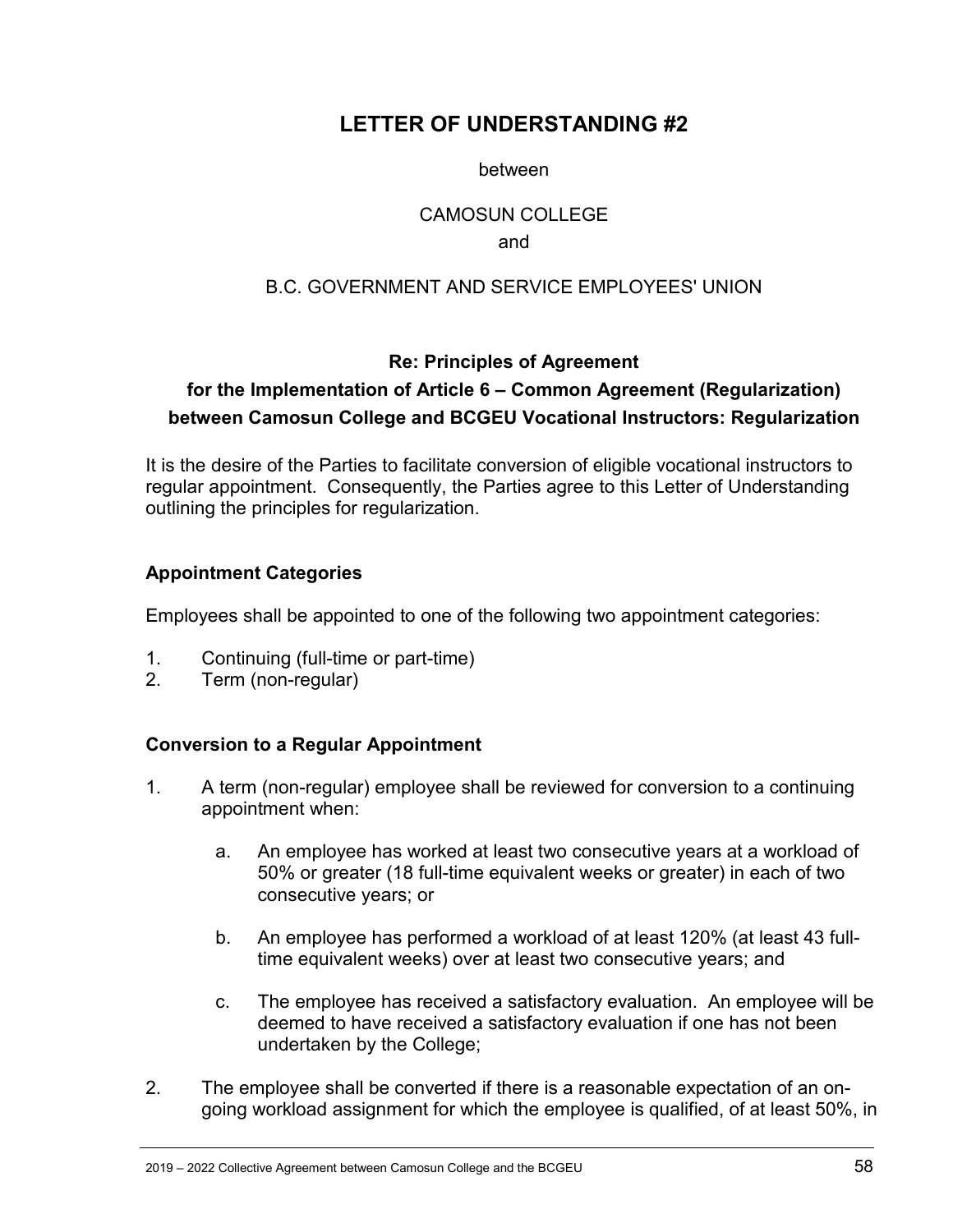# <span id="page-57-0"></span>**LETTER OF UNDERSTANDING #2**

between

#### CAMOSUN COLLEGE

#### and

#### B.C. GOVERNMENT AND SERVICE EMPLOYEES' UNION

#### **Re: Principles of Agreement**

# <span id="page-57-1"></span>**for the Implementation of Article 6 – Common Agreement (Regularization) between Camosun College and BCGEU Vocational Instructors: Regularization**

It is the desire of the Parties to facilitate conversion of eligible vocational instructors to regular appointment. Consequently, the Parties agree to this Letter of Understanding outlining the principles for regularization.

#### **Appointment Categories**

Employees shall be appointed to one of the following two appointment categories:

- 1. Continuing (full-time or part-time)
- 2. Term (non-regular)

#### **Conversion to a Regular Appointment**

- 1. A term (non-regular) employee shall be reviewed for conversion to a continuing appointment when:
	- a. An employee has worked at least two consecutive years at a workload of 50% or greater (18 full-time equivalent weeks or greater) in each of two consecutive years; or
	- b. An employee has performed a workload of at least 120% (at least 43 fulltime equivalent weeks) over at least two consecutive years; and
	- c. The employee has received a satisfactory evaluation. An employee will be deemed to have received a satisfactory evaluation if one has not been undertaken by the College;
- 2. The employee shall be converted if there is a reasonable expectation of an ongoing workload assignment for which the employee is qualified, of at least 50%, in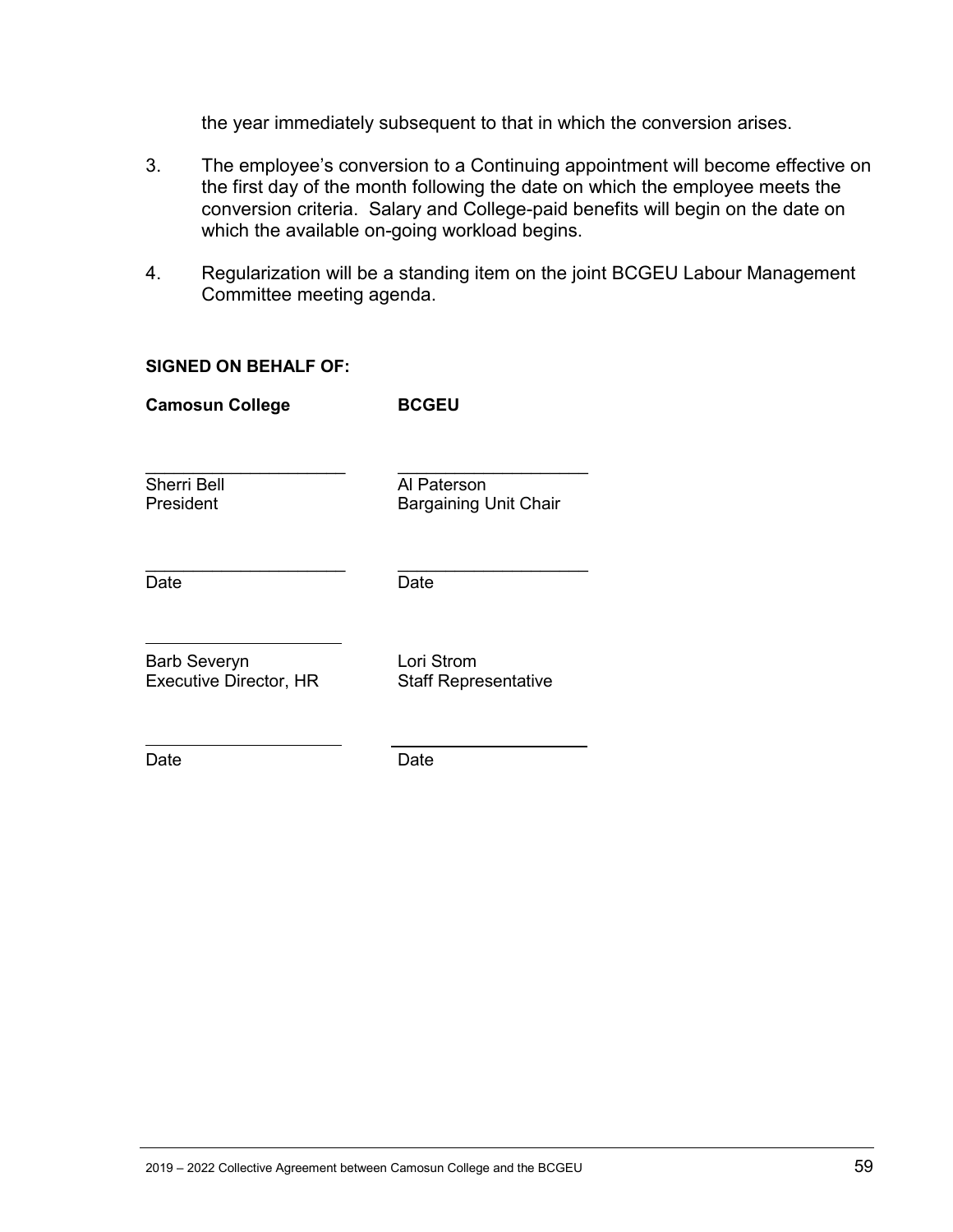the year immediately subsequent to that in which the conversion arises.

- 3. The employee's conversion to a Continuing appointment will become effective on the first day of the month following the date on which the employee meets the conversion criteria. Salary and College-paid benefits will begin on the date on which the available on-going workload begins.
- 4. Regularization will be a standing item on the joint BCGEU Labour Management Committee meeting agenda.

#### **SIGNED ON BEHALF OF:**

**Camosun College BCGEU**

Sherri Bell<br>President **Al Paterson**<br>President Bargaining L

Bargaining Unit Chair

Date Date

\_\_\_\_\_\_\_\_\_\_\_\_\_\_\_\_\_\_\_\_\_ \_\_\_\_\_\_\_\_\_\_\_\_\_\_\_\_\_\_\_\_

\_\_\_\_\_\_\_\_\_\_\_\_\_\_\_\_\_\_\_\_\_ \_\_\_\_\_\_\_\_\_\_\_\_\_\_\_\_\_\_\_\_

Barb Severyn Lori Strom<br>
Executive Director, HR
Executive Director, HR
Executive Director, HR

**Staff Representative** 

Date **Date** Date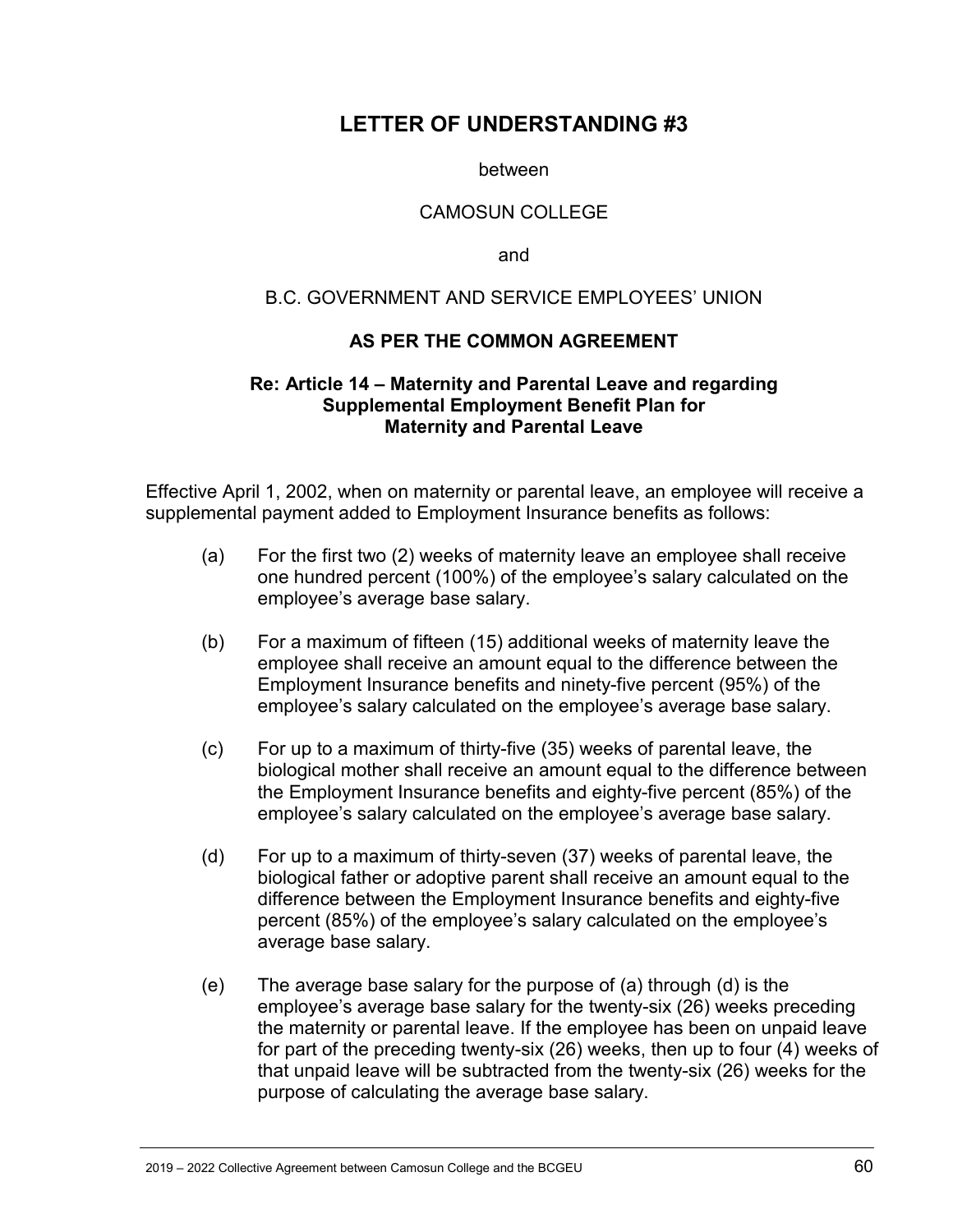### <span id="page-59-0"></span>**LETTER OF UNDERSTANDING #3**

between

#### CAMOSUN COLLEGE

and

#### B.C. GOVERNMENT AND SERVICE EMPLOYEES' UNION

#### **AS PER THE COMMON AGREEMENT**

#### <span id="page-59-1"></span>**Re: Article 14 – Maternity and Parental Leave and regarding Supplemental Employment Benefit Plan for Maternity and Parental Leave**

Effective April 1, 2002, when on maternity or parental leave, an employee will receive a supplemental payment added to Employment Insurance benefits as follows:

- (a) For the first two (2) weeks of maternity leave an employee shall receive one hundred percent (100%) of the employee's salary calculated on the employee's average base salary.
- (b) For a maximum of fifteen (15) additional weeks of maternity leave the employee shall receive an amount equal to the difference between the Employment Insurance benefits and ninety-five percent (95%) of the employee's salary calculated on the employee's average base salary.
- (c) For up to a maximum of thirty-five (35) weeks of parental leave, the biological mother shall receive an amount equal to the difference between the Employment Insurance benefits and eighty-five percent (85%) of the employee's salary calculated on the employee's average base salary.
- (d) For up to a maximum of thirty-seven (37) weeks of parental leave, the biological father or adoptive parent shall receive an amount equal to the difference between the Employment Insurance benefits and eighty-five percent (85%) of the employee's salary calculated on the employee's average base salary.
- (e) The average base salary for the purpose of (a) through (d) is the employee's average base salary for the twenty-six (26) weeks preceding the maternity or parental leave. If the employee has been on unpaid leave for part of the preceding twenty-six (26) weeks, then up to four (4) weeks of that unpaid leave will be subtracted from the twenty-six (26) weeks for the purpose of calculating the average base salary.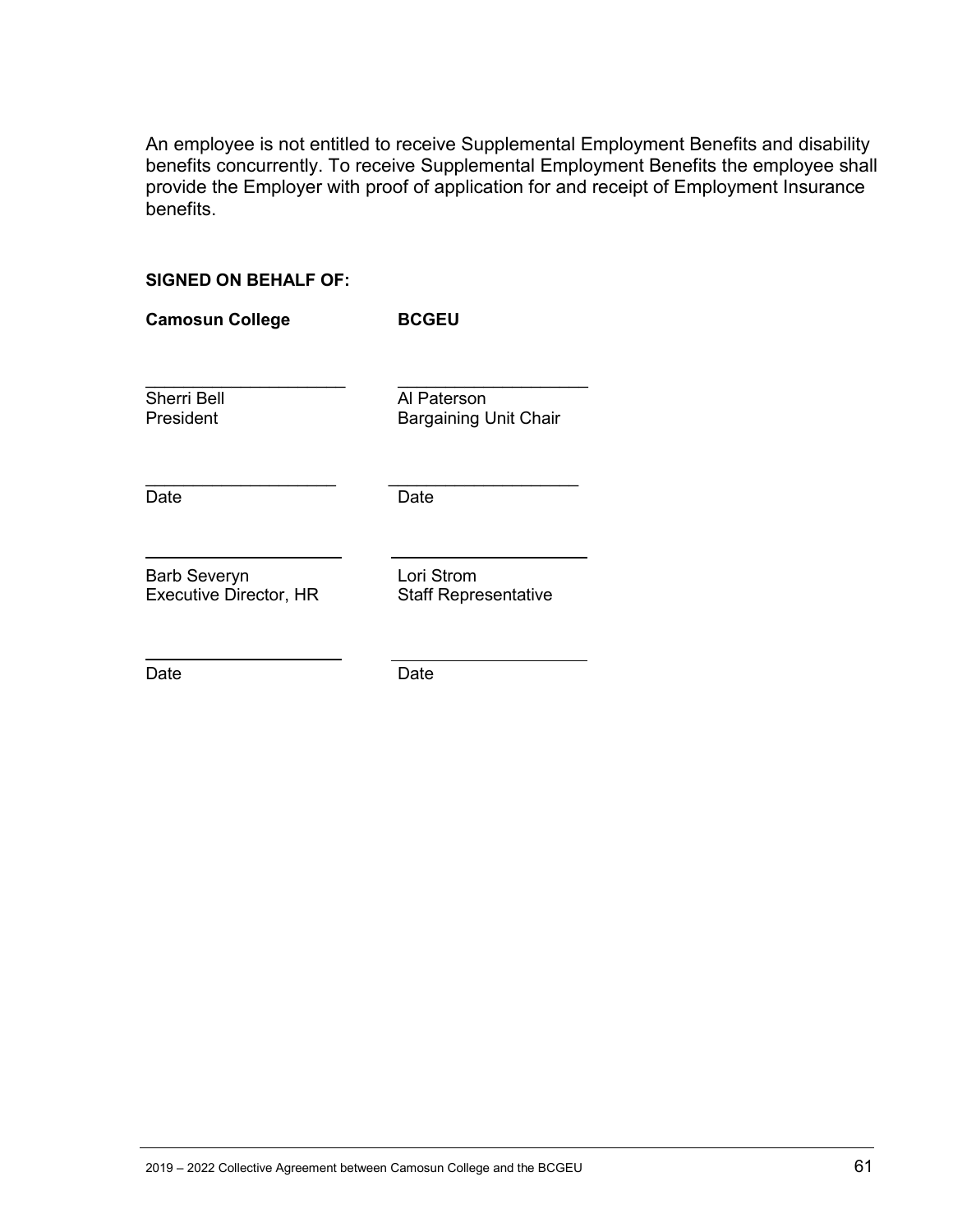An employee is not entitled to receive Supplemental Employment Benefits and disability benefits concurrently. To receive Supplemental Employment Benefits the employee shall provide the Employer with proof of application for and receipt of Employment Insurance benefits.

#### **SIGNED ON BEHALF OF:**

| <b>Camosun College</b>                               | <b>BCGEU</b>                                |
|------------------------------------------------------|---------------------------------------------|
| <b>Sherri Bell</b><br>President                      | Al Paterson<br><b>Bargaining Unit Chair</b> |
| Date                                                 | Date                                        |
| <b>Barb Severyn</b><br><b>Executive Director, HR</b> | Lori Strom<br><b>Staff Representative</b>   |
| Date                                                 | Date                                        |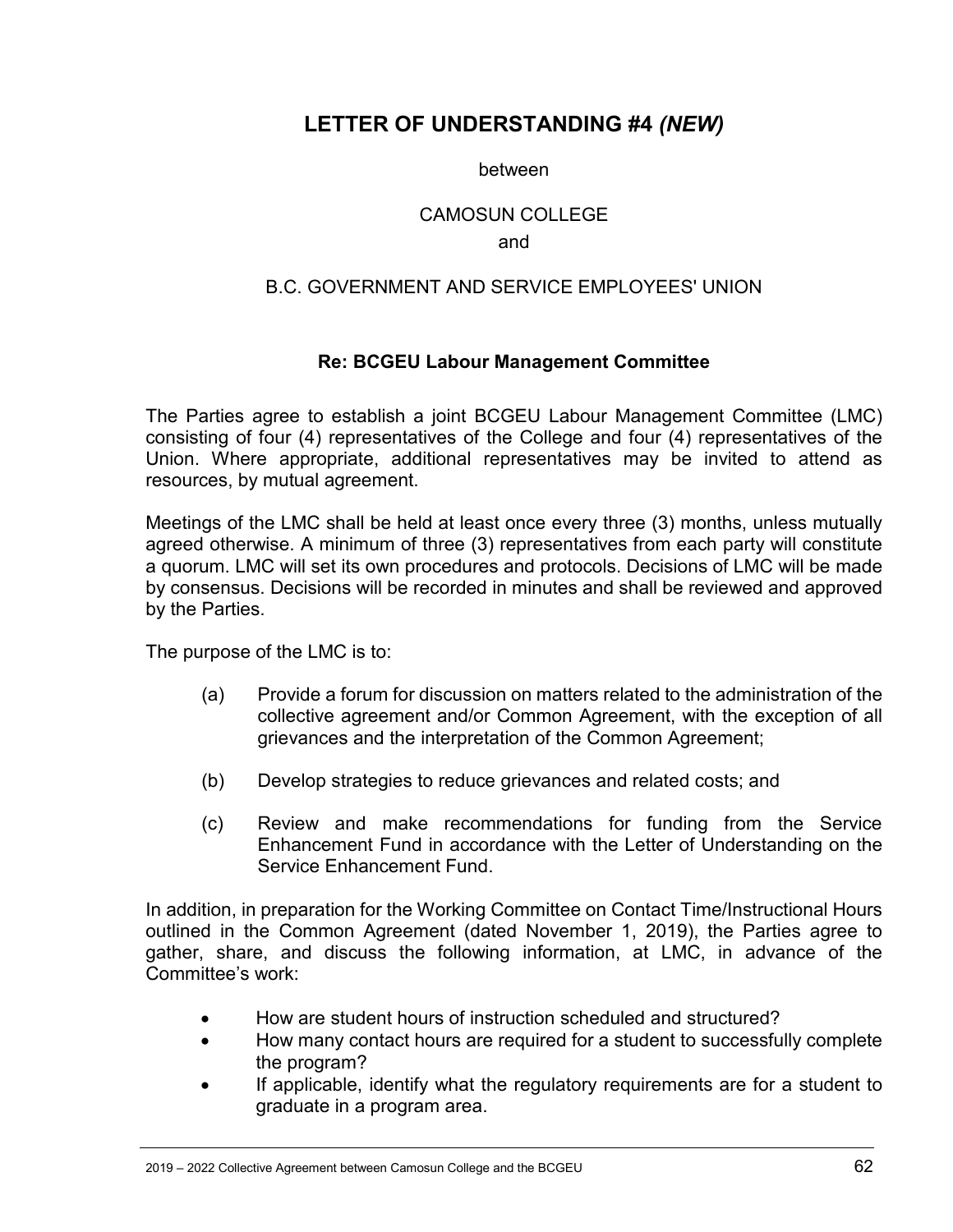# <span id="page-61-0"></span>**LETTER OF UNDERSTANDING #4** *(NEW)*

between

#### CAMOSUN COLLEGE

#### and

#### B.C. GOVERNMENT AND SERVICE EMPLOYEES' UNION

#### **Re: BCGEU Labour Management Committee**

<span id="page-61-1"></span>The Parties agree to establish a joint BCGEU Labour Management Committee (LMC) consisting of four (4) representatives of the College and four (4) representatives of the Union. Where appropriate, additional representatives may be invited to attend as resources, by mutual agreement.

Meetings of the LMC shall be held at least once every three (3) months, unless mutually agreed otherwise. A minimum of three (3) representatives from each party will constitute a quorum. LMC will set its own procedures and protocols. Decisions of LMC will be made by consensus. Decisions will be recorded in minutes and shall be reviewed and approved by the Parties.

The purpose of the LMC is to:

- (a) Provide a forum for discussion on matters related to the administration of the collective agreement and/or Common Agreement, with the exception of all grievances and the interpretation of the Common Agreement;
- (b) Develop strategies to reduce grievances and related costs; and
- (c) Review and make recommendations for funding from the Service Enhancement Fund in accordance with the Letter of Understanding on the Service Enhancement Fund.

In addition, in preparation for the Working Committee on Contact Time/Instructional Hours outlined in the Common Agreement (dated November 1, 2019), the Parties agree to gather, share, and discuss the following information, at LMC, in advance of the Committee's work:

- How are student hours of instruction scheduled and structured?
- How many contact hours are required for a student to successfully complete the program?
- If applicable, identify what the regulatory requirements are for a student to graduate in a program area.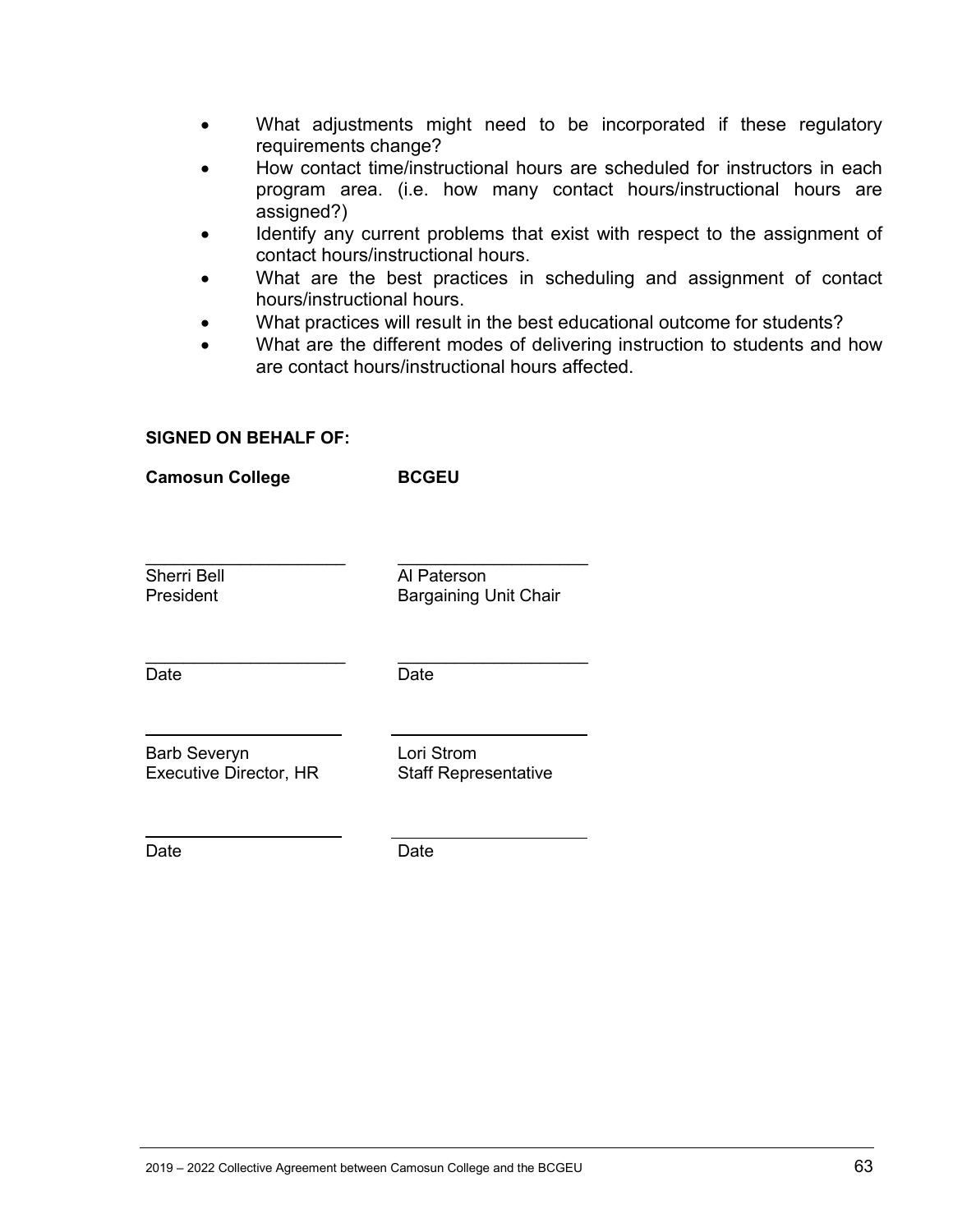- What adjustments might need to be incorporated if these regulatory requirements change?
- How contact time/instructional hours are scheduled for instructors in each program area. (i.e. how many contact hours/instructional hours are assigned?)
- Identify any current problems that exist with respect to the assignment of contact hours/instructional hours.
- What are the best practices in scheduling and assignment of contact hours/instructional hours.
- What practices will result in the best educational outcome for students?
- What are the different modes of delivering instruction to students and how are contact hours/instructional hours affected.

#### **SIGNED ON BEHALF OF:**

**Camosun College BCGEU**

| <b>DRIIIOSUII POIICAC</b>                            | ייני                                        |
|------------------------------------------------------|---------------------------------------------|
| <b>Sherri Bell</b><br>President                      | Al Paterson<br><b>Bargaining Unit Chair</b> |
| Date                                                 | Date                                        |
| <b>Barb Severyn</b><br><b>Executive Director, HR</b> | Lori Strom<br><b>Staff Representative</b>   |
| Date                                                 | Date                                        |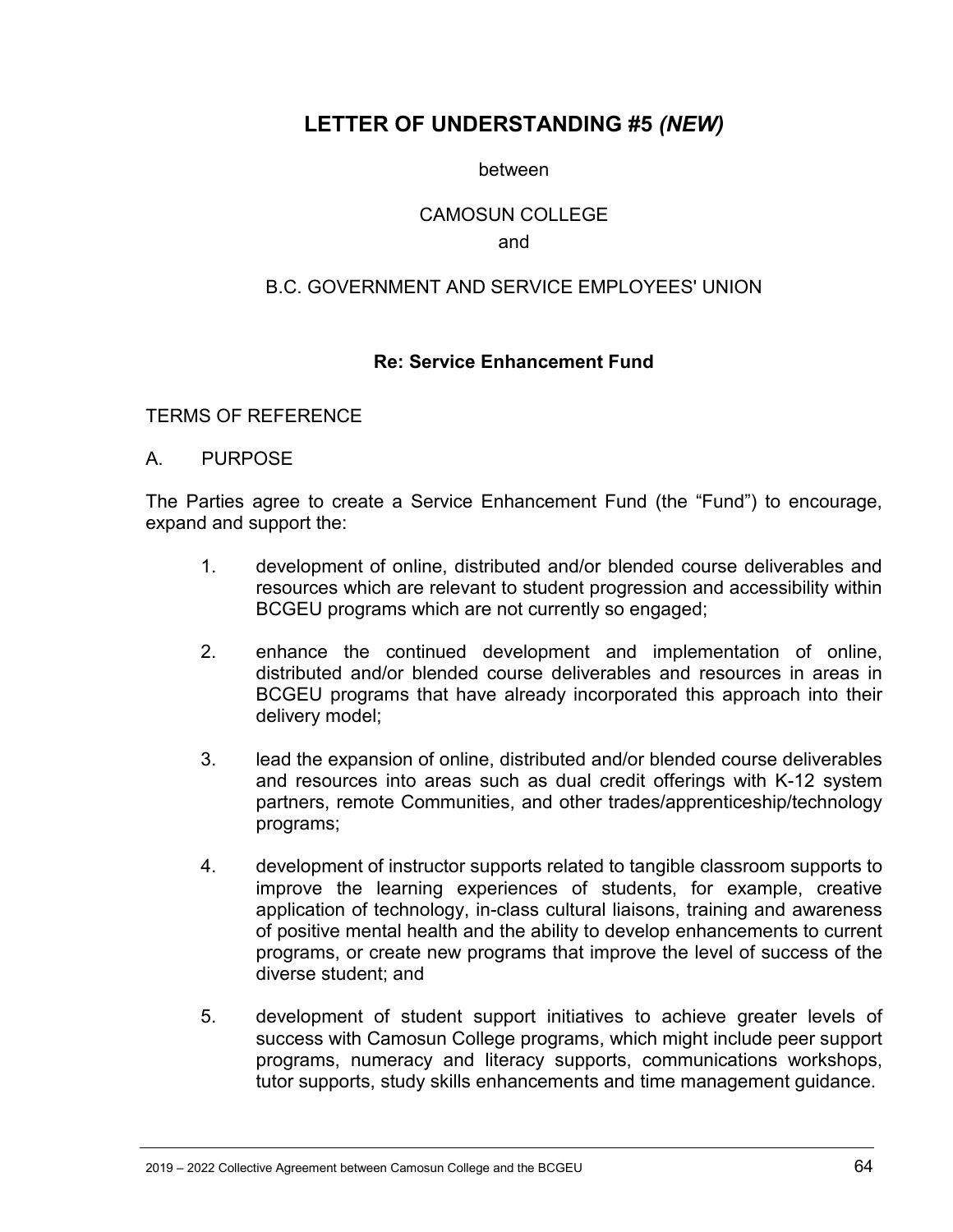# <span id="page-63-0"></span>**LETTER OF UNDERSTANDING #5** *(NEW)*

between

#### CAMOSUN COLLEGE

#### and

#### B.C. GOVERNMENT AND SERVICE EMPLOYEES' UNION

#### **Re: Service Enhancement Fund**

#### <span id="page-63-1"></span>TERMS OF REFERENCE

#### A. PURPOSE

The Parties agree to create a Service Enhancement Fund (the "Fund") to encourage, expand and support the:

- 1. development of online, distributed and/or blended course deliverables and resources which are relevant to student progression and accessibility within BCGEU programs which are not currently so engaged;
- 2. enhance the continued development and implementation of online, distributed and/or blended course deliverables and resources in areas in BCGEU programs that have already incorporated this approach into their delivery model;
- 3. lead the expansion of online, distributed and/or blended course deliverables and resources into areas such as dual credit offerings with K-12 system partners, remote Communities, and other trades/apprenticeship/technology programs;
- 4. development of instructor supports related to tangible classroom supports to improve the learning experiences of students, for example, creative application of technology, in-class cultural liaisons, training and awareness of positive mental health and the ability to develop enhancements to current programs, or create new programs that improve the level of success of the diverse student; and
- 5. development of student support initiatives to achieve greater levels of success with Camosun College programs, which might include peer support programs, numeracy and literacy supports, communications workshops, tutor supports, study skills enhancements and time management guidance.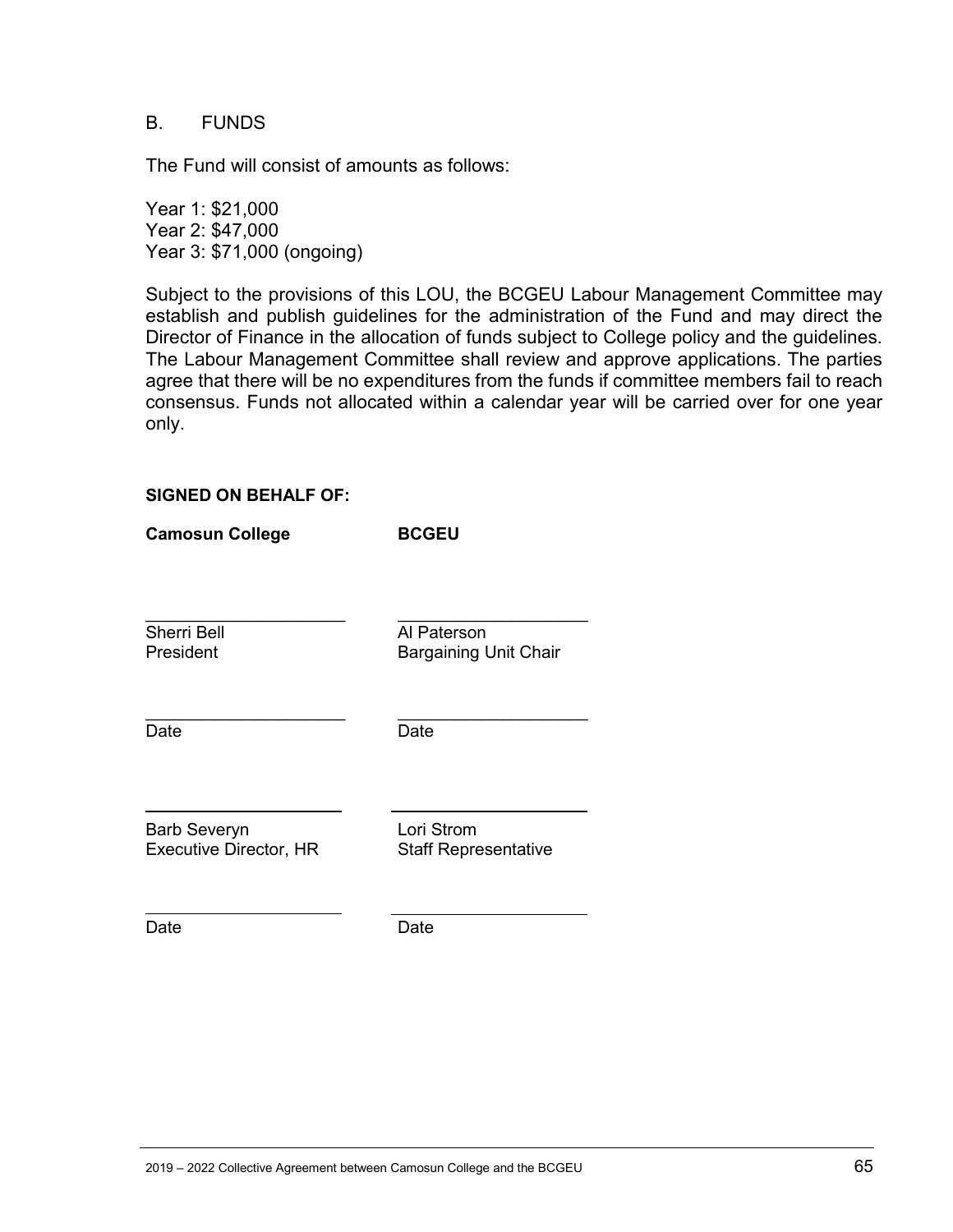#### B. FUNDS

The Fund will consist of amounts as follows:

Year 1: \$21,000 Year 2: \$47,000 Year 3: \$71,000 (ongoing)

Subject to the provisions of this LOU, the BCGEU Labour Management Committee may establish and publish guidelines for the administration of the Fund and may direct the Director of Finance in the allocation of funds subject to College policy and the guidelines. The Labour Management Committee shall review and approve applications. The parties agree that there will be no expenditures from the funds if committee members fail to reach consensus. Funds not allocated within a calendar year will be carried over for one year only.

#### **SIGNED ON BEHALF OF:**

| <b>Camosun College</b>                               | <b>BCGEU</b>                                |
|------------------------------------------------------|---------------------------------------------|
|                                                      |                                             |
| Sherri Bell<br>President                             | Al Paterson<br><b>Bargaining Unit Chair</b> |
| Date                                                 | Date                                        |
| <b>Barb Severyn</b><br><b>Executive Director, HR</b> | Lori Strom<br><b>Staff Representative</b>   |

Date Date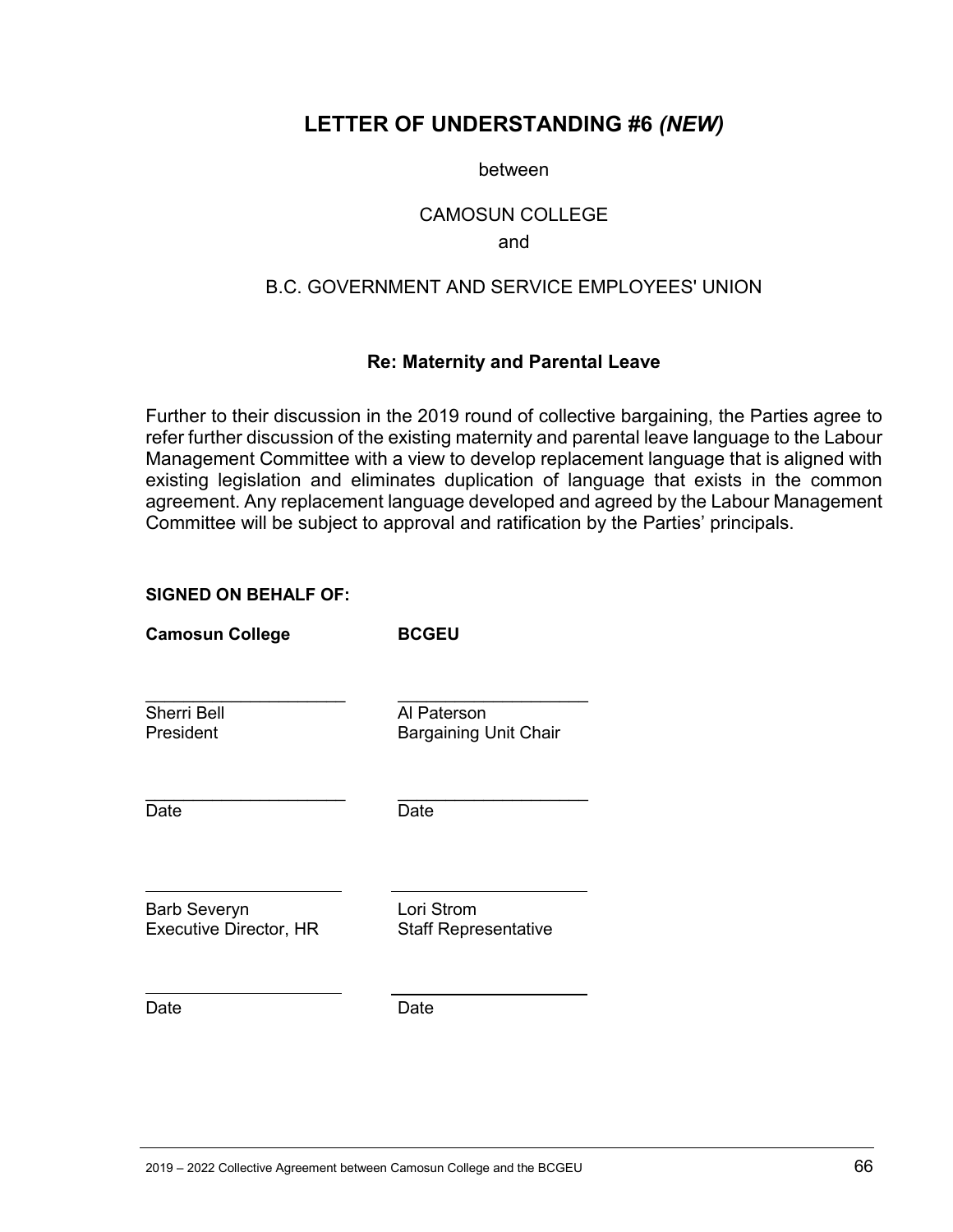### <span id="page-65-0"></span>**LETTER OF UNDERSTANDING #6** *(NEW)*

between

#### CAMOSUN COLLEGE

and

### B.C. GOVERNMENT AND SERVICE EMPLOYEES' UNION

#### **Re: Maternity and Parental Leave**

<span id="page-65-1"></span>Further to their discussion in the 2019 round of collective bargaining, the Parties agree to refer further discussion of the existing maternity and parental leave language to the Labour Management Committee with a view to develop replacement language that is aligned with existing legislation and eliminates duplication of language that exists in the common agreement. Any replacement language developed and agreed by the Labour Management Committee will be subject to approval and ratification by the Parties' principals.

#### **SIGNED ON BEHALF OF:**

**Camosun College BCGEU** \_\_\_\_\_\_\_\_\_\_\_\_\_\_\_\_\_\_\_\_\_ \_\_\_\_\_\_\_\_\_\_\_\_\_\_\_\_\_\_\_\_ Sherri Bell<br>President Bargaining L Bargaining Unit Chair \_\_\_\_\_\_\_\_\_\_\_\_\_\_\_\_\_\_\_\_\_ \_\_\_\_\_\_\_\_\_\_\_\_\_\_\_\_\_\_\_\_ Date Date Barb Severyn Lori Strom Executive Director, HR Staff Representative

Date Date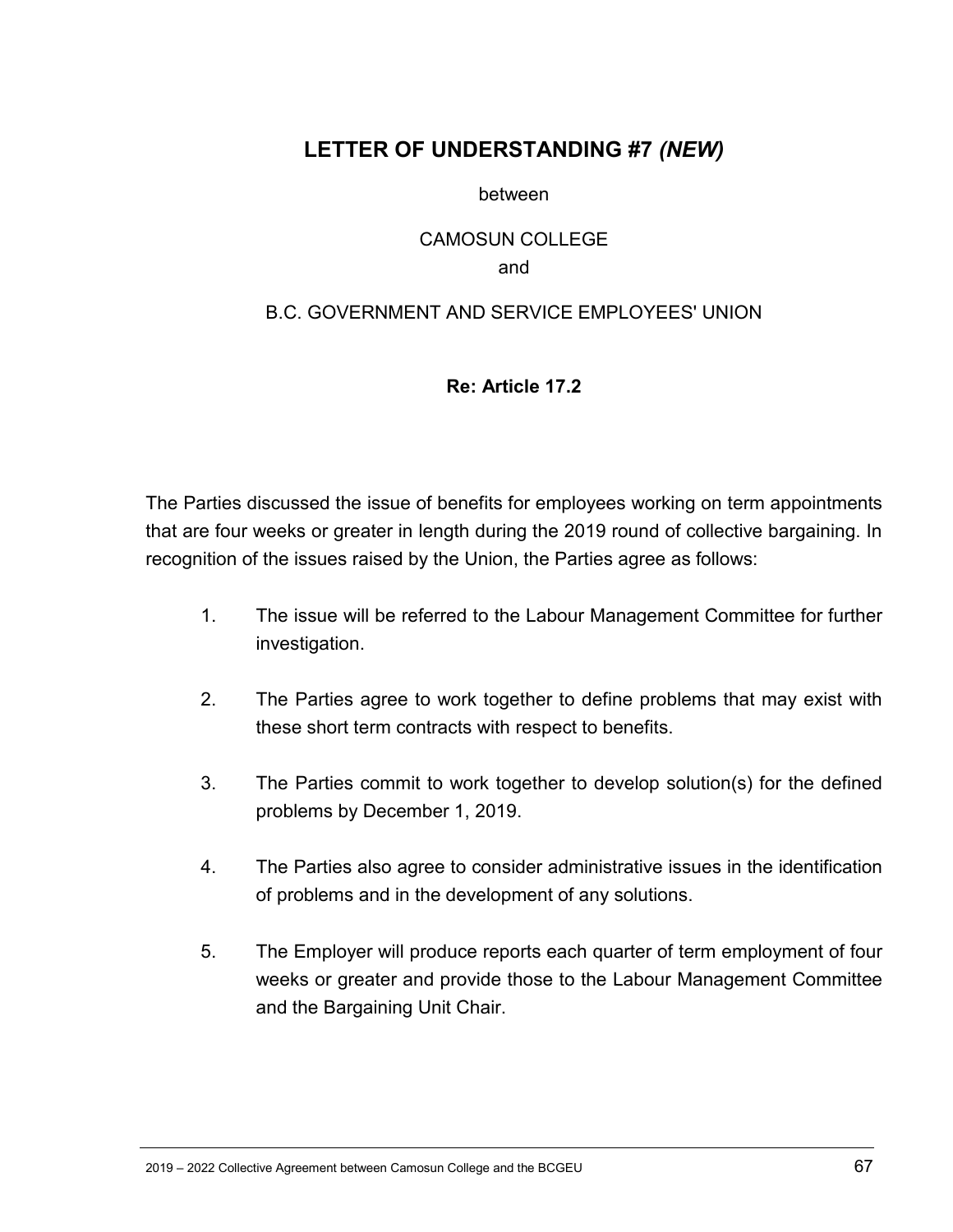# <span id="page-66-0"></span>**LETTER OF UNDERSTANDING #7** *(NEW)*

between

#### CAMOSUN COLLEGE and

#### <span id="page-66-1"></span>B.C. GOVERNMENT AND SERVICE EMPLOYEES' UNION

#### **Re: Article 17.2**

The Parties discussed the issue of benefits for employees working on term appointments that are four weeks or greater in length during the 2019 round of collective bargaining. In recognition of the issues raised by the Union, the Parties agree as follows:

- 1. The issue will be referred to the Labour Management Committee for further investigation.
- 2. The Parties agree to work together to define problems that may exist with these short term contracts with respect to benefits.
- 3. The Parties commit to work together to develop solution(s) for the defined problems by December 1, 2019.
- 4. The Parties also agree to consider administrative issues in the identification of problems and in the development of any solutions.
- 5. The Employer will produce reports each quarter of term employment of four weeks or greater and provide those to the Labour Management Committee and the Bargaining Unit Chair.